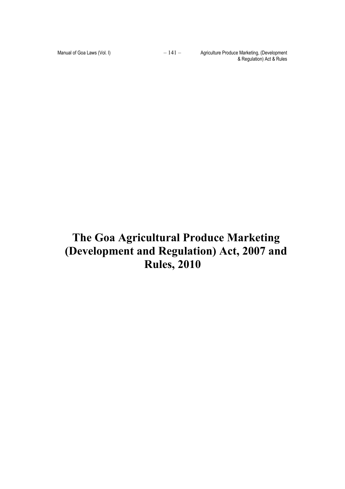Manual of Goa Laws (Vol. I) – 141 – Agriculture Produce Marketing, (Development & Regulation) Act & Rules

# **The Goa Agricultural Produce Marketing (Development and Regulation) Act, 2007 and Rules, 2010**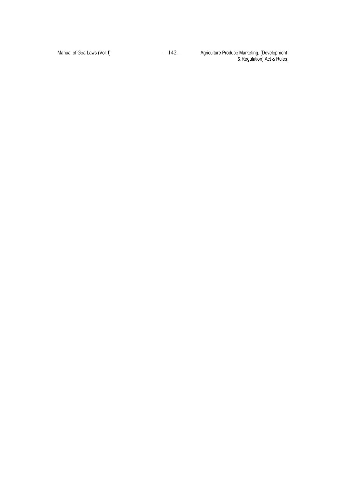Manual of Goa Laws (Vol. I)  $-142 -$  Agriculture Produce Marketing, (Development & Regulation) Act & Rules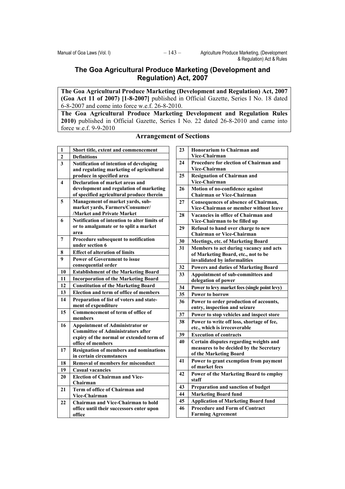# **The Goa Agricultural Produce Marketing (Development and Regulation) Act, 2007**

**The Goa Agricultural Produce Marketing (Development and Regulation) Act, 2007 (Goa Act 11 of 2007) [1-8-2007]** published in Official Gazette, Series I No. 18 dated 6-8-2007 and come into force w.e.f. 26-8-2010.

**The Goa Agricultural Produce Marketing Development and Regulation Rules 2010)** published in Official Gazette, Series I No. 22 dated 26-8-2010 and came into force w.e.f. 9-9-2010

| 1                | Short title, extent and commencement               |
|------------------|----------------------------------------------------|
| $\overline{c}$   | <b>Definitions</b>                                 |
| $\overline{3}$   | Notification of intention of developing            |
|                  | and regulating marketing of agricultural           |
|                  | produce in specified area                          |
| $\boldsymbol{4}$ | <b>Declaration of market areas and</b>             |
|                  | development and regulation of marketing            |
|                  | of specified agricultural produce therein          |
| 5                | Management of market yards, sub-                   |
|                  | market vards, Farmers/Consumer/                    |
|                  | <b>Market and Private Market</b>                   |
| 6                | Notification of intention to alter limits of       |
|                  | or to amalgamate or to split a market<br>area      |
| 7                | Procedure subsequent to notification               |
|                  | under section 6                                    |
| 8                | <b>Effect of alteration of limits</b>              |
| 9                | <b>Power of Government to issue</b>                |
|                  | consequential order                                |
| 10               | <b>Establishment of the Marketing Board</b>        |
| 11               | <b>Incorporation of the Marketing Board</b>        |
| 12               | <b>Constitution of the Marketing Board</b>         |
| 13               | <b>Election and term of office of members</b>      |
| 14               | Preparation of list of voters and state-           |
|                  | ment of expenditure                                |
| 15               | Commencement of term of office of                  |
|                  | members                                            |
| 16               | <b>Appointment of Administrator or</b>             |
|                  | <b>Committee of Administrators after</b>           |
|                  | expiry of the normal or extended term of           |
|                  | office of members                                  |
| 17               | <b>Resignation of members and nominations</b>      |
|                  | in certain circumstances                           |
| 18               | <b>Removal of members for misconduct</b>           |
| 19               | <b>Casual vacancies</b>                            |
| 20               | <b>Election of Chairman and Vice-</b>              |
|                  | Chairman                                           |
| 21               | Term of office of Chairman and                     |
|                  | Vice-Chairman                                      |
| 22               | <b>Chairman and Vice-Chairman to hold</b>          |
|                  | office until their successors enter upon<br>office |
|                  |                                                    |

# **Arrangement of Sections**

| 23 | <b>Honorarium to Chairman and</b><br>Vice-Chairman           |
|----|--------------------------------------------------------------|
| 24 | Procedure for election of Chairman and                       |
|    | Vice-Chairman                                                |
| 25 | <b>Resignation of Chairman and</b><br>Vice-Chairman          |
|    |                                                              |
| 26 | Motion of no-confidence against<br>Chairman or Vice-Chairman |
| 27 | <b>Consequences of absence of Chairman,</b>                  |
|    | Vice-Chairman or member without leave                        |
| 28 | Vacancies in office of Chairman and                          |
|    | Vice-Chairman to be filled up                                |
| 29 | Refusal to hand over charge to new                           |
|    | Chairman or Vice-Chairman                                    |
| 30 | <b>Meetings, etc. of Marketing Board</b>                     |
| 31 | Members to act during vacancy and acts                       |
|    | of Marketing Board, etc., not to be                          |
|    | invalidated by informalities                                 |
| 32 | <b>Powers and duties of Marketing Board</b>                  |
| 33 | Appointment of sub-committees and                            |
|    | delegation of power                                          |
| 34 | Power to levy market fees (single point levy)                |
| 35 | Power to borrow                                              |
| 36 | Power to order production of accounts,                       |
|    | entry, inspection and seizure                                |
| 37 | Power to stop vehicles and inspect store                     |
| 38 | Power to write off loss, shortage of fee,                    |
|    | etc., which is irrecoverable                                 |
| 39 | <b>Execution of contracts</b>                                |
| 40 | Certain disputes regarding weights and                       |
|    | measures to be decided by the Secretary                      |
|    | of the Marketing Board                                       |
| 41 | Power to grant exemption from payment                        |
|    | of market fees                                               |
| 42 | Power of the Marketing Board to employ                       |
|    | staff                                                        |
| 43 | Preparation and sanction of budget                           |
| 44 | <b>Marketing Board fund</b>                                  |
| 45 | <b>Application of Marketing Board fund</b>                   |
| 46 | <b>Procedure and Form of Contract</b>                        |
|    | <b>Farming Agreement</b>                                     |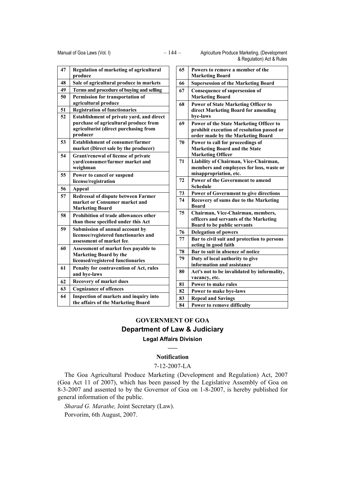Manual of Goa Laws (Vol. I) – 144 – Agriculture Produce Marketing, (Development & Regulation) Act & Rules

| 47 | <b>Regulation of marketing of agricultural</b>                                                                                          |
|----|-----------------------------------------------------------------------------------------------------------------------------------------|
|    | produce                                                                                                                                 |
| 48 | Sale of agricultural produce in markets                                                                                                 |
| 49 | Terms and procedure of buying and selling                                                                                               |
| 50 | Permission for transportation of<br>agricultural produce                                                                                |
| 51 | <b>Registration of functionaries</b>                                                                                                    |
| 52 | Establishment of private yard, and direct<br>purchase of agricultural produce from<br>agriculturist (direct purchasing from<br>producer |
| 53 | <b>Establishment of consumer/farmer</b><br>market (Direct sale by the producer)                                                         |
| 54 | Grant/renewal of license of private<br>yard/consumer/farmer market and<br>weighman                                                      |
| 55 | Power to cancel or suspend<br>license/registration                                                                                      |
| 56 | <b>Appeal</b>                                                                                                                           |
| 57 | <b>Redressal of dispute between Farmer</b><br>market or Consumer market and<br><b>Marketing Board</b>                                   |
| 58 | Prohibition of trade allowances other<br>than those specified under this Act                                                            |
| 59 | Submission of annual account by<br>licensee/registered functionaries and<br>assessment of market fee.                                   |
| 60 | Assessment of market fees payable to<br><b>Marketing Board by the</b><br>licensed/registered functionaries                              |
| 61 | Penalty for contravention of Act, rules<br>and bye-laws                                                                                 |
| 62 | <b>Recovery of market dues</b>                                                                                                          |
| 63 | <b>Cognizance of offences</b>                                                                                                           |
| 64 | Inspection of markets and inquiry into<br>the affairs of the Marketing Board                                                            |

| 65 | Powers to remove a member of the<br><b>Marketing Board</b>                                                                 |
|----|----------------------------------------------------------------------------------------------------------------------------|
| 66 | <b>Supersession of the Marketing Board</b>                                                                                 |
| 67 | <b>Consequence of supersession of</b><br><b>Marketing Board</b>                                                            |
| 68 | <b>Power of State Marketing Officer to</b><br>direct Marketing Board for amending<br>bye-laws                              |
| 69 | Power of the State Marketing Officer to<br>prohibit execution of resolution passed or<br>order made by the Marketing Board |
| 70 | Power to call for proceedings of<br><b>Marketing Board and the State</b><br><b>Marketing Officer</b>                       |
| 71 | Liability of Chairman, Vice-Chairman,<br>members and employees for loss, waste or<br>misappropriation, etc.                |
| 72 | Power of the Government to amend<br>Schedule                                                                               |
| 73 | Power of Government to give directions                                                                                     |
| 74 | <b>Recovery of sums due to the Marketing</b><br><b>Board</b>                                                               |
| 75 | Chairman, Vice-Chairman, members,<br>officers and servants of the Marketing<br>Board to be public servants                 |
| 76 | <b>Delegation of powers</b>                                                                                                |
| 77 | Bar to civil suit and protection to persons<br>acting in good faith                                                        |
| 78 | Bar to suit in absence of notice                                                                                           |
| 79 | Duty of local authority to give<br>information and assistance                                                              |
| 80 | Act's not to be invalidated by informality,<br>vacancy, etc.                                                               |
| 81 | Power to make rules                                                                                                        |
| 82 | Power to make bye-laws                                                                                                     |
| 83 | <b>Repeal and Savings</b>                                                                                                  |
| 84 | Power to remove difficulty                                                                                                 |

# **GOVERNMENT OF GOA Department of Law & Judiciary Legal Affairs Division**

# **––– Notification**

# 7-12-2007-LA

The Goa Agricultural Produce Marketing (Development and Regulation) Act, 2007 (Goa Act 11 of 2007), which has been passed by the Legislative Assembly of Goa on 8-3-2007 and assented to by the Governor of Goa on 1-8-2007, is hereby published for general information of the public.

*Sharad G. Marathe,* Joint Secretary (Law). Porvorim, 6th August, 2007.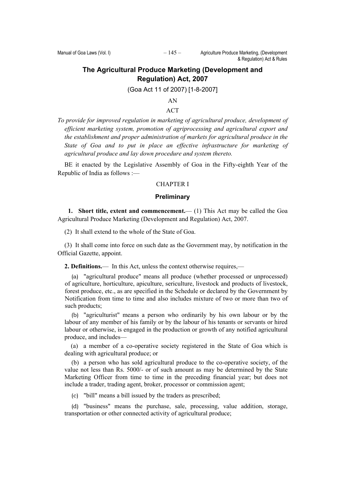# **The Agricultural Produce Marketing (Development and Regulation) Act, 2007**

# (Goa Act 11 of 2007) [1-8-2007]

AN

# ACT

*To provide for improved regulation in marketing of agricultural produce, development of efficient marketing system, promotion of agriprocessing and agricultural export and the establishment and proper administration of markets for agricultural produce in the State of Goa and to put in place an effective infrastructure for marketing of agricultural produce and lay down procedure and system thereto.* 

BE it enacted by the Legislative Assembly of Goa in the Fifty-eighth Year of the Republic of India as follows :—

# CHAPTER I

#### **Preliminary**

**1. Short title, extent and commencement.**—(1) This Act may be called the Goa Agricultural Produce Marketing (Development and Regulation) Act, 2007.

(2) It shall extend to the whole of the State of Goa.

(3) It shall come into force on such date as the Government may, by notification in the Official Gazette, appoint.

**2. Definitions.**— In this Act, unless the context otherwise requires.—

(a) "agricultural produce" means all produce (whether processed or unprocessed) of agriculture, horticulture, apiculture, sericulture, livestock and products of livestock, forest produce, etc., as are specified in the Schedule or declared by the Government by Notification from time to time and also includes mixture of two or more than two of such products;

(b) "agriculturist" means a person who ordinarily by his own labour or by the labour of any member of his family or by the labour of his tenants or servants or hired labour or otherwise, is engaged in the production or growth of any notified agricultural produce, and includes—

 (a) a member of a co-operative society registered in the State of Goa which is dealing with agricultural produce; or

(b) a person who has sold agricultural produce to the co-operative society, of the value not less than Rs. 5000/- or of such amount as may be determined by the State Marketing Officer from time to time in the preceding financial year; but does not include a trader, trading agent, broker, processor or commission agent;

(c) "bill" means a bill issued by the traders as prescribed;

(d) "business" means the purchase, sale, processing, value addition, storage, transportation or other connected activity of agricultural produce;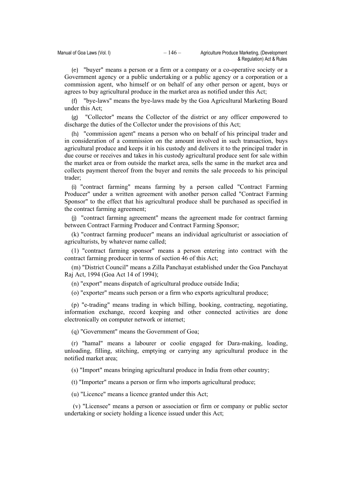(e) "buyer" means a person or a firm or a company or a co-operative society or a Government agency or a public undertaking or a public agency or a corporation or a commission agent, who himself or on behalf of any other person or agent, buys or agrees to buy agricultural produce in the market area as notified under this Act;

(f) "bye-laws" means the bye-laws made by the Goa Agricultural Marketing Board under this Act;

(g) "Collector" means the Collector of the district or any officer empowered to discharge the duties of the Collector under the provisions of this Act;

(h) "commission agent" means a person who on behalf of his principal trader and in consideration of a commission on the amount involved in such transaction, buys agricultural produce and keeps it in his custody and delivers it to the principal trader in due course or receives and takes in his custody agricultural produce sent for sale within the market area or from outside the market area, sells the same in the market area and collects payment thereof from the buyer and remits the sale proceeds to his principal trader;

(i) "contract farming" means farming by a person called "Contract Farming Producer" under a written agreement with another person called "Contract Farming Sponsor" to the effect that his agricultural produce shall be purchased as specified in the contract farming agreement;

(j) "contract farming agreement" means the agreement made for contract farming between Contract Farming Producer and Contract Farming Sponsor;

(k) "contract farming producer" means an individual agriculturist or association of agriculturists, by whatever name called;

(1) "contract farming sponsor" means a person entering into contract with the contract farming producer in terms of section 46 of this Act;

(m) "District Council" means a Zilla Panchayat established under the Goa Panchayat Raj Act, 1994 (Goa Act 14 of 1994);

(n) "export" means dispatch of agricultural produce outside India;

(o) "exporter" means such person or a firm who exports agricultural produce;

(p) "e-trading" means trading in which billing, booking, contracting, negotiating, information exchange, record keeping and other connected activities are done electronically on computer network or internet;

(q) "Government" means the Government of Goa;

(r) "hamal" means a labourer or coolie engaged for Dara-making, loading, unloading, filling, stitching, emptying or carrying any agricultural produce in the notified market area;

(s) "Import" means bringing agricultural produce in India from other country;

(t) "Importer" means a person or firm who imports agricultural produce;

(u) "Licence" means a licence granted under this Act;

 (v) "Licensee" means a person or association or firm or company or public sector undertaking or society holding a licence issued under this Act;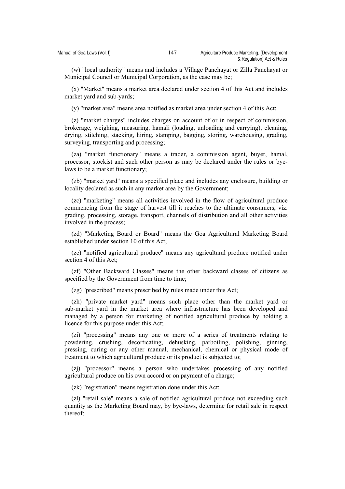(w) "local authority" means and includes a Village Panchayat or Zilla Panchayat or Municipal Council or Municipal Corporation, as the case may be;

(x) "Market" means a market area declared under section 4 of this Act and includes market yard and sub-yards;

(y) "market area" means area notified as market area under section 4 of this Act;

(z) "market charges" includes charges on account of or in respect of commission, brokerage, weighing, measuring, hamali (loading, unloading and carrying), cleaning, drying, stitching, stacking, hiring, stamping, bagging, storing, warehousing, grading, surveying, transporting and processing;

(za) "market functionary" means a trader, a commission agent, buyer, hamal, processor, stockist and such other person as may be declared under the rules or byelaws to be a market functionary;

(zb) "market yard" means a specified place and includes any enclosure, building or locality declared as such in any market area by the Government;

(zc) "marketing" means all activities involved in the flow of agricultural produce commencing from the stage of harvest till it reaches to the ultimate consumers, viz. grading, processing, storage, transport, channels of distribution and all other activities involved in the process;

(zd) "Marketing Board or Board" means the Goa Agricultural Marketing Board established under section 10 of this Act;

(ze) "notified agricultural produce" means any agricultural produce notified under section 4 of this Act;

(zf) "Other Backward Classes" means the other backward classes of citizens as specified by the Government from time to time;

(zg) "prescribed" means prescribed by rules made under this Act;

(zh) "private market yard" means such place other than the market yard or sub-market yard in the market area where infrastructure has been developed and managed by a person for marketing of notified agricultural produce by holding a licence for this purpose under this Act;

(zi) "processing" means any one or more of a series of treatments relating to powdering, crushing, decorticating, dehusking, parboiling, polishing, ginning, pressing, curing or any other manual, mechanical, chemical or physical mode of treatment to which agricultural produce or its product is subjected to;

(zj) "processor" means a person who undertakes processing of any notified agricultural produce on his own accord or on payment of a charge;

(zk) "registration" means registration done under this Act;

(zl) "retail sale" means a sale of notified agricultural produce not exceeding such quantity as the Marketing Board may, by bye-laws, determine for retail sale in respect thereof;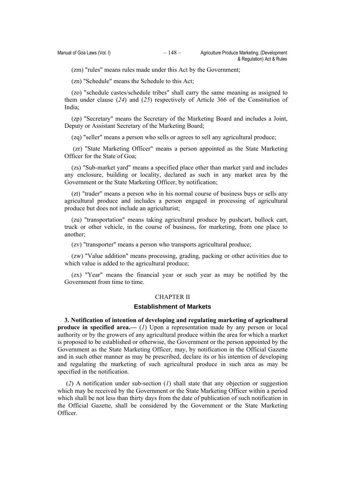(zm) "rules" means rules made under this Act by the Government;

(zn) "Schedule" means the Schedule to this Act;

(zo) "schedule castes/schedule tribes" shall carry the same meaning as assigned to them under clause (*24*) and (*25*) respectively of Article 366 of the Constitution of India;

(zp) "Secretary" means the Secretary of the Marketing Board and includes a Joint, Deputy or Assistant Secretary of the Marketing Board;

(zq) "seller" means a person who sells or agrees to sell any agricultural produce;

 (zr) "State Marketing Officer" means a person appointed as the State Marketing Officer for the State of Goa;

(zs) "Sub-market yard" means a specified place other than market yard and includes any enclosure, building or locality, declared as such in any market area by the Government or the State Marketing Officer, by notification;

(zt) "trader" means a person who in his normal course of business buys or sells any agricultural produce and includes a person engaged in processing of agricultural produce but does not include an agriculturist;

(zu) "transportation" means taking agricultural produce by pushcart, bullock cart, truck or other vehicle, in the course of business, for marketing, from one place to another;

(zv) "transporter" means a person who transports agricultural produce;

(zw) "Value addition" means processing, grading, packing or other activities due to which value is added to the agricultural produce;

(zx) "Year" means the financial year or such year as may be notified by the Government from time to time.

# CHAPTER II

#### **Establishment of Markets**

**3. Notification of intention of developing and regulating marketing of agricultural produce in specified area.—** (*1*) Upon a representation made by any person or local authority or by the growers of any agricultural produce within the area for which a market is proposed to be established or otherwise, the Government or the person appointed by the Government as the State Marketing Officer, may, by notification in the Official Gazette and in such other manner as may be prescribed, declare its or his intention of developing and regulating the marketing of such agricultural produce in such area as may be specified in the notification.

 (*2*) A notification under sub-section (*1*) shall state that any objection or suggestion which may be received by the Government or the State Marketing Officer within a period which shall be not less than thirty days from the date of publication of such notification in the Official Gazette, shall be considered by the Government or the State Marketing **Officer**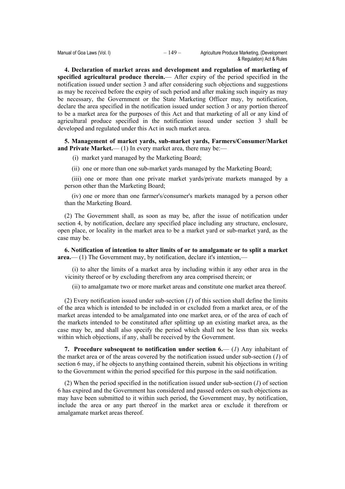**4. Declaration of market areas and development and regulation of marketing of specified agricultural produce therein.**— After expiry of the period specified in the notification issued under section 3 and after considering such objections and suggestions as may be received before the expiry of such period and after making such inquiry as may be necessary, the Government or the State Marketing Officer may, by notification, declare the area specified in the notification issued under section 3 or any portion thereof to be a market area for the purposes of this Act and that marketing of all or any kind of agricultural produce specified in the notification issued under section 3 shall be developed and regulated under this Act in such market area.

**5. Management of market yards, sub-market yards, Farmers/Consumer/Market and Private Market.**—(1) In every market area, there may be:-

(i) market yard managed by the Marketing Board;

(ii) one or more than one sub-market yards managed by the Marketing Board;

(iii) one or more than one private market yards/private markets managed by a person other than the Marketing Board;

(iv) one or more than one farmer's/consumer's markets managed by a person other than the Marketing Board.

(2) The Government shall, as soon as may be, after the issue of notification under section 4, by notification, declare any specified place including any structure, enclosure, open place, or locality in the market area to be a market yard or sub-market yard, as the case may be.

**6. Notification of intention to alter limits of or to amalgamate or to split a market area.**— (1) The Government may, by notification, declare it's intention,—

(i) to alter the limits of a market area by including within it any other area in the vicinity thereof or by excluding therefrom any area comprised therein; or

(ii) to amalgamate two or more market areas and constitute one market area thereof.

(2) Every notification issued under sub-section (*1*) of this section shall define the limits of the area which is intended to be included in or excluded from a market area, or of the market areas intended to be amalgamated into one market area, or of the area of each of the markets intended to be constituted after splitting up an existing market area, as the case may be, and shall also specify the period which shall not be less than six weeks within which objections, if any, shall be received by the Government.

**7. Procedure subsequent to notification under section 6.**— (*1*) Any inhabitant of the market area or of the areas covered by the notification issued under sub-section (*1*) of section 6 may, if he objects to anything contained therein, submit his objections in writing to the Government within the period specified for this purpose in the said notification.

(2) When the period specified in the notification issued under sub-section (*1*) of section 6 has expired and the Government has considered and passed orders on such objections as may have been submitted to it within such period, the Government may, by notification, include the area or any part thereof in the market area or exclude it therefrom or amalgamate market areas thereof.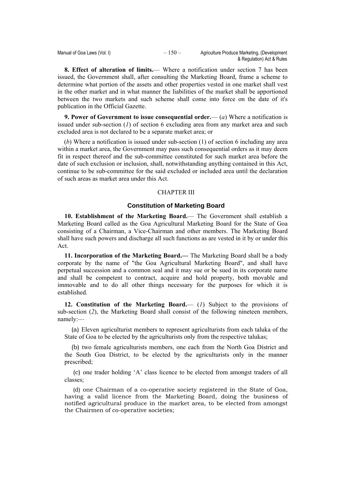| Manual of Goa Laws (Vol. I) |  |  |  |  |
|-----------------------------|--|--|--|--|
|-----------------------------|--|--|--|--|

**8. Effect of alteration of limits.**— Where a notification under section 7 has been issued, the Government shall, after consulting the Marketing Board, frame a scheme to determine what portion of the assets and other properties vested in one market shall vest in the other market and in what manner the liabilities of the market shall be apportioned between the two markets and such scheme shall come into force on the date of it's publication in the Official Gazette.

**9. Power of Government to issue consequential order.**— (*a*) Where a notification is issued under sub-section (*1*) of section 6 excluding area from any market area and such excluded area is not declared to be a separate market area; or

(*b*) Where a notification is issued under sub-section (1) of section 6 including any area within a market area, the Government may pass such consequential orders as it may deem fit in respect thereof and the sub-committee constituted for such market area before the date of such exclusion or inclusion, shall, notwithstanding anything contained in this Act, continue to be sub-committee for the said excluded or included area until the declaration of such areas as market area under this Act.

#### CHAPTER III

#### **Constitution of Marketing Board**

**10. Establishment of the Marketing Board.**— The Government shall establish a Marketing Board called as the Goa Agricultural Marketing Board for the State of Goa consisting of a Chairman, a Vice-Chairman and other members. The Marketing Board shall have such powers and discharge all such functions as are vested in it by or under this Act.

**11. Incorporation of the Marketing Board.—** The Marketing Board shall be a body corporate by the name of "the Goa Agricultural Marketing Board", and shall have perpetual succession and a common seal and it may sue or be sued in its corporate name and shall be competent to contract, acquire and hold property, both movable and immovable and to do all other things necessary for the purposes for which it is established.

**12. Constitution of the Marketing Board.**— (*1*) Subject to the provisions of sub-section (*2*), the Marketing Board shall consist of the following nineteen members, namely:—

(a) Eleven agriculturist members to represent agriculturists from each taluka of the State of Goa to be elected by the agriculturists only from the respective talukas;

(b) two female agriculturists members, one each from the North Goa District and the South Goa District, to be elected by the agriculturists only in the manner prescribed;

(c) one trader holding 'A' class licence to be elected from amongst traders of all classes;

(d) one Chairman of a co-operative society registered in the State of Goa, having a valid licence from the Marketing Board, doing the business of notified agricultural produce in the market area, to be elected from amongst the Chairmen of co-operative societies;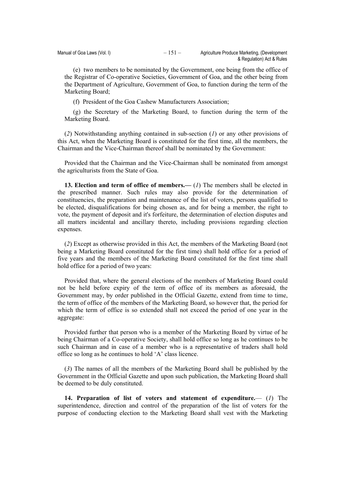(e) two members to be nominated by the Government, one being from the office of the Registrar of Co-operative Societies, Government of Goa, and the other being from the Department of Agriculture, Government of Goa, to function during the term of the Marketing Board;

(f) President of the Goa Cashew Manufacturers Association;

(g) the Secretary of the Marketing Board, to function during the term of the Marketing Board.

(*2*) Notwithstanding anything contained in sub-section (*1*) or any other provisions of this Act, when the Marketing Board is constituted for the first time, all the members, the Chairman and the Vice-Chairman thereof shall be nominated by the Government:

Provided that the Chairman and the Vice-Chairman shall be nominated from amongst the agriculturists from the State of Goa.

**13. Election and term of office of members.—** (*1*) The members shall be elected in the prescribed manner. Such rules may also provide for the determination of constituencies, the preparation and maintenance of the list of voters, persons qualified to be elected, disqualifications for being chosen as, and for being a member, the right to vote, the payment of deposit and it's forfeiture, the determination of election disputes and all matters incidental and ancillary thereto, including provisions regarding election expenses.

(*2*) Except as otherwise provided in this Act, the members of the Marketing Board (not being a Marketing Board constituted for the first time) shall hold office for a period of five years and the members of the Marketing Board constituted for the first time shall hold office for a period of two years:

Provided that, where the general elections of the members of Marketing Board could not be held before expiry of the term of office of its members as aforesaid, the Government may, by order published in the Official Gazette, extend from time to time, the term of office of the members of the Marketing Board, so however that, the period for which the term of office is so extended shall not exceed the period of one year in the aggregate:

Provided further that person who is a member of the Marketing Board by virtue of he being Chairman of a Co-operative Society, shall hold office so long as he continues to be such Chairman and in case of a member who is a representative of traders shall hold office so long as he continues to hold 'A' class licence.

(*3*) The names of all the members of the Marketing Board shall be published by the Government in the Official Gazette and upon such publication, the Marketing Board shall be deemed to be duly constituted.

**14. Preparation of list of voters and statement of expenditure.**— (*1*) The superintendence, direction and control of the preparation of the list of voters for the purpose of conducting election to the Marketing Board shall vest with the Marketing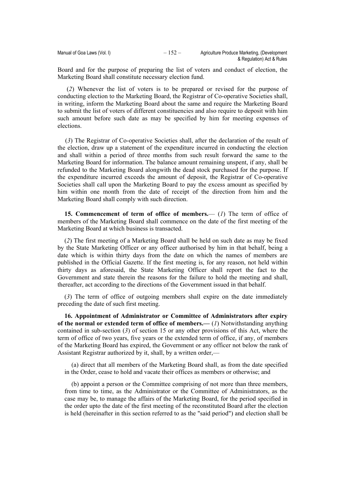Board and for the purpose of preparing the list of voters and conduct of election, the Marketing Board shall constitute necessary election fund.

 (*2*) Whenever the list of voters is to be prepared or revised for the purpose of conducting election to the Marketing Board, the Registrar of Co-operative Societies shall, in writing, inform the Marketing Board about the same and require the Marketing Board to submit the list of voters of different constituencies and also require to deposit with him such amount before such date as may be specified by him for meeting expenses of elections.

(*3*) The Registrar of Co-operative Societies shall, after the declaration of the result of the election, draw up a statement of the expenditure incurred in conducting the election and shall within a period of three months from such result forward the same to the Marketing Board for information. The balance amount remaining unspent, if any, shall be refunded to the Marketing Board alongwith the dead stock purchased for the purpose. If the expenditure incurred exceeds the amount of deposit, the Registrar of Co-operative Societies shall call upon the Marketing Board to pay the excess amount as specified by him within one month from the date of receipt of the direction from him and the Marketing Board shall comply with such direction.

**15. Commencement of term of office of members.**— (*1*) The term of office of members of the Marketing Board shall commence on the date of the first meeting of the Marketing Board at which business is transacted.

(*2*) The first meeting of a Marketing Board shall be held on such date as may be fixed by the State Marketing Officer or any officer authorised by him in that behalf, being a date which is within thirty days from the date on which the names of members are published in the Official Gazette. If the first meeting is, for any reason, not held within thirty days as aforesaid, the State Marketing Officer shall report the fact to the Government and state therein the reasons for the failure to hold the meeting and shall, thereafter, act according to the directions of the Government issued in that behalf.

(*3*) The term of office of outgoing members shall expire on the date immediately preceding the date of such first meeting.

**16. Appointment of Administrator or Committee of Administrators after expiry of the normal or extended term of office of members.—** (*1*) Notwithstanding anything contained in sub-section (*3*) of section 15 or any other provisions of this Act, where the term of office of two years, five years or the extended term of office, if any, of members of the Marketing Board has expired, the Government or any officer not below the rank of Assistant Registrar authorized by it, shall, by a written order,—

(a) direct that all members of the Marketing Board shall, as from the date specified in the Order, cease to hold and vacate their offices as members or otherwise; and

(b) appoint a person or the Committee comprising of not more than three members, from time to time, as the Administrator or the Committee of Administrators, as the case may be, to manage the affairs of the Marketing Board, for the period specified in the order upto the date of the first meeting of the reconstituted Board after the election is held (hereinafter in this section referred to as the "said period") and election shall be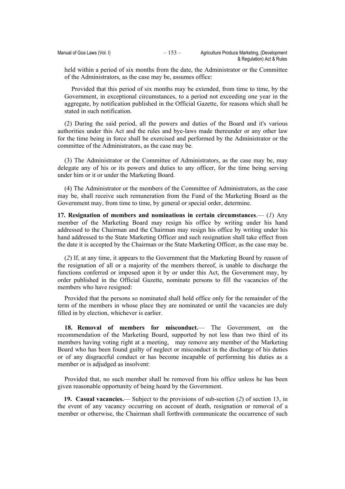held within a period of six months from the date, the Administrator or the Committee of the Administrators, as the case may be, assumes office:

Provided that this period of six months may be extended, from time to time, by the Government, in exceptional circumstances, to a period not exceeding one year in the aggregate, by notification published in the Official Gazette, for reasons which shall be stated in such notification.

(2) During the said period, all the powers and duties of the Board and it's various authorities under this Act and the rules and bye-laws made thereunder or any other law for the time being in force shall be exercised and performed by the Administrator or the committee of the Administrators, as the case may be.

(3) The Administrator or the Committee of Administrators, as the case may be, may delegate any of his or its powers and duties to any officer, for the time being serving under him or it or under the Marketing Board.

(4) The Administrator or the members of the Committee of Administrators, as the case may be, shall receive such remuneration from the Fund of the Marketing Board as the Government may, from time to time, by general or special order, determine.

**17. Resignation of members and nominations in certain circumstances**.— (*1*) Any member of the Marketing Board may resign his office by writing under his hand addressed to the Chairman and the Chairman may resign his office by writing under his hand addressed to the State Marketing Officer and such resignation shall take effect from the date it is accepted by the Chairman or the State Marketing Officer, as the case may be.

(*2*) If, at any time, it appears to the Government that the Marketing Board by reason of the resignation of all or a majority of the members thereof, is unable to discharge the functions conferred or imposed upon it by or under this Act, the Government may, by order published in the Official Gazette, nominate persons to fill the vacancies of the members who have resigned:

Provided that the persons so nominated shall hold office only for the remainder of the term of the members in whose place they are nominated or until the vacancies are duly filled in by election, whichever is earlier.

**18. Removal of members for misconduct.**— The Government, on the recommendation of the Marketing Board, supported by not less than two third of its members having voting right at a meeting, may remove any member of the Marketing Board who has been found guilty of neglect or misconduct in the discharge of his duties or of any disgraceful conduct or has become incapable of performing his duties as a member or is adjudged as insolvent:

Provided that, no such member shall be removed from his office unless he has been given reasonable opportunity of being heard by the Government.

 **19. Casual vacancies.**— Subject to the provisions of sub-section (*2*) of section 13, in the event of any vacancy occurring on account of death, resignation or removal of a member or otherwise, the Chairman shall forthwith communicate the occurrence of such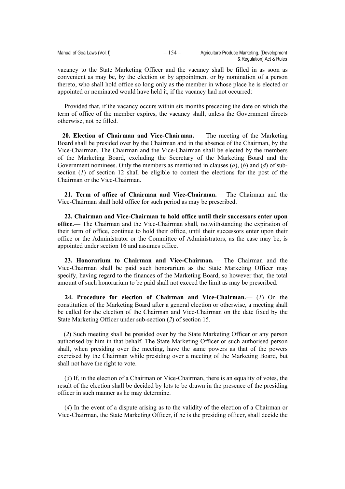vacancy to the State Marketing Officer and the vacancy shall be filled in as soon as convenient as may be, by the election or by appointment or by nomination of a person thereto, who shall hold office so long only as the member in whose place he is elected or appointed or nominated would have held it, if the vacancy had not occurred:

Provided that, if the vacancy occurs within six months preceding the date on which the term of office of the member expires, the vacancy shall, unless the Government directs otherwise, not be filled.

 **20. Election of Chairman and Vice-Chairman.**–– The meeting of the Marketing Board shall be presided over by the Chairman and in the absence of the Chairman, by the Vice-Chairman. The Chairman and the Vice-Chairman shall be elected by the members of the Marketing Board, excluding the Secretary of the Marketing Board and the Government nominees. Only the members as mentioned in clauses (*a*), (*b*) and (*d*) of subsection (*1*) of section 12 shall be eligible to contest the elections for the post of the Chairman or the Vice-Chairman.

**21. Term of office of Chairman and Vice-Chairman.**— The Chairman and the Vice-Chairman shall hold office for such period as may be prescribed.

**22. Chairman and Vice-Chairman to hold office until their successors enter upon office.**— The Chairman and the Vice-Chairman shall, notwithstanding the expiration of their term of office, continue to hold their office, until their successors enter upon their office or the Administrator or the Committee of Administrators, as the case may be, is appointed under section 16 and assumes office.

**23. Honorarium to Chairman and Vice-Chairman.**— The Chairman and the Vice-Chairman shall be paid such honorarium as the State Marketing Officer may specify, having regard to the finances of the Marketing Board, so however that, the total amount of such honorarium to be paid shall not exceed the limit as may be prescribed.

**24. Procedure for election of Chairman and Vice-Chairman.**— (*1*) On the constitution of the Marketing Board after a general election or otherwise, a meeting shall be called for the election of the Chairman and Vice-Chairman on the date fixed by the State Marketing Officer under sub-section (*2*) of section 15.

(*2*) Such meeting shall be presided over by the State Marketing Officer or any person authorised by him in that behalf. The State Marketing Officer or such authorised person shall, when presiding over the meeting, have the same powers as that of the powers exercised by the Chairman while presiding over a meeting of the Marketing Board, but shall not have the right to vote.

(*3*) If, in the election of a Chairman or Vice-Chairman, there is an equality of votes, the result of the election shall be decided by lots to be drawn in the presence of the presiding officer in such manner as he may determine.

(*4*) In the event of a dispute arising as to the validity of the election of a Chairman or Vice-Chairman, the State Marketing Officer, if he is the presiding officer, shall decide the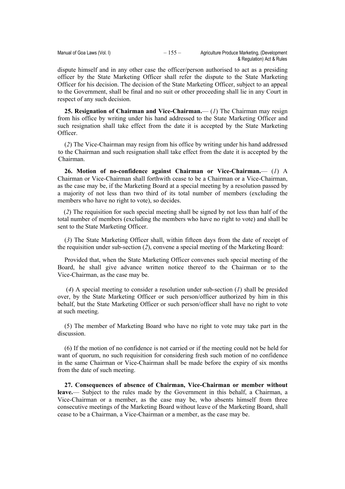dispute himself and in any other case the officer/person authorised to act as a presiding officer by the State Marketing Officer shall refer the dispute to the State Marketing Officer for his decision. The decision of the State Marketing Officer, subject to an appeal to the Government, shall be final and no suit or other proceeding shall lie in any Court in respect of any such decision.

**25. Resignation of Chairman and Vice-Chairman.**— (*1*) The Chairman may resign from his office by writing under his hand addressed to the State Marketing Officer and such resignation shall take effect from the date it is accepted by the State Marketing Officer.

(*2*) The Vice-Chairman may resign from his office by writing under his hand addressed to the Chairman and such resignation shall take effect from the date it is accepted by the Chairman.

**26. Motion of no-confidence against Chairman or Vice-Chairman.**— (*1*) A Chairman or Vice-Chairman shall forthwith cease to be a Chairman or a Vice-Chairman, as the case may be, if the Marketing Board at a special meeting by a resolution passed by a majority of not less than two third of its total number of members (excluding the members who have no right to vote), so decides.

(*2*) The requisition for such special meeting shall be signed by not less than half of the total number of members (excluding the members who have no right to vote) and shall be sent to the State Marketing Officer.

(*3*) The State Marketing Officer shall, within fifteen days from the date of receipt of the requisition under sub-section (*2*), convene a special meeting of the Marketing Board:

Provided that, when the State Marketing Officer convenes such special meeting of the Board, he shall give advance written notice thereof to the Chairman or to the Vice-Chairman, as the case may be.

 (*4*) A special meeting to consider a resolution under sub-section (*1*) shall be presided over, by the State Marketing Officer or such person/officer authorized by him in this behalf, but the State Marketing Officer or such person/officer shall have no right to vote at such meeting.

(5) The member of Marketing Board who have no right to vote may take part in the discussion.

(6) If the motion of no confidence is not carried or if the meeting could not be held for want of quorum, no such requisition for considering fresh such motion of no confidence in the same Chairman or Vice-Chairman shall be made before the expiry of six months from the date of such meeting.

**27. Consequences of absence of Chairman, Vice-Chairman or member without leave.**— Subject to the rules made by the Government in this behalf, a Chairman, a Vice-Chairman or a member, as the case may be, who absents himself from three consecutive meetings of the Marketing Board without leave of the Marketing Board, shall cease to be a Chairman, a Vice-Chairman or a member, as the case may be.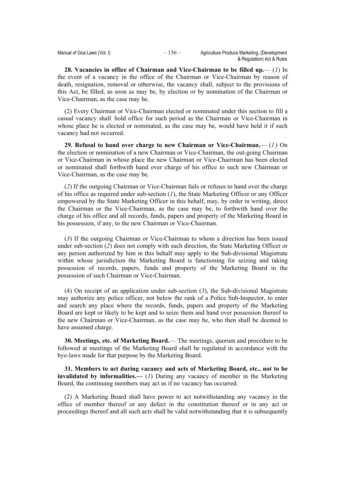**28. Vacancies in office of Chairman and Vice-Chairman to be filled up.**— (*1*) In the event of a vacancy in the office of the Chairman or Vice-Chairman by reason of death, resignation, removal or otherwise, the vacancy shall, subject to the provisions of this Act, be filled, as soon as may be, by election or by nomination of the Chairman or Vice-Chairman, as the case may be.

(2) Every Chairman or Vice-Chairman elected or nominated under this section to fill a casual vacancy shall. hold office for such period as the Chairman or Vice-Chairman in whose place he is elected or nominated, as the case may be, would have held it if such vacancy had not occurred.

**29. Refusal to hand over charge to new Chairman or Vice-Chairman.**— (*1*.) On the election or nomination of a new Chairman or Vice-Chairman, the out-going Chairman or Vice-Chairman in whose place the new Chairman or Vice-Chairman has been elected or nominated shall forthwith hand over charge of his office to such new Chairman or Vice-Chairman, as the case may be.

(*2*) If the outgoing Chairman or Vice-Chairman fails or refuses to hand over the charge of his office as required under sub-section (*1*), the State Marketing Officer or any Officer empowered by the State Marketing Officer in this behalf, may, by order in writing, direct the Chairman or the Vice-Chairman, as the case may be, to forthwith hand over the charge of his office and all records, funds, papers and property of the Marketing Board in his possession, if any, to the new Chairman or Vice-Chairman.

(*3*) If the outgoing Chairman or Vice-Chairman to whom a direction has been issued under sub-section (*2*) does not comply with such direction, the State Marketing Officer or any person authorized by him in this behalf may apply to the Sub-divisional Magistrate within whose jurisdiction the Marketing Board is functioning for seizing and taking possession of records, papers, funds and property of the Marketing Board in the possession of such Chairman or Vice-Chairman.

(4) On receipt of an application under sub-section (*3*), the Sub-divisional Magistrate may authorize any police officer, not below the rank of a Police Sub-Inspector, to enter and search any place where the records, funds, papers and property of the Marketing Board are kept or likely to be kept and to seize them and hand over possession thereof to the new Chairman or Vice-Chairman, as the case may be, who then shall be deemed to have assumed charge.

**30. Meetings, etc. of Marketing Board.**— The meetings, quorum and procedure to be followed at meetings of the Marketing Board shall be regulated in accordance with the bye-laws made for that purpose by the Marketing Board.

**31. Members to act during vacancy and acts of Marketing Board, etc., not to be invalidated by informalities.—** (*1*) During any vacancy of member in the Marketing Board, the continuing members may act as if no vacancy has occurred.

(2) A Marketing Board shall have power to act notwithstanding any vacancy in the office of member thereof or any defect in the constitution thereof or in any act or proceedings thereof and all such acts shall be valid notwithstanding that it is subsequently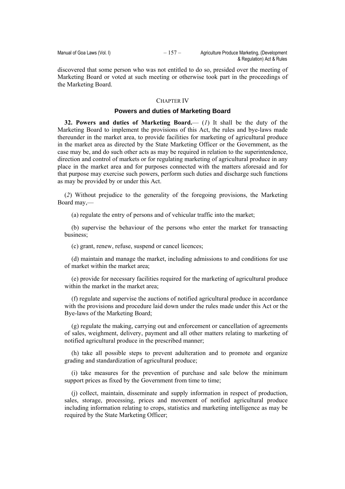discovered that some person who was not entitled to do so, presided over the meeting of Marketing Board or voted at such meeting or otherwise took part in the proceedings of the Marketing Board.

#### CHAPTER IV

# **Powers and duties of Marketing Board**

**32. Powers and duties of Marketing Board.**— (*1*) It shall be the duty of the Marketing Board to implement the provisions of this Act, the rules and bye-laws made thereunder in the market area, to provide facilities for marketing of agricultural produce in the market area as directed by the State Marketing Officer or the Government, as the case may be, and do such other acts as may be required in relation to the superintendence, direction and control of markets or for regulating marketing of agricultural produce in any place in the market area and for purposes connected with the matters aforesaid and for that purpose may exercise such powers, perform such duties and discharge such functions as may be provided by or under this Act.

(*2*) Without prejudice to the generality of the foregoing provisions, the Marketing Board may,—

(a) regulate the entry of persons and of vehicular traffic into the market;

(b) supervise the behaviour of the persons who enter the market for transacting business;

(c) grant, renew, refuse, suspend or cancel licences;

(d) maintain and manage the market, including admissions to and conditions for use of market within the market area;

(e) provide for necessary facilities required for the marketing of agricultural produce within the market in the market area;

(f) regulate and supervise the auctions of notified agricultural produce in accordance with the provisions and procedure laid down under the rules made under this Act or the Bye-laws of the Marketing Board;

(g) regulate the making, carrying out and enforcement or cancellation of agreements of sales, weighment, delivery, payment and all other matters relating to marketing of notified agricultural produce in the prescribed manner;

(h) take all possible steps to prevent adulteration and to promote and organize grading and standardization of agricultural produce;

(i) take measures for the prevention of purchase and sale below the minimum support prices as fixed by the Government from time to time;

(j) collect, maintain, disseminate and supply information in respect of production, sales, storage, processing, prices and movement of notified agricultural produce including information relating to crops, statistics and marketing intelligence as may be required by the State Marketing Officer;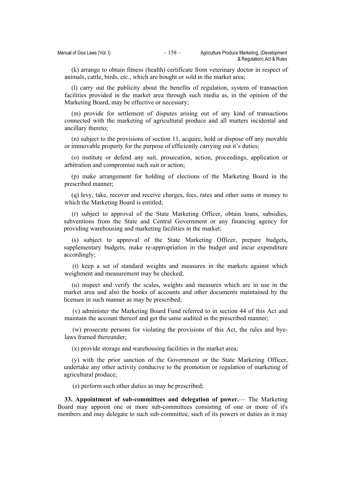(k) arrange to obtain fitness (health) certificate from veterinary doctor in respect of animals, cattle, birds, etc., which are bought or sold in the market area;

(l) carry out the publicity about the benefits of regulation, system of transaction facilities provided in the market area through such media as, in the opinion of the Marketing Board, may be effective or necessary;

(m) provide for settlement of disputes arising out of any kind of transactions connected with the marketing of agricultural produce and all matters incidental and ancillary thereto;

(n) subject to the provisions of section 11, acquire, hold or dispose off any movable or immovable property for the purpose of efficiently carrying out it's duties;

(o) institute or defend any suit, prosecution, action, proceedings, application or arbitration and compromise such suit or action;

(p) make arrangement for holding of elections of the Marketing Board in the prescribed manner;

(q) levy, take, recover and receive charges, fees, rates and other sums or money to which the Marketing Board is entitled;

(r) subject to approval of the State Marketing Officer, obtain loans, subsidies, subventions from the State and Central Government or any financing agency for providing warehousing and marketing facilities in the market;

(s) subject to approval of the State Marketing Officer, prepare budgets, supplementary budgets, make re-appropriation in the budget and incur expenditure accordingly;

(t) keep a set of standard weights and measures in the markets against which weighment and measurement may be checked;

(u) inspect and verify the scales, weights and measures which are in use in the market area and also the books of accounts and other documents maintained by the licensee in such manner as may be prescribed;

(v) administer the Marketing Board Fund referred to in section 44 of this Act and maintain the account thereof and get the same audited in the prescribed manner;

(w) prosecute persons for violating the provisions of this Act, the rules and byelaws framed thereunder;

(x) provide storage and warehousing facilities in the market area;

(y) with the prior sanction of the Government or the State Marketing Officer, undertake any other activity conducive to the promotion or regulation of marketing of agricultural produce;

(z) perform such other duties as may be prescribed;

**33. Appointment of sub-committees and delegation of power.**— The Marketing Board may appoint one or more sub-committees consisting of one or more of it's members and may delegate to such sub-committee, such of its powers or duties as it may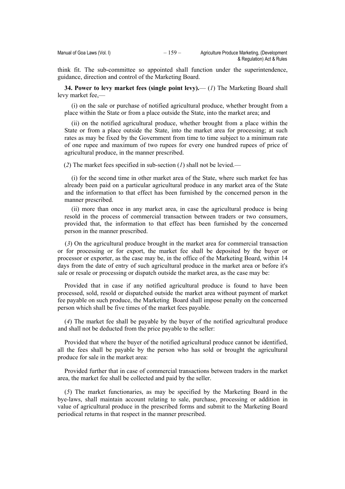think fit. The sub-committee so appointed shall function under the superintendence, guidance, direction and control of the Marketing Board.

**34. Power to levy market fees (single point levy).**— (*1*) The Marketing Board shall levy market fee,—

(i) on the sale or purchase of notified agricultural produce, whether brought from a place within the State or from a place outside the State, into the market area; and

(ii) on the notified agricultural produce, whether brought from a place within the State or from a place outside the State, into the market area for processing; at such rates as may be fixed by the Government from time to time subject to a minimum rate of one rupee and maximum of two rupees for every one hundred rupees of price of agricultural produce, in the manner prescribed.

(*2*) The market fees specified in sub-section (*1*) shall not be levied.—

(i) for the second time in other market area of the State, where such market fee has already been paid on a particular agricultural produce in any market area of the State and the information to that effect has been furnished by the concerned person in the manner prescribed.

(ii) more than once in any market area, in case the agricultural produce is being resold in the process of commercial transaction between traders or two consumers, provided that, the information to that effect has been furnished by the concerned person in the manner prescribed.

(*3*) On the agricultural produce brought in the market area for commercial transaction or for processing or for export, the market fee shall be deposited by the buyer or processor or exporter, as the case may be, in the office of the Marketing Board, within 14 days from the date of entry of such agricultural produce in the market area or before it's sale or resale or processing or dispatch outside the market area, as the case may be:

Provided that in case if any notified agricultural produce is found to have been processed, sold, resold or dispatched outside the market area without payment of market fee payable on such produce, the Marketing Board shall impose penalty on the concerned person which shall be five times of the market fees payable.

(*4*) The market fee shall be payable by the buyer of the notified agricultural produce and shall not be deducted from the price payable to the seller:

Provided that where the buyer of the notified agricultural produce cannot be identified, all the fees shall be payable by the person who has sold or brought the agricultural produce for sale in the market area:

Provided further that in case of commercial transactions between traders in the market area, the market fee shall be collected and paid by the seller.

(*5*) The market functionaries, as may be specified by the Marketing Board in the bye-laws, shall maintain account relating to sale, purchase, processing or addition in value of agricultural produce in the prescribed forms and submit to the Marketing Board periodical returns in that respect in the manner prescribed.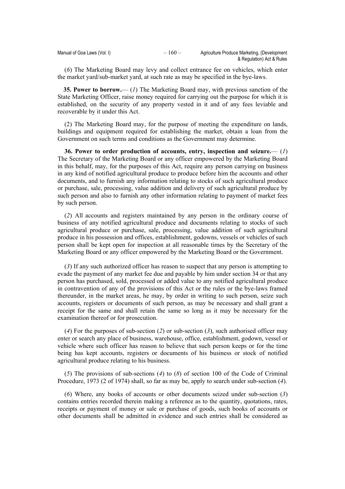| Manual of Goa Laws (Vol. I) | $-160-$ | Agriculture Produce Marketing, (Development |
|-----------------------------|---------|---------------------------------------------|
|                             |         | & Regulation) Act & Rules                   |

(*6*) The Marketing Board may levy and collect entrance fee on vehicles, which enter the market yard/sub-market yard, at such rate as may be specified in the bye-laws.

**35. Power to borrow.**— (*1*) The Marketing Board may, with previous sanction of the State Marketing Officer, raise money required for carrying out the purpose for which it is established, on the security of any property vested in it and of any fees leviable and recoverable by it under this Act.

(2) The Marketing Board may, for the purpose of meeting the expenditure on lands, buildings and equipment required for establishing the market, obtain a loan from the Government on such terms and conditions as the Government may determine.

**36. Power to order production of accounts, entry, inspection and seizure.**— (*1*) The Secretary of the Marketing Board or any officer empowered by the Marketing Board in this behalf, may, for the purposes of this Act, require any person carrying on business in any kind of notified agricultural produce to produce before him the accounts and other documents, and to furnish any information relating to stocks of such agricultural produce or purchase, sale, processing, value addition and delivery of such agricultural produce by such person and also to furnish any other information relating to payment of market fees by such person.

(*2*) All accounts and registers maintained by any person in the ordinary course of business of any notified agricultural produce and documents relating to stocks of such agricultural produce or purchase, sale, processing, value addition of such agricultural produce in his possession and offices, establishment, godowns, vessels or vehicles of such person shall be kept open for inspection at all reasonable times by the Secretary of the Marketing Board or any officer empowered by the Marketing Board or the Government.

(*3*) If any such authorized officer has reason to suspect that any person is attempting to evade the payment of any market fee due and payable by him under section 34 or that any person has purchased, sold, processed or added value to any notified agricultural produce in contravention of any of the provisions of this Act or the rules or the bye-laws framed thereunder, in the market areas, he may, by order in writing to such person, seize such accounts, registers or documents of such person, as may be necessary and shall grant a receipt for the same and shall retain the same so long as it may be necessary for the examination thereof or for prosecution.

(*4*) For the purposes of sub-section (*2*) or sub-section (*3*), such authorised officer may enter or search any place of business, warehouse, office, establishment, godown, vessel or vehicle where such officer has reason to believe that such person keeps or for the time being has kept accounts, registers or documents of his business or stock of notified agricultural produce relating to his business.

(*5*) The provisions of sub-sections (*4*) to (*8*) of section 100 of the Code of Criminal Procedure, 1973 (2 of 1974) shall, so far as may be, apply to search under sub-section (*4*).

(*6*) Where, any books of accounts or other documents seized under sub-section (*3*) contains entries recorded therein making a reference as to the quantity, quotations, rates, receipts or payment of money or sale or purchase of goods, such books of accounts or other documents shall be admitted in evidence and such entries shall be considered as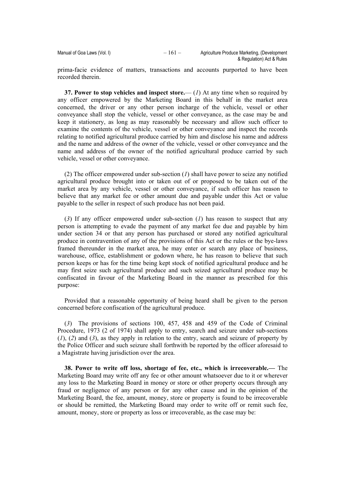prima-facie evidence of matters, transactions and accounts purported to have been recorded therein.

**37.** Power to stop vehicles and inspect store.— (*1*) At any time when so required by any officer empowered by the Marketing Board in this behalf in the market area concerned, the driver or any other person incharge of the vehicle, vessel or other conveyance shall stop the vehicle, vessel or other conveyance, as the case may be and keep it stationery, as long as may reasonably be necessary and allow such officer to examine the contents of the vehicle, vessel or other conveyance and inspect the records relating to notified agricultural produce carried by him and disclose his name and address and the name and address of the owner of the vehicle, vessel or other conveyance and the name and address of the owner of the notified agricultural produce carried by such vehicle, vessel or other conveyance.

(2) The officer empowered under sub-section (*1*) shall have power to seize any notified agricultural produce brought into or taken out of or proposed to be taken out of the market area by any vehicle, vessel or other conveyance, if such officer has reason to believe that any market fee or other amount due and payable under this Act or value payable to the seller in respect of such produce has not been paid.

(*3*) If any officer empowered under sub-section (*1*) has reason to suspect that any person is attempting to evade the payment of any market fee due and payable by him under section 34 or that any person has purchased or stored any notified agricultural produce in contravention of any of the provisions of this Act or the rules or the bye-laws framed thereunder in the market area, he may enter or search any place of business, warehouse, office, establishment or godown where, he has reason to believe that such person keeps or has for the time being kept stock of notified agricultural produce and he may first seize such agricultural produce and such seized agricultural produce may be confiscated in favour of the Marketing Board in the manner as prescribed for this purpose:

Provided that a reasonable opportunity of being heard shall be given to the person concerned before confiscation of the agricultural produce.

(*3*) The provisions of sections 100, 457, 458 and 459 of the Code of Criminal Procedure, 1973 (2 of 1974) shall apply to entry, search and seizure under sub-sections (*1*), (*2*) and (*3*), as they apply in relation to the entry, search and seizure of property by the Police Officer and such seizure shall forthwith be reported by the officer aforesaid to a Magistrate having jurisdiction over the area.

**38. Power to write off loss, shortage of fee, etc., which is irrecoverable.—** The Marketing Board may write off any fee or other amount whatsoever due to it or wherever any loss to the Marketing Board in money or store or other property occurs through any fraud or negligence of any person or for any other cause and in the opinion of the Marketing Board, the fee, amount, money, store or property is found to be irrecoverable or should be remitted, the Marketing Board may order to write off or remit such fee, amount, money, store or property as loss or irrecoverable, as the case may be: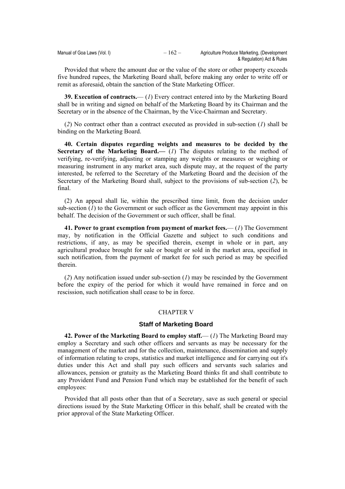| Manual of Goa Laws (Vol. I) |  |  |
|-----------------------------|--|--|
|-----------------------------|--|--|

Provided that where the amount due or the value of the store or other property exceeds five hundred rupees, the Marketing Board shall, before making any order to write off or remit as aforesaid, obtain the sanction of the State Marketing Officer.

**39. Execution of contracts.**— (*1*) Every contract entered into by the Marketing Board shall be in writing and signed on behalf of the Marketing Board by its Chairman and the Secretary or in the absence of the Chairman, by the Vice-Chairman and Secretary.

(*2*) No contract other than a contract executed as provided in sub-section (*1*) shall be binding on the Marketing Board.

**40. Certain disputes regarding weights and measures to be decided by the Secretary of the Marketing Board.—** (*1*) The disputes relating to the method of verifying, re-verifying, adjusting or stamping any weights or measures or weighing or measuring instrument in any market area, such dispute may, at the request of the party interested, be referred to the Secretary of the Marketing Board and the decision of the Secretary of the Marketing Board shall, subject to the provisions of sub-section (*2*), be final.

(2) An appeal shall lie, within the prescribed time limit, from the decision under sub-section  $(I)$  to the Government or such officer as the Government may appoint in this behalf. The decision of the Government or such officer, shall be final.

**41. Power to grant exemption from payment of market fees.**— (*1*) The Government may, by notification in the Official Gazette and subject to such conditions and restrictions, if any, as may be specified therein, exempt in whole or in part, any agricultural produce brought for sale or bought or sold in the market area, specified in such notification, from the payment of market fee for such period as may be specified therein.

(*2*) Any notification issued under sub-section (*1*) may be rescinded by the Government before the expiry of the period for which it would have remained in force and on rescission, such notification shall cease to be in force.

# CHAPTER V

#### **Staff of Marketing Board**

**42. Power of the Marketing Board to employ staff.**— (*1*) The Marketing Board may employ a Secretary and such other officers and servants as may be necessary for the management of the market and for the collection, maintenance, dissemination and supply of information relating to crops, statistics and market intelligence and for carrying out it's duties under this Act and shall pay such officers and servants such salaries and allowances, pension or gratuity as the Marketing Board thinks fit and shall contribute to any Provident Fund and Pension Fund which may be established for the benefit of such employees:

Provided that all posts other than that of a Secretary, save as such general or special directions issued by the State Marketing Officer in this behalf, shall be created with the prior approval of the State Marketing Officer.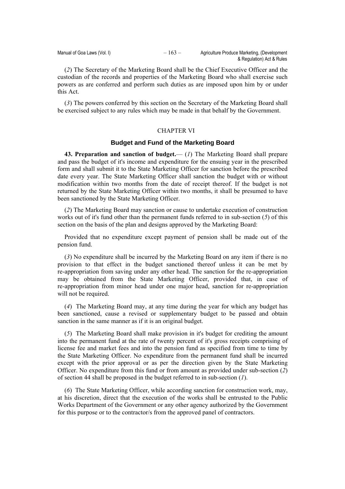Manual of Goa Laws (Vol. I)  $-163 -$  Agriculture Produce Marketing, (Development & Regulation) Act & Rules

(*2*) The Secretary of the Marketing Board shall be the Chief Executive Officer and the custodian of the records and properties of the Marketing Board who shall exercise such powers as are conferred and perform such duties as are imposed upon him by or under this Act.

(*3*) The powers conferred by this section on the Secretary of the Marketing Board shall be exercised subject to any rules which may be made in that behalf by the Government.

# CHAPTER VI

# **Budget and Fund of the Marketing Board**

**43. Preparation and sanction of budget.**— (*1*) The Marketing Board shall prepare and pass the budget of it's income and expenditure for the ensuing year in the prescribed form and shall submit it to the State Marketing Officer for sanction before the prescribed date every year. The State Marketing Officer shall sanction the budget with or without modification within two months from the date of receipt thereof. If the budget is not returned by the State Marketing Officer within two months, it shall be presumed to have been sanctioned by the State Marketing Officer.

(*2*) The Marketing Board may sanction or cause to undertake execution of construction works out of it's fund other than the permanent funds referred to in sub-section (*5*) of this section on the basis of the plan and designs approved by the Marketing Board:

Provided that no expenditure except payment of pension shall be made out of the pension fund.

(*3*) No expenditure shall be incurred by the Marketing Board on any item if there is no provision to that effect in the budget sanctioned thereof unless it can be met by re-appropriation from saving under any other head. The sanction for the re-appropriation may be obtained from the State Marketing Officer, provided that, in case of re-appropriation from minor head under one major head, sanction for re-appropriation will not be required.

(*4*) The Marketing Board may, at any time during the year for which any budget has been sanctioned, cause a revised or supplementary budget to be passed and obtain sanction in the same manner as if it is an original budget.

(*5*) The Marketing Board shall make provision in it's budget for crediting the amount into the permanent fund at the rate of twenty percent of it's gross receipts comprising of license fee and market fees and into the pension fund as specified from time to time by the State Marketing Officer. No expenditure from the permanent fund shall be incurred except with the prior approval or as per the direction given by the State Marketing Officer. No expenditure from this fund or from amount as provided under sub-section (*2*) of section 44 shall be proposed in the budget referred to in sub-section (*1*).

(*6*) The State Marketing Officer, while according sanction for construction work, may, at his discretion, direct that the execution of the works shall be entrusted to the Public Works Department of the Government or any other agency authorized by the Government for this purpose or to the contractor/s from the approved panel of contractors.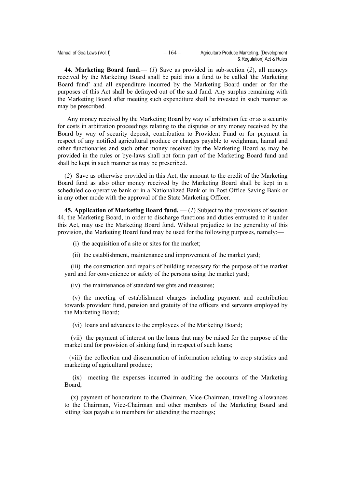**44. Marketing Board fund.**— (*1*) Save as provided in sub-section (*2*), all moneys received by the Marketing Board shall be paid into a fund to be called 'the Marketing Board fund' and all expenditure incurred by the Marketing Board under or for the purposes of this Act shall be defrayed out of the said fund. Any surplus remaining with the Marketing Board after meeting such expenditure shall be invested in such manner as may be prescribed.

 Any money received by the Marketing Board by way of arbitration fee or as a security for costs in arbitration proceedings relating to the disputes or any money received by the Board by way of security deposit, contribution to Provident Fund or for payment in respect of any notified agricultural produce or charges payable to weighman, hamal and other functionaries and such other money received by the Marketing Board as may be provided in the rules or bye-laws shall not form part of the Marketing Board fund and shall be kept in such manner as may be prescribed.

(*2*) Save as otherwise provided in this Act, the amount to the credit of the Marketing Board fund as also other money received by the Marketing Board shall be kept in a scheduled co-operative bank or in a Nationalized Bank or in Post Office Saving Bank or in any other mode with the approval of the State Marketing Officer.

**45. Application of Marketing Board fund.** — (*1*) Subject to the provisions of section 44, the Marketing Board, in order to discharge functions and duties entrusted to it under this Act, may use the Marketing Board fund. Without prejudice to the generality of this provision, the Marketing Board fund may be used for the following purposes, namely:—

- (i) the acquisition of a site or sites for the market;
- (ii) the establishment, maintenance and improvement of the market yard;

 (iii) the construction and repairs of building necessary for the purpose of the market yard and for convenience or safety of the persons using the market yard;

(iv) the maintenance of standard weights and measures;

 (v) the meeting of establishment charges including payment and contribution towards provident fund, pension and gratuity of the officers and servants employed by the Marketing Board;

(vi) loans and advances to the employees of the Marketing Board;

 (vii) the payment of interest on the loans that may be raised for the purpose of the market and for provision of sinking fund in respect of such loans;

 (viii) the collection and dissemination of information relating to crop statistics and marketing of agricultural produce;

 (ix) meeting the expenses incurred in auditing the accounts of the Marketing Board;

 (x) payment of honorarium to the Chairman, Vice-Chairman, travelling allowances to the Chairman, Vice-Chairman and other members of the Marketing Board and sitting fees payable to members for attending the meetings;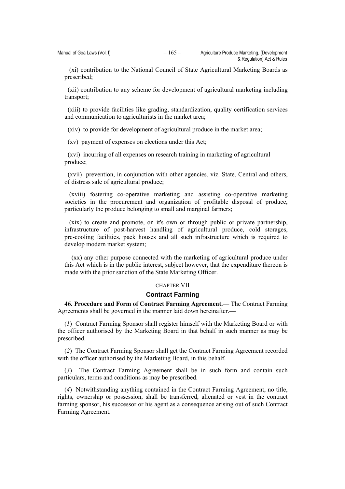(xi) contribution to the National Council of State Agricultural Marketing Boards as prescribed;

 (xii) contribution to any scheme for development of agricultural marketing including transport;

 (xiii) to provide facilities like grading, standardization, quality certification services and communication to agriculturists in the market area;

(xiv) to provide for development of agricultural produce in the market area;

(xv) payment of expenses on elections under this Act;

 (xvi) incurring of all expenses on research training in marketing of agricultural produce;

 (xvii) prevention, in conjunction with other agencies, viz. State, Central and others, of distress sale of agricultural produce;

 (xviii) fostering co-operative marketing and assisting co-operative marketing societies in the procurement and organization of profitable disposal of produce, particularly the produce belonging to small and marginal farmers;

 (xix) to create and promote, on it's own or through public or private partnership, infrastructure of post-harvest handling of agricultural produce, cold storages, pre-cooling facilities, pack houses and all such infrastructure which is required to develop modern market system;

(xx) any other purpose connected with the marketing of agricultural produce under this Act which is in the public interest, subject however, that the expenditure thereon is made with the prior sanction of the State Marketing Officer.

#### CHAPTER VII

#### **Contract Farming**

**46. Procedure and Form of Contract Farming Agreement.**— The Contract Farming Agreements shall be governed in the manner laid down hereinafter.—

(*1*) Contract Farming Sponsor shall register himself with the Marketing Board or with the officer authorised by the Marketing Board in that behalf in such manner as may be prescribed.

(*2*) The Contract Farming Sponsor shall get the Contract Farming Agreement recorded with the officer authorised by the Marketing Board, in this behalf.

(*3*) The Contract Farming Agreement shall be in such form and contain such particulars, terms and conditions as may be prescribed.

(*4*) Notwithstanding anything contained in the Contract Farming Agreement, no title, rights, ownership or possession, shall be transferred, alienated or vest in the contract farming sponsor, his successor or his agent as a consequence arising out of such Contract Farming Agreement.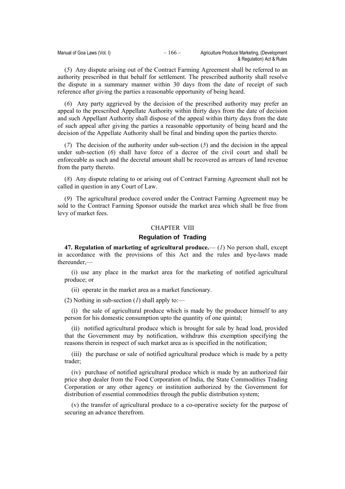(*5*) Any dispute arising out of the Contract Farming Agreement shall be referred to an authority prescribed in that behalf for settlement. The prescribed authority shall resolve the dispute in a summary manner within 30 days from the date of receipt of such reference after giving the parties a reasonable opportunity of being heard.

(*6*) Any party aggrieved by the decision of the prescribed authority may prefer an appeal to the prescribed Appellate Authority within thirty days from the date of decision and such Appellant Authority shall dispose of the appeal within thirty days from the date of such appeal after giving the parties a reasonable opportunity of being heard and the decision of the Appellate Authority shall be final and binding upon the parties thereto.

(*7*) The decision of the authority under sub-section (*5*) and the decision in the appeal under sub-section (*6*) shall have force of a decree of the civil court and shall be enforceable as such and the decretal amount shall be recovered as arrears of land revenue from the party thereto.

(*8*) Any dispute relating to or arising out of Contract Farming Agreement shall not be called in question in any Court of Law.

(*9*) The agricultural produce covered under the Contract Farming Agreement may be sold to the Contract Farming Sponsor outside the market area which shall be free from levy of market fees.

# CHAPTER VIII

# **Regulation of Trading**

**47. Regulation of marketing of agricultural produce.**— (*1*) No person shall, except in accordance with the provisions of this Act and the rules and bye-laws made thereunder,—

(i) use any place in the market area for the marketing of notified agricultural produce; or

(ii) operate in the market area as a market functionary.

(2) Nothing in sub-section (*1*) shall apply to:—

(i) the sale of agricultural produce which is made by the producer himself to any person for his domestic consumption upto the quantity of one quintal;

(ii) notified agricultural produce which is brought for sale by head load, provided that the Government may by notification, withdraw this exemption specifying the reasons therein in respect of such market area as is specified in the notification;

(iii) the purchase or sale of notified agricultural produce which is made by a petty trader;

(iv) purchase of notified agricultural produce which is made by an authorized fair price shop dealer from the Food Corporation of India, the State Commodities Trading Corporation or any other agency or institution authorized by the Government for distribution of essential commodities through the public distribution system;

(v) the transfer of agricultural produce to a co-operative society for the purpose of securing an advance therefrom.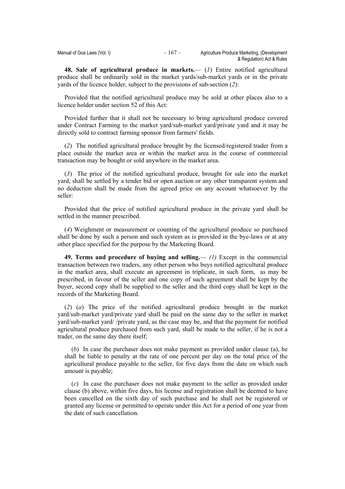**48. Sale of agricultural produce in markets.**— (*1*) Entire notified agricultural produce shall be ordinarily sold in the market yards/sub-market yards or in the private yards of the licence holder, subject to the provisions of sub-section (*2*):

Provided that the notified agricultural produce may be sold at other places also to a licence holder under section 52 of this Act:

Provided further that it shall not be necessary to bring agricultural produce covered under Contract Farming to the market yard/sub-market yard/private yard and it may be directly sold to contract farming sponsor from farmers' fields.

(*2*) The notified agricultural produce brought by the licensed/registered trader from a place outside the market area or within the market area in the course of commercial transaction may be bought or sold anywhere in the market area.

(*3*) The price of the notified agricultural produce, brought for sale into the market yard, shall be settled by a tender bid or open auction or any other transparent system and no deduction shall be made from the agreed price on any account whatsoever by the seller:

Provided that the price of notified agricultural produce in the private yard shall be settled in the manner prescribed.

(*4*) Weighment or measurement or counting of the agricultural produce so purchased shall be done by such a person and such system as is provided in the bye-laws or at any other place specified for the purpose by the Marketing Board.

**49. Terms and procedure of buying and selling.**— *(1)* Except in the commercial transaction between two traders, any other person who buys notified agricultural produce in the market area, shall execute an agreement in triplicate, in such form, as may be prescribed, in favour of the seller and one copy of such agreement shall be kept by the buyer, second copy shall be supplied to the seller and the third copy shall be kept in the records of the Marketing Board.

(*2*) (*a*) The price of the notified agricultural produce brought in the market yard/sub-market yard/private yard shall be paid on the same day to the seller in market yard/sub-market yard/ /private yard, as the case may be, and that the payment for notified agricultural produce purchased from such yard, shall be made to the seller, if he is not a trader, on the same day there itself;

(*b*) In case the purchaser does not make payment as provided under clause (a), he shall be liable to penalty at the rate of one percent per day on the total price of the agricultural produce payable to the seller, for five days from the date on which such amount is payable;

(*c*) In case the purchaser does not make payment to the seller as provided under clause (b) above, within five days, his license and registration shall be deemed to have been cancelled on the sixth day of such purchase and he shall not be registered or granted any license or permitted to operate under this Act for a period of one year from the date of such cancellation.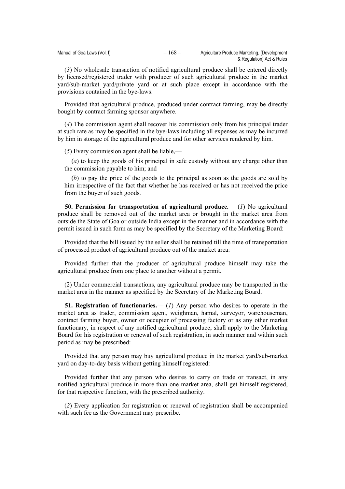(*3*) No wholesale transaction of notified agricultural produce shall be entered directly by licensed/registered trader with producer of such agricultural produce in the market yard/sub-market yard/private yard or at such place except in accordance with the provisions contained in the bye-laws:

Provided that agricultural produce, produced under contract farming, may be directly bought by contract farming sponsor anywhere.

(*4*) The commission agent shall recover his commission only from his principal trader at such rate as may be specified in the bye-laws including all expenses as may be incurred by him in storage of the agricultural produce and for other services rendered by him.

(*5*) Every commission agent shall be liable,—

(*a*) to keep the goods of his principal in safe custody without any charge other than the commission payable to him; and

(*b*) to pay the price of the goods to the principal as soon as the goods are sold by him irrespective of the fact that whether he has received or has not received the price from the buyer of such goods.

**50. Permission for transportation of agricultural produce.**— (*1*) No agricultural produce shall be removed out of the market area or brought in the market area from outside the State of Goa or outside India except in the manner and in accordance with the permit issued in such form as may be specified by the Secretary of the Marketing Board:

Provided that the bill issued by the seller shall be retained till the time of transportation of processed product of agricultural produce out of the market area:

Provided further that the producer of agricultural produce himself may take the agricultural produce from one place to another without a permit.

(2) Under commercial transactions, any agricultural produce may be transported in the market area in the manner as specified by the Secretary of the Marketing Board.

**51. Registration of functionaries.**— (*1*) Any person who desires to operate in the market area as trader, commission agent, weighman, hamal, surveyor, warehouseman, contract farming buyer, owner or occupier of processing factory or as any other market functionary, in respect of any notified agricultural produce, shall apply to the Marketing Board for his registration or renewal of such registration, in such manner and within such period as may be prescribed:

Provided that any person may buy agricultural produce in the market yard/sub-market yard on day-to-day basis without getting himself registered:

Provided further that any person who desires to carry on trade or transact, in any notified agricultural produce in more than one market area, shall get himself registered, for that respective function, with the prescribed authority.

(*2*) Every application for registration or renewal of registration shall be accompanied with such fee as the Government may prescribe.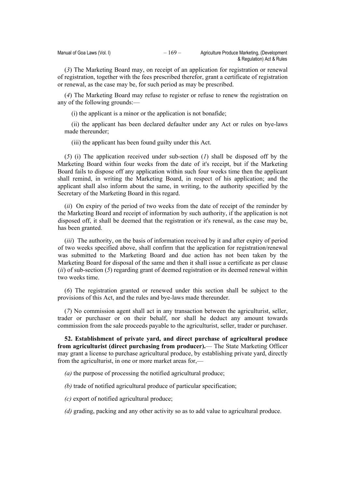(*3*) The Marketing Board may, on receipt of an application for registration or renewal of registration, together with the fees prescribed therefor, grant a certificate of registration or renewal, as the case may be, for such period as may be prescribed.

(*4*) The Marketing Board may refuse to register or refuse to renew the registration on any of the following grounds:—

(i) the applicant is a minor or the application is not bonafide;

(ii) the applicant has been declared defaulter under any Act or rules on bye-laws made thereunder;

(iii) the applicant has been found guilty under this Act.

(*5*) (i) The application received under sub-section (*1*) shall be disposed off by the Marketing Board within four weeks from the date of it's receipt, but if the Marketing Board fails to dispose off any application within such four weeks time then the applicant shall remind, in writing the Marketing Board, in respect of his application; and the applicant shall also inform about the same, in writing, to the authority specified by the Secretary of the Marketing Board in this regard.

(*ii*) On expiry of the period of two weeks from the date of receipt of the reminder by the Marketing Board and receipt of information by such authority, if the application is not disposed off, it shall be deemed that the registration or it's renewal, as the case may be, has been granted.

(*iii*) The authority, on the basis of information received by it and after expiry of period of two weeks specified above, shall confirm that the application for registration/renewal was submitted to the Marketing Board and due action has not been taken by the Marketing Board for disposal of the same and then it shall issue a certificate as per clause (*ii*) of sub-section (*5*) regarding grant of deemed registration or its deemed renewal within two weeks time.

(*6*) The registration granted or renewed under this section shall be subject to the provisions of this Act, and the rules and bye-laws made thereunder.

(*7*) No commission agent shall act in any transaction between the agriculturist, seller, trader or purchaser or on their behalf, nor shall he deduct any amount towards commission from the sale proceeds payable to the agriculturist, seller, trader or purchaser.

**52. Establishment of private yard, and direct purchase of agricultural produce from agriculturist (direct purchasing from producer).**— The State Marketing Officer may grant a license to purchase agricultural produce, by establishing private yard, directly from the agriculturist, in one or more market areas for,—

*(a)* the purpose of processing the notified agricultural produce;

*(b)* trade of notified agricultural produce of particular specification;

*(c)* export of notified agricultural produce;

*(d)* grading, packing and any other activity so as to add value to agricultural produce.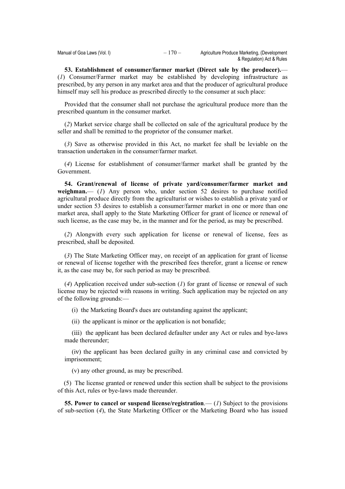**53. Establishment of consumer/farmer market (Direct sale by the producer).**— (*1*) Consumer/Farmer market may be established by developing infrastructure as prescribed, by any person in any market area and that the producer of agricultural produce himself may sell his produce as prescribed directly to the consumer at such place:

Provided that the consumer shall not purchase the agricultural produce more than the prescribed quantum in the consumer market.

(*2*) Market service charge shall be collected on sale of the agricultural produce by the seller and shall be remitted to the proprietor of the consumer market.

(*3*) Save as otherwise provided in this Act, no market fee shall be leviable on the transaction undertaken in the consumer/farmer market.

(*4*) License for establishment of consumer/farmer market shall be granted by the Government.

**54. Grant/renewal of license of private yard/consumer/farmer market and weighman.**— (*1*) Any person who, under section 52 desires to purchase notified agricultural produce directly from the agriculturist or wishes to establish a private yard or under section 53 desires to establish a consumer/farmer market in one or more than one market area, shall apply to the State Marketing Officer for grant of licence or renewal of such license, as the case may be, in the manner and for the period, as may be prescribed.

(*2*) Alongwith every such application for license or renewal of license, fees as prescribed, shall be deposited.

(*3*) The State Marketing Officer may, on receipt of an application for grant of license or renewal of license together with the prescribed fees therefor, grant a license or renew it, as the case may be, for such period as may be prescribed.

(*4*) Application received under sub-section (*1*) for grant of license or renewal of such license may be rejected with reasons in writing. Such application may be rejected on any of the following grounds:—

(i) the Marketing Board's dues are outstanding against the applicant;

(ii) the applicant is minor or the application is not bonafide;

(iii) the applicant has been declared defaulter under any Act or rules and bye-laws made thereunder;

(iv) the applicant has been declared guilty in any criminal case and convicted by imprisonment;

(v) any other ground, as may be prescribed.

 (5) The license granted or renewed under this section shall be subject to the provisions of this Act, rules or bye-laws made thereunder.

**55. Power to cancel or suspend license/registration**.— (*1*) Subject to the provisions of sub-section (*4*), the State Marketing Officer or the Marketing Board who has issued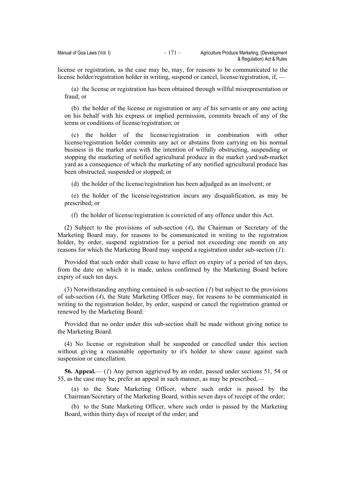license or registration, as the case may be, may, for reasons to be communicated to the license holder/registration holder in writing, suspend or cancel, license/registration, if, —

(a) the license or registration has been obtained through willful misrepresentation or fraud; or

(b) the holder of the license or registration or any of his servants or any one acting on his behalf with his express or implied permission, commits breach of any of the terms or conditions of license/registration; or

(c) the holder of the license/registration in combination with other license/registration holder commits any act or abstains from carrying on his normal business in the market area with the intention of wilfully obstructing, suspending or stopping the marketing of notified agricultural produce in the market yard/sub-market yard as a consequence of which the marketing of any notified agricultural produce has been obstructed, suspended or stopped; or

(d) the holder of the license/registration has been adjudged as an insolvent; or

(e) the holder of the license/registration incurs any disqualification, as may be prescribed; or

(f) the holder of license/registration is convicted of any offence under this Act.

(2) Subject to the provisions of sub-section (*4*), the Chairman or Secretary of the Marketing Board may, for reasons to be communicated in writing to the registration holder, by order, suspend registration for a period not exceeding one month on any reasons for which the Marketing Board may suspend a registration under sub-section (*1*):

Provided that such order shall cease to have effect on expiry of a period of ten days, from the date on which it is made, unless confirmed by the Marketing Board before expiry of such ten days.

(3) Notwithstanding anything contained in sub-section (*1*) but subject to the provisions of sub-section (*4*), the State Marketing Officer may, for reasons to be communicated in writing to the registration holder, by order, suspend or cancel the registration granted or renewed by the Marketing Board:

Provided that no order under this sub-section shall be made without giving notice to the Marketing Board.

(4) No license or registration shall be suspended or cancelled under this section without giving a reasonable opportunity to it's holder to show cause against such suspension or cancellation.

**56. Appeal.**— (*1*) Any person aggrieved by an order, passed under sections 51, 54 or 55, as the case may be, prefer an appeal in such manner, as may be prescribed,—

(a) to the State Marketing Officer, where such order is passed by the Chairman/Secretary of the Marketing Board, within seven days of receipt of the order;

(b) to the State Marketing Officer, where such order is passed by the Marketing Board, within thirty days of receipt of the order; and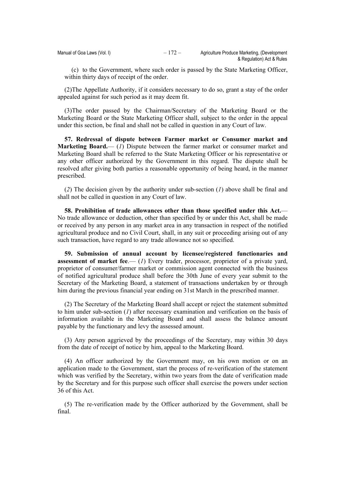(c) to the Government, where such order is passed by the State Marketing Officer, within thirty days of receipt of the order.

(2)The Appellate Authority, if it considers necessary to do so, grant a stay of the order appealed against for such period as it may deem fit.

(3)The order passed by the Chairman/Secretary of the Marketing Board or the Marketing Board or the State Marketing Officer shall, subject to the order in the appeal under this section, be final and shall not be called in question in any Court of law.

**57. Redressal of dispute between Farmer market or Consumer market and Marketing Board.**— (*1*) Dispute between the farmer market or consumer market and Marketing Board shall be referred to the State Marketing Officer or his representative or any other officer authorized by the Government in this regard. The dispute shall be resolved after giving both parties a reasonable opportunity of being heard, in the manner prescribed.

(*2*) The decision given by the authority under sub-section (*1*) above shall be final and shall not be called in question in any Court of law.

**58. Prohibition of trade allowances other than those specified under this Act.**— No trade allowance or deduction, other than specified by or under this Act, shall be made or received by any person in any market area in any transaction in respect of the notified agricultural produce and no Civil Court, shall, in any suit or proceeding arising out of any such transaction, have regard to any trade allowance not so specified.

**59. Submission of annual account by licensee/registered functionaries and assessment of market fee.—** (*1*) Every trader, processor, proprietor of a private yard, proprietor of consumer/farmer market or commission agent connected with the business of notified agricultural produce shall before the 30th June of every year submit to the Secretary of the Marketing Board, a statement of transactions undertaken by or through him during the previous financial year ending on 31st March in the prescribed manner.

(2) The Secretary of the Marketing Board shall accept or reject the statement submitted to him under sub-section (*1*) after necessary examination and verification on the basis of information available in the Marketing Board and shall assess the balance amount payable by the functionary and levy the assessed amount.

(3) Any person aggrieved by the proceedings of the Secretary, may within 30 days from the date of receipt of notice by him, appeal to the Marketing Board.

(4) An officer authorized by the Government may, on his own motion or on an application made to the Government, start the process of re-verification of the statement which was verified by the Secretary, within two years from the date of verification made by the Secretary and for this purpose such officer shall exercise the powers under section 36 of this Act.

(5) The re-verification made by the Officer authorized by the Government, shall be final.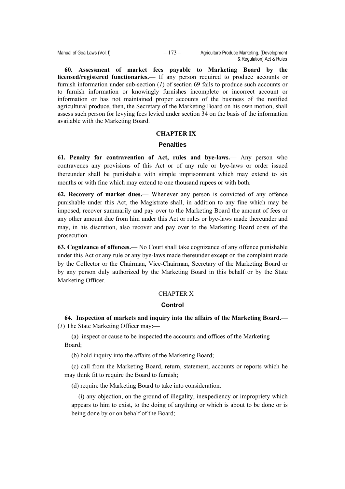**60. Assessment of market fees payable to Marketing Board by the licensed/registered functionaries.**— If any person required to produce accounts or furnish information under sub-section (*1*) of section 69 fails to produce such accounts or to furnish information or knowingly furnishes incomplete or incorrect account or information or has not maintained proper accounts of the business of the notified agricultural produce, then, the Secretary of the Marketing Board on his own motion, shall assess such person for levying fees levied under section 34 on the basis of the information available with the Marketing Board.

# **CHAPTER IX**

## **Penalties**

**61. Penalty for contravention of Act, rules and bye-laws.**— Any person who contravenes any provisions of this Act or of any rule or bye-laws or order issued thereunder shall be punishable with simple imprisonment which may extend to six months or with fine which may extend to one thousand rupees or with both.

**62. Recovery of market dues.**— Whenever any person is convicted of any offence punishable under this Act, the Magistrate shall, in addition to any fine which may be imposed, recover summarily and pay over to the Marketing Board the amount of fees or any other amount due from him under this Act or rules or bye-laws made thereunder and may, in his discretion, also recover and pay over to the Marketing Board costs of the prosecution.

**63. Cognizance of offences.**— No Court shall take cognizance of any offence punishable under this Act or any rule or any bye-laws made thereunder except on the complaint made by the Collector or the Chairman, Vice-Chairman, Secretary of the Marketing Board or by any person duly authorized by the Marketing Board in this behalf or by the State Marketing Officer.

# CHAPTER X

# **Control**

**64. Inspection of markets and inquiry into the affairs of the Marketing Board.**— (*1*) The State Marketing Officer may:—

(a) inspect or cause to be inspected the accounts and offices of the Marketing Board;

(b) hold inquiry into the affairs of the Marketing Board;

(c) call from the Marketing Board, return, statement, accounts or reports which he may think fit to require the Board to furnish;

(d) require the Marketing Board to take into consideration.—

(i) any objection, on the ground of illegality, inexpediency or impropriety which appears to him to exist, to the doing of anything or which is about to be done or is being done by or on behalf of the Board;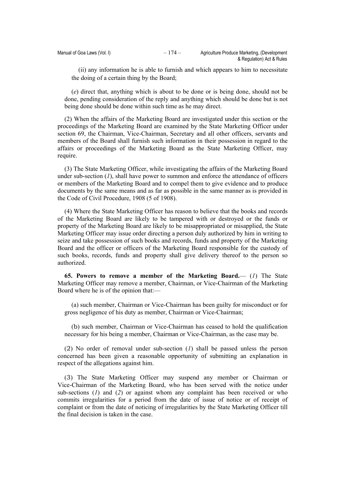(ii) any information he is able to furnish and which appears to him to necessitate the doing of a certain thing by the Board;

(*e*) direct that, anything which is about to be done or is being done, should not be done, pending consideration of the reply and anything which should be done but is not being done should be done within such time as he may direct.

(2) When the affairs of the Marketing Board are investigated under this section or the proceedings of the Marketing Board are examined by the State Marketing Officer under section 69, the Chairman, Vice-Chairman, Secretary and all other officers, servants and members of the Board shall furnish such information in their possession in regard to the affairs or proceedings of the Marketing Board as the State Marketing Officer, may require.

(3) The State Marketing Officer, while investigating the affairs of the Marketing Board under sub-section  $(I)$ , shall have power to summon and enforce the attendance of officers or members of the Marketing Board and to compel them to give evidence and to produce documents by the same means and as far as possible in the same manner as is provided in the Code of Civil Procedure, 1908 (5 of 1908).

(4) Where the State Marketing Officer has reason to believe that the books and records of the Marketing Board are likely to be tampered with or destroyed or the funds or property of the Marketing Board are likely to be misappropriated or misapplied, the State Marketing Officer may issue order directing a person duly authorized by him in writing to seize and take possession of such books and records, funds and property of the Marketing Board and the officer or officers of the Marketing Board responsible for the custody of such books, records, funds and property shall give delivery thereof to the person so authorized.

**65. Powers to remove a member of the Marketing Board.**— (*1*) The State Marketing Officer may remove a member, Chairman, or Vice-Chairman of the Marketing Board where he is of the opinion that:—

(a) such member, Chairman or Vice-Chairman has been guilty for misconduct or for gross negligence of his duty as member, Chairman or Vice-Chairman;

(b) such member, Chairman or Vice-Chairman has ceased to hold the qualification necessary for his being a member, Chairman or Vice-Chairman, as the case may be.

(2) No order of removal under sub-section (*1*) shall be passed unless the person concerned has been given a reasonable opportunity of submitting an explanation in respect of the allegations against him.

(3) The State Marketing Officer may suspend any member or Chairman or Vice-Chairman of the Marketing Board, who has been served with the notice under sub-sections (*1*) and (*2*) or against whom any complaint has been received or who commits irregularities for a period from the date of issue of notice or of receipt of complaint or from the date of noticing of irregularities by the State Marketing Officer till the final decision is taken in the case.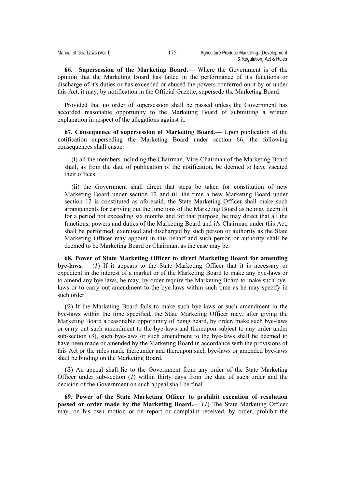**66. Supersession of the Marketing Board.**— Where the Government is of the opinion that the Marketing Board has failed in the performance of it's functions or discharge of it's duties or has exceeded or abused the powers conferred on it by or under this Act, it may, by notification in the Official Gazette, supersede the Marketing Board:

Provided that no order of supersession shall be passed unless the Government has accorded reasonable opportunity to the Marketing Board of submitting a written explanation in respect of the allegations against it.

**67. Consequence of supersession of Marketing Board.**— Upon publication of the notification superseding the Marketing Board under section 66, the following consequences shall ensue:—

(i) all the members including the Chairman, Vice-Chairman of the Marketing Board shall, as from the date of publication of the notification, be deemed to have vacated their offices;

(ii) the Government shall direct that steps be taken for constitution of new Marketing Board under section 12 and till the time a new Marketing Board under section 12 is constituted as aforesaid, the State Marketing Officer shall make such arrangements for carrying out the functions of the Marketing Board as he may deem fit for a period not exceeding six months and for that purpose, he may direct that all the functions, powers and duties of the Marketing Board and it's Chairman under this Act, shall be performed, exercised and discharged by such person or authority as the State Marketing Officer may appoint in this behalf and such person or authority shall be deemed to be Marketing Board or Chairman, as the case may be.

**68. Power of State Marketing Officer to direct Marketing Board for amending bye-laws.**— (*1*) If it appears to the State Marketing Officer that it is necessary or expedient in the interest of a market or of the Marketing Board to make any bye-laws or to amend any bye laws, he may, by order require the Marketing Board to make such byelaws or to carry out amendment to the bye-laws within such time as he may specify in such order.

(2) If the Marketing Board fails to make such bye-laws or such amendment in the bye-laws within the time specified, the State Marketing Officer may, after giving the Marketing Board a reasonable opportunity of being heard, by order, make such bye-laws or carry out such amendment to the bye-laws and thereupon subject to any order under sub-section (*3*), such bye-laws or such amendment to the bye-laws shall be deemed to have been made or amended by the Marketing Board in accordance with the provisions of this Act or the rules made thereunder and thereupon such bye-laws or amended bye-laws shall be binding on the Marketing Board.

(3) An appeal shall lie to the Government from any order of the State Marketing Officer under sub-section (*1*) within thirty days from the date of such order and the decision of the Government on such appeal shall be final.

**69. Power of the State Marketing Officer to prohibit execution of resolution passed or order made by the Marketing Board.— (***1***) The State Marketing Officer** may, on his own motion or on report or complaint received, by order, prohibit the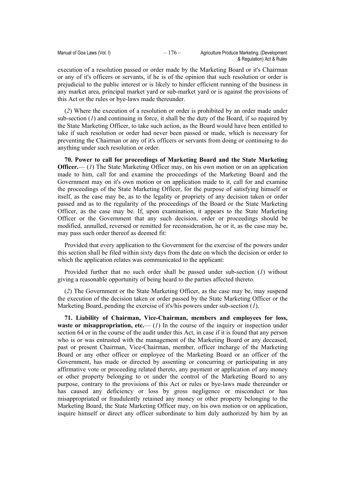execution of a resolution passed or order made by the Marketing Board or it's Chairman or any of it's officers or servants, if he is of the opinion that such resolution or order is prejudicial to the public interest or is likely to hinder efficient running of the business in any market area, principal market yard or sub-market yard or is against the provisions of this Act or the rules or bye-laws made thereunder.

(*2*) Where the execution of a resolution or order is prohibited by an order made under sub-section (*1*) and continuing in force, it shall be the duty of the Board, if so required by the State Marketing Officer, to take such action, as the Board would have been entitled to take if such resolution or order had never been passed or made, which is necessary for preventing the Chairman or any of it's officers or servants from doing or continuing to do anything under such resolution or order.

**70. Power to call for proceedings of Marketing Board and the State Marketing Officer.**— (*I*) The State Marketing Officer may, on his own motion or on an application made to him, call for and examine the proceedings of the Marketing Board and the Government may on it's own motion or on application made to it, call for and examine the proceedings of the State Marketing Officer, for the purpose of satisfying himself or itself, as the case may be, as to the legality or propriety of any decision taken or order passed and as to the regularity of the proceedings of the Board or the State Marketing Officer, as the case may be. If, upon examination, it appears to the State Marketing Officer or the Government that any such decision, order or proceedings should be modified, annulled, reversed or remitted for reconsideration, he or it, as the case may be, may pass such order thereof as deemed fit:

Provided that every application to the Government for the exercise of the powers under this section shall be filed within sixty days from the date on which the decision or order to which the application relates was communicated to the applicant:

Provided further that no such order shall be passed under sub-section (*1*) without giving a reasonable opportunity of being heard to the parties affected thereto.

(*2*) The Government or the State Marketing Officer, as the case may be, may suspend the execution of the decision taken or order passed by the State Marketing Officer or the Marketing Board, pending the exercise of it's/his powers under sub-section (*1*).

**71. Liability of Chairman, Vice-Chairman, members and employees for loss, waste or misappropriation, etc.**—  $(I)$  In the course of the inquiry or inspection under section 64 or in the course of the audit under this Act, in case if it is found that any person who is or was entrusted with the management of the Marketing Board or any deceased, past or present Chairman, Vice-Chairman, member, officer incharge of the Marketing Board or any other officer or employee of the Marketing Board or an officer of the Government, has made or directed by assenting or concurring or participating in any affirmative vote or proceeding related thereto, any payment or application of any money or other property belonging to or under the control of the Marketing Board to any purpose, contrary to the provisions of this Act or rules or bye-laws made thereunder or has caused any deficiency or loss by gross negligence or misconduct or has misappropriated or fraudulently retained any money or other property belonging to the Marketing Board, the State Marketing Officer may, on his own motion or on application, inquire himself or direct any officer subordinate to him duly authorized by him by an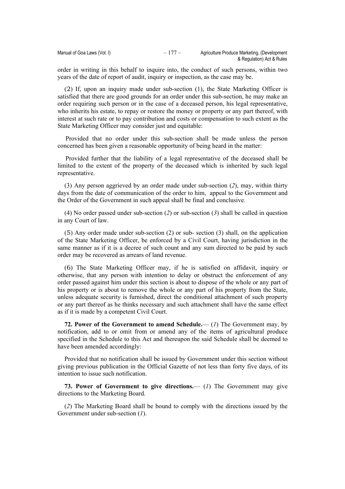order in writing in this behalf to inquire into, the conduct of such persons, within two years of the date of report of audit, inquiry or inspection, as the case may be.

(2) If, upon an inquiry made under sub-section (1), the State Marketing Officer is satisfied that there are good grounds for an order under this sub-section, he may make an order requiring such person or in the case of a deceased person, his legal representative, who inherits his estate, to repay or restore the money or property or any part thereof, with interest at such rate or to pay contribution and costs or compensation to such extent as the State Marketing Officer may consider just and equitable:

 Provided that no order under this sub-section shall be made unless the person concerned has been given a reasonable opportunity of being heard in the matter:

 Provided further that the liability of a legal representative of the deceased shall be limited to the extent of the property of the deceased which is inherited by such legal representative.

(3) Any person aggrieved by an order made under sub-section (*2*), may, within thirty days from the date of communication of the order to him, appeal to the Government and the Order of the Government in such appeal shall be final and conclusive.

(4) No order passed under sub-section (*2*) or sub-section (*3*) shall be called in question in any Court of law.

(5) Any order made under sub-section (2) or sub- section (3) shall, on the application of the State Marketing Officer, be enforced by a Civil Court, having jurisdiction in the same manner as if it is a decree of such count and any sum directed to be paid by such order may be recovered as arrears of land revenue.

(6) The State Marketing Officer may, if he is satisfied on affidavit, inquiry or otherwise, that any person with intention to delay or obstruct the enforcement of any order passed against him under this section is about to dispose of the whole or any part of his property or is about to remove the whole or any part of his property from the State, unless adequate security is furnished, direct the conditional attachment of such property or any part thereof as he thinks necessary and such attachment shall have the same effect as if it is made by a competent Civil Court.

**72. Power of the Government to amend Schedule.**— (*1*) The Government may, by notification, add to or omit from or amend any of the items of agricultural produce specified in the Schedule to this Act and thereupon the said Schedule shall be deemed to have been amended accordingly:

Provided that no notification shall be issued by Government under this section without giving previous publication in the Official Gazette of not less than forty five days, of its intention to issue such notification.

**73. Power of Government to give directions.**— (*1*) The Government may give directions to the Marketing Board.

(*2*) The Marketing Board shall be bound to comply with the directions issued by the Government under sub-section (*1*).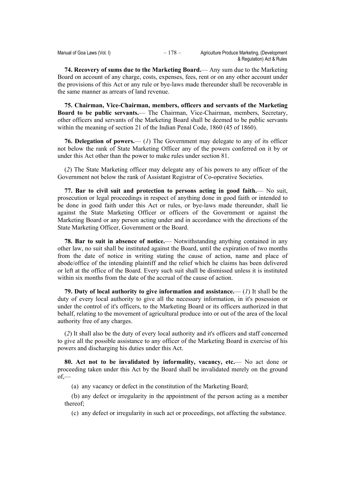| Manual of Goa Laws (Vol. I) |  |
|-----------------------------|--|
|-----------------------------|--|

**74. Recovery of sums due to the Marketing Board.**— Any sum due to the Marketing Board on account of any charge, costs, expenses, fees, rent or on any other account under the provisions of this Act or any rule or bye-laws made thereunder shall be recoverable in the same manner as arrears of land revenue.

**75. Chairman, Vice-Chairman, members, officers and servants of the Marketing Board to be public servants.**— The Chairman, Vice-Chairman, members, Secretary, other officers and servants of the Marketing Board shall be deemed to be public servants within the meaning of section 21 of the Indian Penal Code, 1860 (45 of 1860).

**76. Delegation of powers.**— (*1*) The Government may delegate to any of its officer not below the rank of State Marketing Officer any of the powers conferred on it by or under this Act other than the power to make rules under section 81.

(*2*) The State Marketing officer may delegate any of his powers to any officer of the Government not below the rank of Assistant Registrar of Co-operative Societies.

**77. Bar to civil suit and protection to persons acting in good faith.**— No suit, prosecution or legal proceedings in respect of anything done in good faith or intended to be done in good faith under this Act or rules, or bye-laws made thereunder, shall lie against the State Marketing Officer or officers of the Government or against the Marketing Board or any person acting under and in accordance with the directions of the State Marketing Officer, Government or the Board.

**78. Bar to suit in absence of notice.**— Notwithstanding anything contained in any other law, no suit shall be instituted against the Board, until the expiration of two months from the date of notice in writing stating the cause of action, name and place of abode/office of the intending plaintiff and the relief which he claims has been delivered or left at the office of the Board. Every such suit shall be dismissed unless it is instituted within six months from the date of the accrual of the cause of action.

**79. Duty of local authority to give information and assistance.**— (*1*) It shall be the duty of every local authority to give all the necessary information, in it's posession or under the control of it's officers, to the Marketing Board or its officers authorized in that behalf, relating to the movement of agricultural produce into or out of the area of the local authority free of any charges.

(*2*) It shall also be the duty of every local authority and it's officers and staff concerned to give all the possible assistance to any officer of the Marketing Board in exercise of his powers and discharging his duties under this Act.

**80. Act not to be invalidated by informality, vacancy, etc.**— No act done or proceeding taken under this Act by the Board shall be invalidated merely on the ground  $of$ —

(a) any vacancy or defect in the constitution of the Marketing Board;

(b) any defect or irregularity in the appointment of the person acting as a member thereof;

(c) any defect or irregularity in such act or proceedings, not affecting the substance.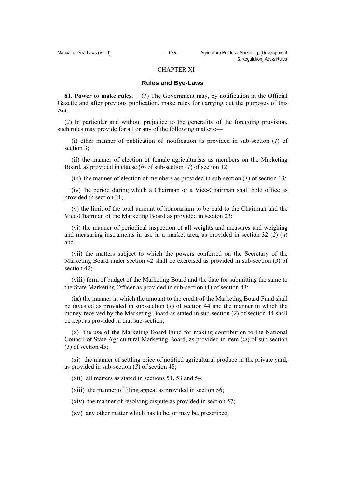#### CHAPTER XI

#### **Rules and Bye-Laws**

**81. Power to make rules.**— (*1*) The Government may, by notification in the Official Gazette and after previous publication, make rules for carrying out the purposes of this Act.

(*2*) In particular and without prejudice to the generality of the foregoing provision, such rules may provide for all or any of the following matters:-

(i) other manner of publication of. notification as provided in sub-section (*1*) of section 3;

(ii) the manner of election of female agriculturists as members on the Marketing Board, as provided in clause (*b*) of sub-section (*1*) of section 12;

(iii) the manner of election of members as provided in sub-section  $(1)$  of section 13;

(iv) the period during which a Chairman or a Vice-Chairman shall hold office as provided in section 21;

(v) the limit of the total amount of honorarium to be paid to the Chairman and the Vice-Chairman of the Marketing Board as provided in section 23;

(vi) the manner of periodical inspection of all weights and measures and weighing and measuring instruments in use in a market area, as provided in section 32 (*2*) (*u*) and

(vii) the matters subject to which the powers conferred on the Secretary of the Marketing Board under section 42 shall be exercised as provided in sub-section (*3*) of section 42;

(viii) form of budget of the Marketing Board and the date for submitting the same to the State Marketing Officer as provided in sub-section (1) of section 43;

(ix) the manner in which the amount to the credit of the Marketing Board Fund shall be invested as provided in sub-section (*1*) of section 44 and the manner in which the money received by the Marketing Board as stated in sub-section (*2*) of section 44 shall be kept as provided in that sub-section;

(x) the use of the Marketing Board Fund for making contribution to the National Council of State Agricultural Marketing Board, as provided in item (*xi*) of sub-section (*1*) of section 45;

(xi) the manner of settling price of notified agricultural produce in the private yard, as provided in sub-section (*3*) of section 48;

(xii) all matters as stated in sections 51, 53 and 54;

(xiii) the manner of filing appeal as provided in section 56;

(xiv) the manner of resolving dispute as provided in section 57;

(xv) any other matter which has to be, or may be, prescribed.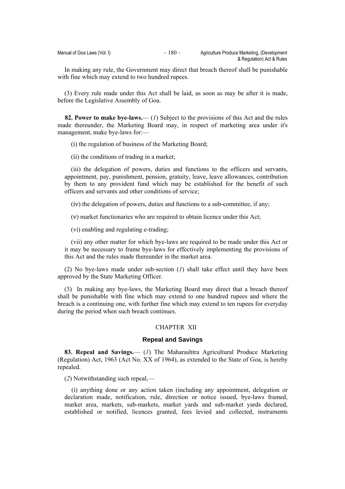In making any rule, the Government may direct that breach thereof shall be punishable with fine which may extend to two hundred rupees.

(3) Every rule made under this Act shall be laid, as soon as may be after it is made, before the Legislative Assembly of Goa.

 **82. Power to make bye-laws.**— (*1*) Subject to the provisions of this Act and the rules made thereunder, the Marketing Board may, in respect of marketing area under it's management, make bye-laws for:—

(i) the regulation of business of the Marketing Board;

(ii) the conditions of trading in a market;

(iii) the delegation of powers, duties and functions to the officers and servants, appointment, pay, punishment, pension, gratuity, leave, leave allowances, contribution by them to any provident fund which may be established for the benefit of such officers and servants and other conditions of service;

(iv) the delegation of powers, duties and functions to a sub-committee, if any;

(v) market functionaries who are required to obtain licence under this Act;

(vi) enabling and regulating e-trading;

(vii) any other matter for which bye-laws are required to be made under this Act or it may be necessary to frame bye-laws for effectively implementing the provisions of this Act and the rules made thereunder in the market area.

(2) No bye-laws made under sub-section (*1*) shall take effect until they have been approved by the State Marketing Officer.

(3) In making any bye-laws, the Marketing Board may direct that a breach thereof shall be punishable with fine which may extend to one hundred rupees and where the breach is a continuing one, with further fine which may extend to ten rupees for everyday during the period when such breach continues.

# CHAPTER XII

# **Repeal and Savings**

**83. Repeal and Savings.**— (*1*) The Maharashtra Agricultural Produce Marketing (Regulation) Act, 1963 (Act No. XX of 1964), as extended to the State of Goa, is hereby repealed.

(*2*) Notwithstanding such repeal,—

(i) anything done or any action taken (including any appointment, delegation or declaration made, notification, rule, direction or notice issued, bye-laws framed, market area, markets, sub-markets, market yards and sub-market yards declared, established or notified, licences granted, fees levied and collected, instruments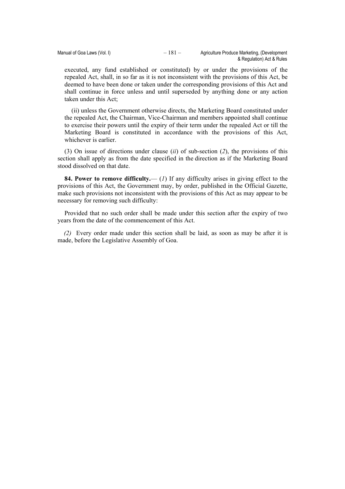executed, any fund established or constituted) by or under the provisions of the repealed Act, shall, in so far as it is not inconsistent with the provisions of this Act, be deemed to have been done or taken under the corresponding provisions of this Act and shall continue in force unless and until superseded by anything done or any action taken under this Act;

(ii) unless the Government otherwise directs, the Marketing Board constituted under the repealed Act, the Chairman, Vice-Chairman and members appointed shall continue to exercise their powers until the expiry of their term under the repealed Act or till the Marketing Board is constituted in accordance with the provisions of this Act, whichever is earlier.

(3) On issue of directions under clause (*ii*) of sub-section (*2*), the provisions of this section shall apply as from the date specified in the direction as if the Marketing Board stood dissolved on that date.

**84. Power to remove difficulty.**— (*1*) If any difficulty arises in giving effect to the provisions of this Act, the Government may, by order, published in the Official Gazette, make such provisions not inconsistent with the provisions of this Act as may appear to be necessary for removing such difficulty:

Provided that no such order shall be made under this section after the expiry of two years from the date of the commencement of this Act.

 *(2)* Every order made under this section shall be laid, as soon as may be after it is made, before the Legislative Assembly of Goa.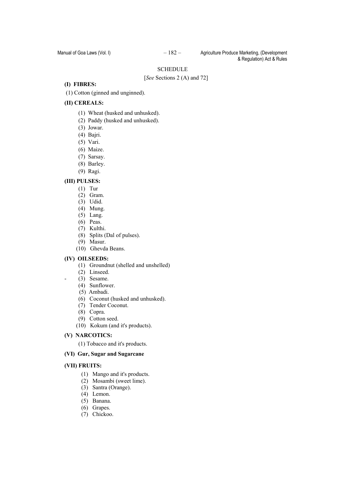### Manual of Goa Laws (Vol. I) – 182 – Agriculture Produce Marketing, (Development & Regulation) Act & Rules

### **SCHEDULE**

#### [*See* Sections 2 (A) and 72]

## **(I) FIBRES:**

(1) Cotton (ginned and unginned).

# **(II) CEREALS:**

- (1) Wheat (husked and unhusked).
- (2) Paddy (husked and unhusked).
- (3) Jowar.
- (4) Bajri.
- (5) Vari.
- (6) Maize.
- (7) Sarsay.
- (8) Barley.
- (9) Ragi.

### **(III) PULSES:**

- (1) Tur
- (2) Gram.
- (3) Udid.
- $(4)$  Mung.
- (5) Lang.
- (6) Peas.
- (7) Kulthi.
- (8) Splits (Dal of pulses).
- (9) Masur.
- (10) Ghevda Beans.

# **(IV) OILSEEDS:**

- (1) Groundnut (shelled and unshelled)
- (2) Linseed.
- (3) Sesame.
- (4) Sunflower.
- (5) Ambadi.
- (6) Coconut (husked and unhusked).
- (7) Tender Coconut.
- (8) Copra.
- (9) Cotton seed.
- (10) Kokum (and it's products).

#### **(V) NARCOTICS:**

(1) Tobacco and it's products.

### **(VI) Gur, Sugar and Sugarcane**

## **(VII) FRUITS:**

- (1) Mango and it's products.
- (2) Mosambi (sweet lime).
- (3) Santra (Orange).
- (4) Lemon.
- (5) Banana.
- (6) Grapes.
- (7) Chickoo.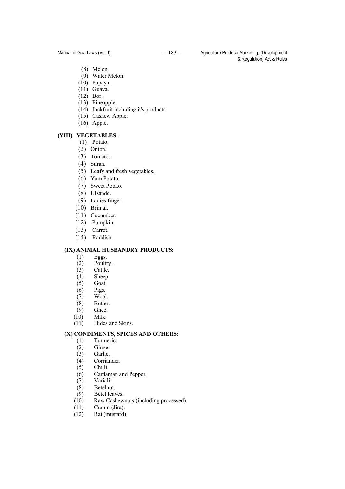- (8) Melon.
- (9) Water Melon.
- (10) Papaya.
- (11) Guava.
- (12) Bor.
- (13) Pineapple.
- (14) Jackfruit including it's products.
- (15) Cashew Apple.
- (16) Apple.

### **(VIII) VEGETABLES:**

- (1) Potato.
- (2) Onion.
- (3) Tomato.
- (4) Suran.
- (5) Leafy and fresh vegetables.
- (6) Yam Potato.
- (7) Sweet Potato.
- (8) Ulsande.
- (9) Ladies finger.
- (10) Brinjal.
- (11) Cucumber.
- (12) Pumpkin.
- (13) Carrot.
- (14) Raddish.

### **(IX) ANIMAL HUSBANDRY PRODUCTS:**

- (1) Eggs.
- (2) Poultry.
- $(3)$  Cattle.
- (4) Sheep.
- (5) Goat.
- $(6)$  Pigs.
- (7) Wool.
- (8) Butter.
- (9) Ghee.
- (10) Milk.
- (11) Hides and Skins.

# **(X) CONDIMENTS, SPICES AND OTHERS:**

- (1) Turmeric.
- (2) Ginger.
- (3) Garlic.
- (4) Corriander.
- Chilli.
- (6) Cardaman and Pepper.
- (7) Variali.
- (8) Betelnut.
- (9) Betel leaves.
- (10) Raw Cashewnuts (including processed).
- (11) Cumin (Jira).
- (12) Rai (mustard).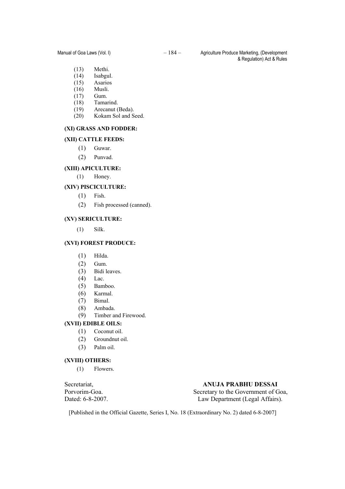Manual of Goa Laws (Vol. I)  $-184 -$  Agriculture Produce Marketing, (Development & Regulation) Act & Rules

- (13) Methi.
- (14) Isabgul.
- (15) Asarios
- (16) Musli.
- (17) Gum.
- (18) Tamarind.
- (19) Arecanut (Beda).
- (20) Kokam Sol and Seed.

# **(XI) GRASS AND FODDER:**

# **(XII) CATTLE FEEDS:**

- (1) Guwar.
- (2) Punvad.

### **(XIII) APICULTURE:**

(1) Honey.

### **(XIV) PISCICULTURE:**

- (1) Fish.
- (2) Fish processed (canned).

# **(XV) SERICULTURE:**

(1) Silk.

### **(XVI) FOREST PRODUCE:**

- (1) Hilda.
- (2) Gum.
- (3) Bidi leaves.
- (4) Lac.
- (5) Bamboo.
- (6) Karmal.
- (7) Bimal.
- (8) Ambada.
- (9) Timber and Firewood.

## **(XVII) EDIBLE OILS:**

- (1) Coconut oil.
- (2) Groundnut oil.
- (3) Palm oil.

### **(XVIII) OTHERS:**

(1) Flowers.

# Secretariat, **ANUJA PRABHU DESSAI**

Porvorim-Goa. Secretary to the Government of Goa, Dated: 6-8-2007. Law Department (Legal Affairs).

[Published in the Official Gazette, Series I, No. 18 (Extraordinary No. 2) dated 6-8-2007]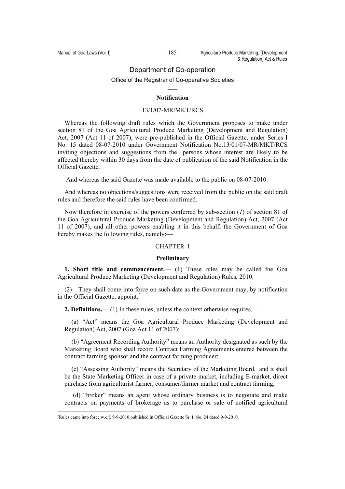# Department of Co-operation

### Office of the Registrar of Co-operative Societies  $\overline{\phantom{a}}$

#### **Notification**

#### 13/1/07-MR/MKT/RCS

Whereas the following draft rules which the Government proposes to make under section 81 of the Goa Agricultural Produce Marketing (Development and Regulation) Act, 2007 (Act 11 of 2007), were pre-published in the Official Gazette, under Series I No. 15 dated 08-07-2010 under Government Notification No.13/01/07-MR/MKT/RCS inviting objections and suggestions from the persons whose interest are likely to be affected thereby within 30 days from the date of publication of the said Notification in the Official Gazette.

And whereas the said Gazette was made available to the public on 08-07-2010.

And whereas no objections/suggestions were received from the public on the said draft rules and therefore the said rules have been confirmed.

Now therefore in exercise of the powers conferred by sub-section (*1*) of section 81 of the Goa Agricultural Produce Marketing (Development and Regulation) Act, 2007 (Act 11 of 2007), and all other powers enabling it in this behalf, the Government of Goa hereby makes the following rules, namely:—

# CHAPTER I

#### **Preliminary**

**1. Short title and commencement.—** (1) These rules may be called the Goa Agricultural Produce Marketing (Development and Regulation) Rules, 2010.

(2) They shall come into force on such date as the Government may, by notification in the Official Gazette, appoint.<sup>\*</sup>

**2. Definitions.—** (1) In these rules, unless the context otherwise requires,—

(a) "Act" means the Goa Agricultural Produce Marketing (Development and Regulation) Act, 2007 (Goa Act 11 of 2007);

(b) "Agreement Recording Authority" means an Authority designated as such by the Marketing Board who shall record Contract Farming Agreements entered between the contract farming sponsor and the contract farming producer;

(c) "Assessing Authority" means the Secretary of the Marketing Board, and it shall be the State Marketing Officer in case of a private market, including E-market, direct purchase from agriculturist farmer, consumer/farmer market and contract farming;

 (d) "broker" means an agent whose ordinary business is to negotiate and make contracts on payments of brokerage as to purchase or sale of notified agricultural

 $\overline{a}$ 

<sup>\*</sup> Rules came into force w.e.f. 9-9-2010 published in Official Gazette Sr. I. No. 24 dated 9-9-2010.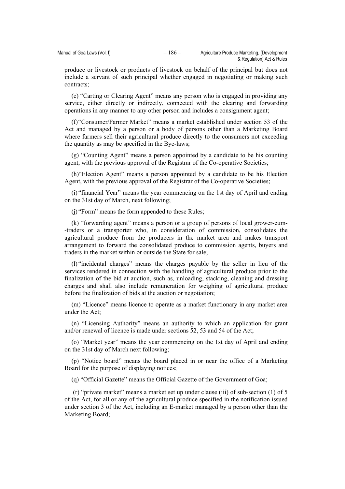produce or livestock or products of livestock on behalf of the principal but does not include a servant of such principal whether engaged in negotiating or making such contracts;

(e) "Carting or Clearing Agent" means any person who is engaged in providing any service, either directly or indirectly, connected with the clearing and forwarding operations in any manner to any other person and includes a consignment agent;

(f) "Consumer/Farmer Market" means a market established under section 53 of the Act and managed by a person or a body of persons other than a Marketing Board where farmers sell their agricultural produce directly to the consumers not exceeding the quantity as may be specified in the Bye-laws;

(g) "Counting Agent" means a person appointed by a candidate to be his counting agent, with the previous approval of the Registrar of the Co-operative Societies;

(h)"Election Agent" means a person appointed by a candidate to be his Election Agent, with the previous approval of the Registrar of the Co-operative Societies;

(i) "financial Year" means the year commencing on the 1st day of April and ending on the 31st day of March, next following;

(j) "Form" means the form appended to these Rules;

(k) "forwarding agent" means a person or a group of persons of local grower-cum- -traders or a transporter who, in consideration of commission, consolidates the agricultural produce from the producers in the market area and makes transport arrangement to forward the consolidated produce to commission agents, buyers and traders in the market within or outside the State for sale;

(l) "incidental charges" means the charges payable by the seller in lieu of the services rendered in connection with the handling of agricultural produce prior to the finalization of the bid at auction, such as, unloading, stacking, cleaning and dressing charges and shall also include remuneration for weighing of agricultural produce before the finalization of bids at the auction or negotiation;

(m) "Licence" means licence to operate as a market functionary in any market area under the Act;

(n) "Licensing Authority" means an authority to which an application for grant and/or renewal of licence is made under sections 52, 53 and 54 of the Act;

(o) "Market year" means the year commencing on the 1st day of April and ending on the 31st day of March next following;

(p) "Notice board" means the board placed in or near the office of a Marketing Board for the purpose of displaying notices;

(q) "Official Gazette" means the Official Gazette of the Government of Goa;

 (r) "private market" means a market set up under clause (iii) of sub-section (1) of 5 of the Act, for all or any of the agricultural produce specified in the notification issued under section 3 of the Act, including an E-market managed by a person other than the Marketing Board;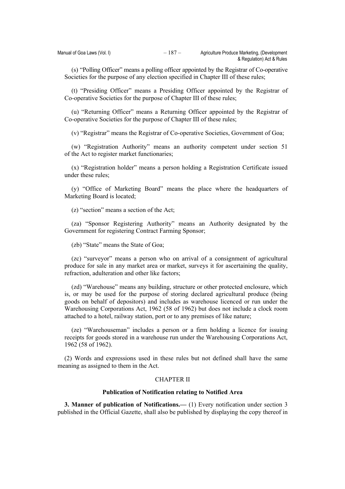(s) "Polling Officer" means a polling officer appointed by the Registrar of Co-operative Societies for the purpose of any election specified in Chapter III of these rules;

(t) "Presiding Officer" means a Presiding Officer appointed by the Registrar of Co-operative Societies for the purpose of Chapter III of these rules;

(u) "Returning Officer" means a Returning Officer appointed by the Registrar of Co-operative Societies for the purpose of Chapter III of these rules;

(v) "Registrar" means the Registrar of Co-operative Societies, Government of Goa;

(w) "Registration Authority" means an authority competent under section 51 of the Act to register market functionaries;

(x) "Registration holder" means a person holding a Registration Certificate issued under these rules;

(y) "Office of Marketing Board" means the place where the headquarters of Marketing Board is located;

(z) "section" means a section of the Act;

(za) "Sponsor Registering Authority" means an Authority designated by the Government for registering Contract Farming Sponsor;

(zb) "State" means the State of Goa;

(zc) "surveyor" means a person who on arrival of a consignment of agricultural produce for sale in any market area or market, surveys it for ascertaining the quality, refraction, adulteration and other like factors;

(zd) "Warehouse" means any building, structure or other protected enclosure, which is, or may be used for the purpose of storing declared agricultural produce (being goods on behalf of depositors) and includes as warehouse licenced or run under the Warehousing Corporations Act, 1962 (58 of 1962) but does not include a clock room attached to a hotel, railway station, port or to any premises of like nature;

(ze) "Warehouseman" includes a person or a firm holding a licence for issuing receipts for goods stored in a warehouse run under the Warehousing Corporations Act, 1962 (58 of 1962).

(2) Words and expressions used in these rules but not defined shall have the same meaning as assigned to them in the Act.

# CHAPTER II

### **Publication of Notification relating to Notified Area**

**3. Manner of publication of Notifications.—** (1) Every notification under section 3 published in the Official Gazette, shall also be published by displaying the copy thereof in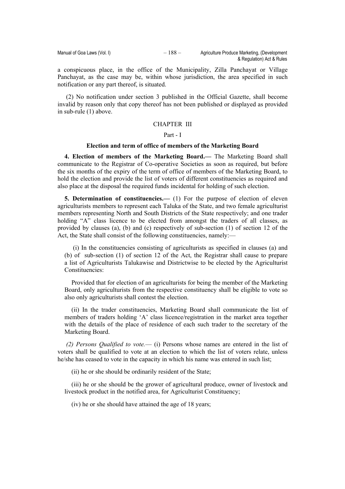a conspicuous place, in the office of the Municipality, Zilla Panchayat or Village Panchayat, as the case may be, within whose jurisdiction, the area specified in such notification or any part thereof, is situated.

 (2) No notification under section 3 published in the Official Gazette, shall become invalid by reason only that copy thereof has not been published or displayed as provided in sub-rule (1) above.

### CHAPTER III

#### Part - I

# **Election and term of office of members of the Marketing Board**

**4. Election of members of the Marketing Board.—** The Marketing Board shall communicate to the Registrar of Co-operative Societies as soon as required, but before the six months of the expiry of the term of office of members of the Marketing Board, to hold the election and provide the list of voters of different constituencies as required and also place at the disposal the required funds incidental for holding of such election.

**5. Determination of constituencies.—** (1) For the purpose of election of eleven agriculturists members to represent each Taluka of the State, and two female agriculturist members representing North and South Districts of the State respectively; and one trader holding "A" class licence to be elected from amongst the traders of all classes, as provided by clauses (a), (b) and (c) respectively of sub-section (1) of section 12 of the Act, the State shall consist of the following constituencies, namely:—

 (i) In the constituencies consisting of agriculturists as specified in clauses (a) and (b) of sub-section (1) of section 12 of the Act, the Registrar shall cause to prepare a list of Agriculturists Talukawise and Districtwise to be elected by the Agriculturist Constituencies:

Provided that for election of an agriculturists for being the member of the Marketing Board, only agriculturists from the respective constituency shall be eligible to vote so also only agriculturists shall contest the election.

(ii) In the trader constituencies, Marketing Board shall communicate the list of members of traders holding 'A' class licence/registration in the market area together with the details of the place of residence of each such trader to the secretary of the Marketing Board.

 *(2) Persons Qualified to vote.*— (i) Persons whose names are entered in the list of voters shall be qualified to vote at an election to which the list of voters relate, unless he/she has ceased to vote in the capacity in which his name was entered in such list;

(ii) he or she should be ordinarily resident of the State;

(iii) he or she should be the grower of agricultural produce, owner of livestock and livestock product in the notified area, for Agriculturist Constituency;

(iv) he or she should have attained the age of 18 years;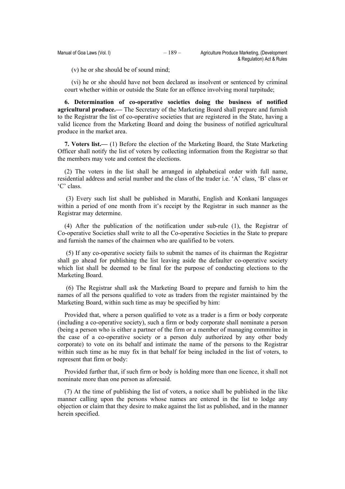(v) he or she should be of sound mind;

(vi) he or she should have not been declared as insolvent or sentenced by criminal court whether within or outside the State for an offence involving moral turpitude;

**6. Determination of co-operative societies doing the business of notified agricultural produce.—** The Secretary of the Marketing Board shall prepare and furnish to the Registrar the list of co-operative societies that are registered in the State, having a valid licence from the Marketing Board and doing the business of notified agricultural produce in the market area.

**7. Voters list.—** (1) Before the election of the Marketing Board, the State Marketing Officer shall notify the list of voters by collecting information from the Registrar so that the members may vote and contest the elections.

(2) The voters in the list shall be arranged in alphabetical order with full name, residential address and serial number and the class of the trader i.e. 'A' class, 'B' class or 'C' class.

 (3) Every such list shall be published in Marathi, English and Konkani languages within a period of one month from it's receipt by the Registrar in such manner as the Registrar may determine.

(4) After the publication of the notification under sub-rule (1), the Registrar of Co-operative Societies shall write to all the Co-operative Societies in the State to prepare and furnish the names of the chairmen who are qualified to be voters.

 (5) If any co-operative society fails to submit the names of its chairman the Registrar shall go ahead for publishing the list leaving aside the defaulter co-operative society which list shall be deemed to be final for the purpose of conducting elections to the Marketing Board.

 (6) The Registrar shall ask the Marketing Board to prepare and furnish to him the names of all the persons qualified to vote as traders from the register maintained by the Marketing Board, within such time as may be specified by him:

Provided that, where a person qualified to vote as a trader is a firm or body corporate (including a co-operative society), such a firm or body corporate shall nominate a person (being a person who is either a partner of the firm or a member of managing committee in the case of a co-operative society or a person duly authorized by any other body corporate) to vote on its behalf and intimate the name of the persons to the Registrar within such time as he may fix in that behalf for being included in the list of voters, to represent that firm or body:

Provided further that, if such firm or body is holding more than one licence, it shall not nominate more than one person as aforesaid.

(7) At the time of publishing the list of voters, a notice shall be published in the like manner calling upon the persons whose names are entered in the list to lodge any objection or claim that they desire to make against the list as published, and in the manner herein specified.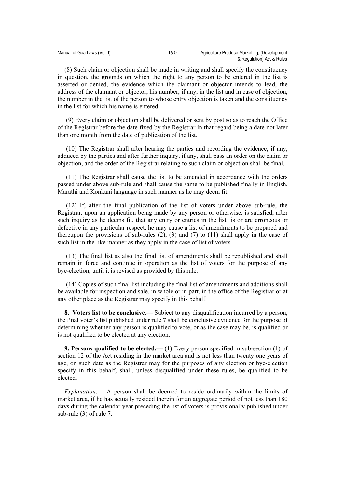(8) Such claim or objection shall be made in writing and shall specify the constituency in question, the grounds on which the right to any person to be entered in the list is asserted or denied, the evidence which the claimant or objector intends to lead, the address of the claimant or objector, his number, if any, in the list and in case of objection, the number in the list of the person to whose entry objection is taken and the constituency in the list for which his name is entered.

 (9) Every claim or objection shall be delivered or sent by post so as to reach the Office of the Registrar before the date fixed by the Registrar in that regard being a date not later than one month from the date of publication of the list.

 (10) The Registrar shall after hearing the parties and recording the evidence, if any, adduced by the parties and after further inquiry, if any, shall pass an order on the claim or objection, and the order of the Registrar relating to such claim or objection shall be final.

 (11) The Registrar shall cause the list to be amended in accordance with the orders passed under above sub-rule and shall cause the same to be published finally in English, Marathi and Konkani language in such manner as he may deem fit.

 (12) If, after the final publication of the list of voters under above sub-rule, the Registrar, upon an application being made by any person or otherwise, is satisfied, after such inquiry as he deems fit, that any entry or entries in the list is or are erroneous or defective in any particular respect, he may cause a list of amendments to be prepared and thereupon the provisions of sub-rules  $(2)$ ,  $(3)$  and  $(7)$  to  $(11)$  shall apply in the case of such list in the like manner as they apply in the case of list of voters.

 (13) The final list as also the final list of amendments shall be republished and shall remain in force and continue in operation as the list of voters for the purpose of any bye-election, until it is revised as provided by this rule.

 (14) Copies of such final list including the final list of amendments and additions shall be available for inspection and sale, in whole or in part, in the office of the Registrar or at any other place as the Registrar may specify in this behalf.

**8. Voters list to be conclusive.—** Subject to any disqualification incurred by a person, the final voter's list published under rule 7 shall be conclusive evidence for the purpose of determining whether any person is qualified to vote, or as the case may be, is qualified or is not qualified to be elected at any election.

**9. Persons qualified to be elected.—** (1) Every person specified in sub-section (1) of section 12 of the Act residing in the market area and is not less than twenty one years of age, on such date as the Registrar may for the purposes of any election or bye-election specify in this behalf, shall, unless disqualified under these rules, be qualified to be elected.

*Explanation*.— A person shall be deemed to reside ordinarily within the limits of market area, if he has actually resided therein for an aggregate period of not less than 180 days during the calendar year preceding the list of voters is provisionally published under sub-rule (3) of rule 7.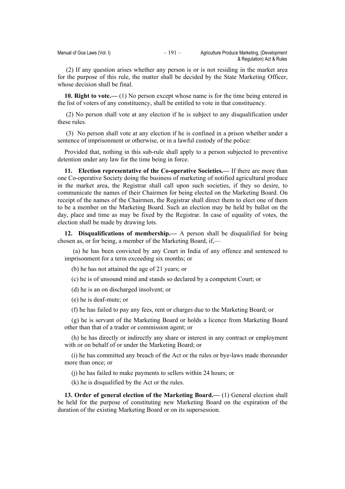(2) If any question arises whether any person is or is not residing in the market area for the purpose of this rule, the matter shall be decided by the State Marketing Officer, whose decision shall be final.

**10. Right to vote.—** (1) No person except whose name is for the time being entered in the list of voters of any constituency, shall be entitled to vote in that constituency.

 (2) No person shall vote at any election if he is subject to any disqualification under these rules.

 (3) No person shall vote at any election if he is confined in a prison whether under a sentence of imprisonment or otherwise, or in a lawful custody of the police:

Provided that, nothing in this sub-rule shall apply to a person subjected to preventive detention under any law for the time being in force.

**11. Election representative of the Co-operative Societies.—** If there are more than one Co-operative Society doing the business of marketing of notified agricultural produce in the market area, the Registrar shall call upon such societies, if they so desire, to communicate the names of their Chairmen for being elected on the Marketing Board. On receipt of the names of the Chairmen, the Registrar shall direct them to elect one of them to be a member on the Marketing Board. Such an election may be held by ballot on the day, place and time as may be fixed by the Registrar. In case of equality of votes, the election shall be made by drawing lots.

**12. Disqualifications of membership.—** A person shall be disqualified for being chosen as, or for being, a member of the Marketing Board, if,—

 (a) he has been convicted by any Court in India of any offence and sentenced to imprisonment for a term exceeding six months; or

(b) he has not attained the age of 21 years; or

(c) he is of unsound mind and stands so declared by a competent Court; or

(d) he is an on discharged insolvent; or

(e) he is deaf-mute; or

(f) he has failed to pay any fees, rent or charges due to the Marketing Board; or

(g) he is servant of the Marketing Board or holds a licence from Marketing Board other than that of a trader or commission agent; or

(h) he has directly or indirectly any share or interest in any contract or employment with or on behalf of or under the Marketing Board; or

(i) he has committed any breach of the Act or the rules or bye-laws made thereunder more than once; or

(j) he has failed to make payments to sellers within 24 hours; or

(k) he is disqualified by the Act or the rules.

**13. Order of general election of the Marketing Board.—** (1) General election shall be held for the purpose of constituting new Marketing Board on the expiration of the duration of the existing Marketing Board or on its supersession.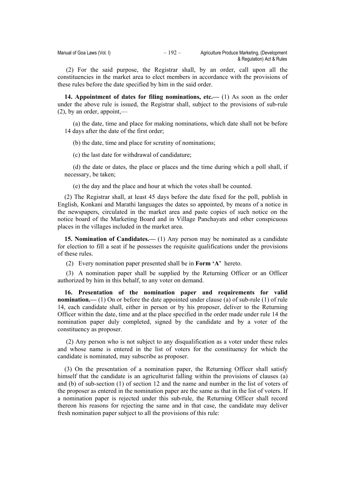(2) For the said purpose, the Registrar shall, by an order, call upon all the constituencies in the market area to elect members in accordance with the provisions of these rules before the date specified by him in the said order.

**14. Appointment of dates for filing nominations, etc.—** (1) As soon as the order under the above rule is issued, the Registrar shall, subject to the provisions of sub-rule  $(2)$ , by an order, appoint,—

 (a) the date, time and place for making nominations, which date shall not be before 14 days after the date of the first order;

(b) the date, time and place for scrutiny of nominations;

(c) the last date for withdrawal of candidature;

 (d) the date or dates, the place or places and the time during which a poll shall, if necessary, be taken;

(e) the day and the place and hour at which the votes shall be counted.

(2) The Registrar shall, at least 45 days before the date fixed for the poll, publish in English, Konkani and Marathi languages the dates so appointed, by means of a notice in the newspapers, circulated in the market area and paste copies of such notice on the notice board of the Marketing Board and in Village Panchayats and other conspicuous places in the villages included in the market area.

**15. Nomination of Candidates.—** (1) Any person may be nominated as a candidate for election to fill a seat if he possesses the requisite qualifications under the provisions of these rules.

(2) Every nomination paper presented shall be in **Form 'A'** hereto.

 (3) A nomination paper shall be supplied by the Returning Officer or an Officer authorized by him in this behalf, to any voter on demand.

**16. Presentation of the nomination paper and requirements for valid nomination.—** (1) On or before the date appointed under clause (a) of sub-rule (1) of rule 14, each candidate shall, either in person or by his proposer, deliver to the Returning Officer within the date, time and at the place specified in the order made under rule 14 the nomination paper duly completed, signed by the candidate and by a voter of the constituency as proposer.

 (2) Any person who is not subject to any disqualification as a voter under these rules and whose name is entered in the list of voters for the constituency for which the candidate is nominated, may subscribe as proposer.

(3) On the presentation of a nomination paper, the Returning Officer shall satisfy himself that the candidate is an agriculturist falling within the provisions of clauses (a) and (b) of sub-section (1) of section 12 and the name and number in the list of voters of the proposer as entered in the nomination paper are the same as that in the list of voters. If a nomination paper is rejected under this sub-rule, the Returning Officer shall record thereon his reasons for rejecting the same and in that case, the candidate may deliver fresh nomination paper subject to all the provisions of this rule: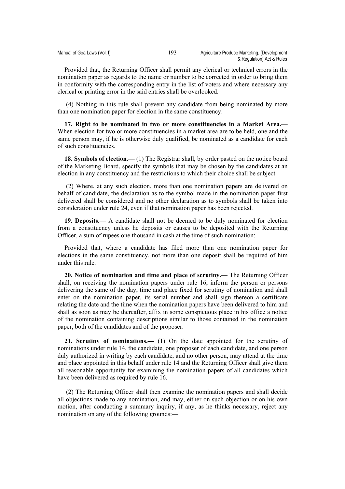Provided that, the Returning Officer shall permit any clerical or technical errors in the nomination paper as regards to the name or number to be corrected in order to bring them in conformity with the corresponding entry in the list of voters and where necessary any clerical or printing error in the said entries shall be overlooked.

 (4) Nothing in this rule shall prevent any candidate from being nominated by more than one nomination paper for election in the same constituency.

**17. Right to be nominated in two or more constituencies in a Market Area.—** When election for two or more constituencies in a market area are to be held, one and the same person may, if he is otherwise duly qualified, be nominated as a candidate for each of such constituencies.

**18. Symbols of election.—** (1) The Registrar shall, by order pasted on the notice board of the Marketing Board, specify the symbols that may be chosen by the candidates at an election in any constituency and the restrictions to which their choice shall be subject.

 (2) Where, at any such election, more than one nomination papers are delivered on behalf of candidate, the declaration as to the symbol made in the nomination paper first delivered shall be considered and no other declaration as to symbols shall be taken into consideration under rule 24, even if that nomination paper has been rejected.

**19. Deposits.—** A candidate shall not be deemed to be duly nominated for election from a constituency unless he deposits or causes to be deposited with the Returning Officer, a sum of rupees one thousand in cash at the time of such nomination:

Provided that, where a candidate has filed more than one nomination paper for elections in the same constituency, not more than one deposit shall be required of him under this rule.

**20. Notice of nomination and time and place of scrutiny.—** The Returning Officer shall, on receiving the nomination papers under rule 16, inform the person or persons delivering the same of the day, time and place fixed for scrutiny of nomination and shall enter on the nomination paper, its serial number and shall sign thereon a certificate relating the date and the time when the nomination papers have been delivered to him and shall as soon as may be thereafter, affix in some conspicuous place in his office a notice of the nomination containing descriptions similar to those contained in the nomination paper, both of the candidates and of the proposer.

**21. Scrutiny of nominations.—** (1) On the date appointed for the scrutiny of nominations under rule 14, the candidate, one proposer of each candidate, and one person duly authorized in writing by each candidate, and no other person, may attend at the time and place appointed in this behalf under rule 14 and the Returning Officer shall give them all reasonable opportunity for examining the nomination papers of all candidates which have been delivered as required by rule 16.

 (2) The Returning Officer shall then examine the nomination papers and shall decide all objections made to any nomination, and may, either on such objection or on his own motion, after conducting a summary inquiry, if any, as he thinks necessary, reject any nomination on any of the following grounds:—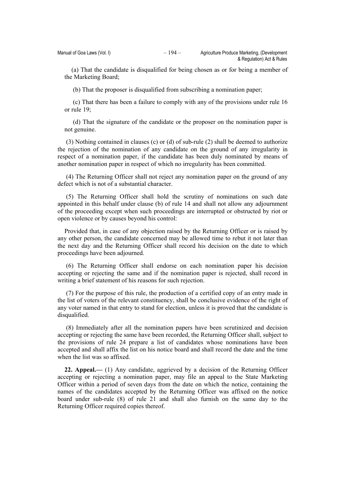(a) That the candidate is disqualified for being chosen as or for being a member of the Marketing Board;

(b) That the proposer is disqualified from subscribing a nomination paper;

 (c) That there has been a failure to comply with any of the provisions under rule 16 or rule 19;

 (d) That the signature of the candidate or the proposer on the nomination paper is not genuine.

 (3) Nothing contained in clauses (c) or (d) of sub-rule (2) shall be deemed to authorize the rejection of the nomination of any candidate on the ground of any irregularity in respect of a nomination paper, if the candidate has been duly nominated by means of another nomination paper in respect of which no irregularity has been committed.

 (4) The Returning Officer shall not reject any nomination paper on the ground of any defect which is not of a substantial character.

 (5) The Returning Officer shall hold the scrutiny of nominations on such date appointed in this behalf under clause (b) of rule 14 and shall not allow any adjournment of the proceeding except when such proceedings are interrupted or obstructed by riot or open violence or by causes beyond his control:

Provided that, in case of any objection raised by the Returning Officer or is raised by any other person, the candidate concerned may be allowed time to rebut it not later than the next day and the Returning Officer shall record his decision on the date to which proceedings have been adjourned.

 (6) The Returning Officer shall endorse on each nomination paper his decision accepting or rejecting the same and if the nomination paper is rejected, shall record in writing a brief statement of his reasons for such rejection.

 (7) For the purpose of this rule, the production of a certified copy of an entry made in the list of voters of the relevant constituency, shall be conclusive evidence of the right of any voter named in that entry to stand for election, unless it is proved that the candidate is disqualified.

 (8) Immediately after all the nomination papers have been scrutinized and decision accepting or rejecting the same have been recorded, the Returning Officer shall, subject to the provisions of rule 24 prepare a list of candidates whose nominations have been accepted and shall affix the list on his notice board and shall record the date and the time when the list was so affixed.

**22. Appeal.—** (1) Any candidate, aggrieved by a decision of the Returning Officer accepting or rejecting a nomination paper, may file an appeal to the State Marketing Officer within a period of seven days from the date on which the notice, containing the names of the candidates accepted by the Returning Officer was affixed on the notice board under sub-rule (8) of rule 21 and shall also furnish on the same day to the Returning Officer required copies thereof.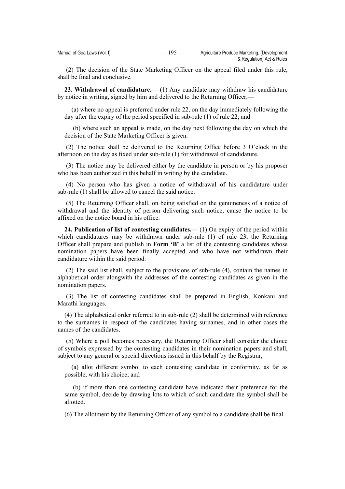(2) The decision of the State Marketing Officer on the appeal filed under this rule, shall be final and conclusive.

**23. Withdrawal of candidature.—** (1) Any candidate may withdraw his candidature by notice in writing, signed by him and delivered to the Returning Officer,—

(a) where no appeal is preferred under rule 22, on the day immediately following the day after the expiry of the period specified in sub-rule (1) of rule 22; and

 (b) where such an appeal is made, on the day next following the day on which the decision of the State Marketing Officer is given.

 (2) The notice shall be delivered to the Returning Office before 3 O'clock in the afternoon on the day as fixed under sub-rule (1) for withdrawal of candidature.

 (3) The notice may be delivered either by the candidate in person or by his proposer who has been authorized in this behalf in writing by the candidate.

 (4) No person who has given a notice of withdrawal of his candidature under sub-rule (1) shall be allowed to cancel the said notice.

 (5) The Returning Officer shall, on being satisfied on the genuineness of a notice of withdrawal and the identity of person delivering such notice, cause the notice to be affixed on the notice board in his office.

**24. Publication of list of contesting candidates.—** (1) On expiry of the period within which candidatures may be withdrawn under sub-rule (1) of rule 23, the Returning Officer shall prepare and publish in **Form 'B'** a list of the contesting candidates whose nomination papers have been finally accepted and who have not withdrawn their candidature within the said period.

 (2) The said list shall, subject to the provisions of sub-rule (4), contain the names in alphabetical order alongwith the addresses of the contesting candidates as given in the nomination papers.

 (3) The list of contesting candidates shall be prepared in English, Konkani and Marathi languages.

(4) The alphabetical order referred to in sub-rule (2) shall be determined with reference to the surnames in respect of the candidates having surnames, and in other cases the names of the candidates.

 (5) Where a poll becomes necessary, the Returning Officer shall consider the choice of symbols expressed by the contesting candidates in their nomination papers and shall, subject to any general or special directions issued in this behalf by the Registrar,—

(a) allot different symbol to each contesting candidate in conformity, as far as possible, with his choice; and

 (b) if more than one contesting candidate have indicated their preference for the same symbol, decide by drawing lots to which of such candidate the symbol shall be allotted.

(6) The allotment by the Returning Officer of any symbol to a candidate shall be final.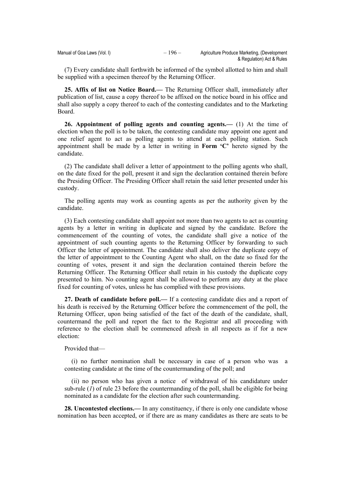(7) Every candidate shall forthwith be informed of the symbol allotted to him and shall be supplied with a specimen thereof by the Returning Officer.

**25. Affix of list on Notice Board.—** The Returning Officer shall, immediately after publication of list, cause a copy thereof to be affixed on the notice board in his office and shall also supply a copy thereof to each of the contesting candidates and to the Marketing Board.

**26. Appointment of polling agents and counting agents.—** (1) At the time of election when the poll is to be taken, the contesting candidate may appoint one agent and one relief agent to act as polling agents to attend at each polling station. Such appointment shall be made by a letter in writing in **Form 'C'** hereto signed by the candidate.

(2) The candidate shall deliver a letter of appointment to the polling agents who shall, on the date fixed for the poll, present it and sign the declaration contained therein before the Presiding Officer. The Presiding Officer shall retain the said letter presented under his custody.

The polling agents may work as counting agents as per the authority given by the candidate.

(3) Each contesting candidate shall appoint not more than two agents to act as counting agents by a letter in writing in duplicate and signed by the candidate. Before the commencement of the counting of votes, the candidate shall give a notice of the appointment of such counting agents to the Returning Officer by forwarding to such Officer the letter of appointment. The candidate shall also deliver the duplicate copy of the letter of appointment to the Counting Agent who shall, on the date so fixed for the counting of votes, present it and sign the declaration contained therein before the Returning Officer. The Returning Officer shall retain in his custody the duplicate copy presented to him. No counting agent shall be allowed to perform any duty at the place fixed for counting of votes, unless he has complied with these provisions.

**27. Death of candidate before poll.—** If a contesting candidate dies and a report of his death is received by the Returning Officer before the commencement of the poll, the Returning Officer, upon being satisfied of the fact of the death of the candidate, shall, countermand the poll and report the fact to the Registrar and all proceeding with reference to the election shall be commenced afresh in all respects as if for a new election:

Provided that—

(i) no further nomination shall be necessary in case of a person who was a contesting candidate at the time of the countermanding of the poll; and

(ii) no person who has given a notice of withdrawal of his candidature under sub-rule  $(1)$  of rule 23 before the countermanding of the poll, shall be eligible for being nominated as a candidate for the election after such countermanding.

**28. Uncontested elections.—** In any constituency, if there is only one candidate whose nomination has been accepted, or if there are as many candidates as there are seats to be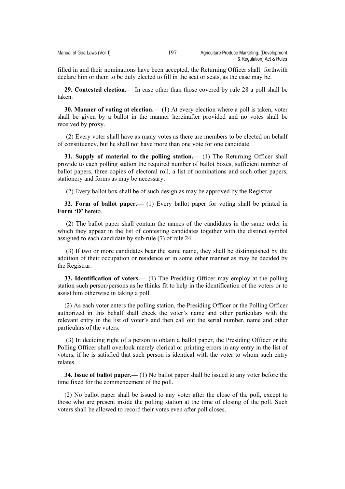filled in and their nominations have been accepted, the Returning Officer shall forthwith declare him or them to be duly elected to fill in the seat or seats, as the case may be.

**29. Contested election.—** In case other than those covered by rule 28 a poll shall be taken.

**30. Manner of voting at election.— (1)** At every election where a poll is taken, voter shall be given by a ballot in the manner hereinafter provided and no votes shall be received by proxy.

 (2) Every voter shall have as many votes as there are members to be elected on behalf of constituency, but he shall not have more than one vote for one candidate.

**31. Supply of material to the polling station.—** (1) The Returning Officer shall provide to each polling station the required number of ballot boxes, sufficient number of ballot papers, three copies of electoral roll, a list of nominations and such other papers, stationery and forms as may be necessary.

(2) Every ballot box shall be of such design as may be approved by the Registrar.

**32. Form of ballot paper.—** (1) Every ballot paper for voting shall be printed in **Form 'D'** hereto.

 (2) The ballot paper shall contain the names of the candidates in the same order in which they appear in the list of contesting candidates together with the distinct symbol assigned to each candidate by sub-rule (7) of rule 24.

 (3) If two or more candidates bear the same name, they shall be distinguished by the addition of their occupation or residence or in some other manner as may be decided by the Registrar.

**33. Identification of voters.—** (1) The Presiding Officer may employ at the polling station such person/persons as he thinks fit to help in the identification of the voters or to assist him otherwise in taking a poll.

(2) As each voter enters the polling station, the Presiding Officer or the Polling Officer authorized in this behalf shall check the voter's name and other particulars with the relevant entry in the list of voter's and then call out the serial number, name and other particulars of the voters.

 (3) In deciding right of a person to obtain a ballot paper, the Presiding Officer or the Polling Officer shall overlook merely clerical or printing errors in any entry in the list of voters, if he is satisfied that such person is identical with the voter to whom such entry relates.

**34. Issue of ballot paper.—** (1) No ballot paper shall be issued to any voter before the time fixed for the commencement of the poll.

(2) No ballot paper shall be issued to any voter after the close of the poll, except to those who are present inside the polling station at the time of closing of the poll. Such voters shall be allowed to record their votes even after poll closes.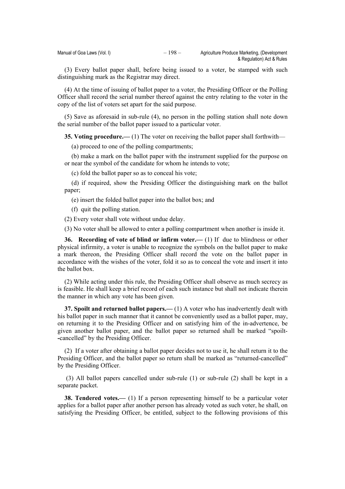(3) Every ballot paper shall, before being issued to a voter, be stamped with such distinguishing mark as the Registrar may direct.

(4) At the time of issuing of ballot paper to a voter, the Presiding Officer or the Polling Officer shall record the serial number thereof against the entry relating to the voter in the copy of the list of voters set apart for the said purpose.

(5) Save as aforesaid in sub-rule (4), no person in the polling station shall note down the serial number of the ballot paper issued to a particular voter.

**35. Voting procedure.—** (1) The voter on receiving the ballot paper shall forthwith—

(a) proceed to one of the polling compartments;

(b) make a mark on the ballot paper with the instrument supplied for the purpose on or near the symbol of the candidate for whom he intends to vote;

(c) fold the ballot paper so as to conceal his vote;

(d) if required, show the Presiding Officer the distinguishing mark on the ballot paper;

(e) insert the folded ballot paper into the ballot box; and

(f) quit the polling station.

(2) Every voter shall vote without undue delay.

(3) No voter shall be allowed to enter a polling compartment when another is inside it.

**36. Recording of vote of blind or infirm voter.—** (1) If due to blindness or other physical infirmity, a voter is unable to recognize the symbols on the ballot paper to make a mark thereon, the Presiding Officer shall record the vote on the ballot paper in accordance with the wishes of the voter, fold it so as to conceal the vote and insert it into the ballot box.

(2) While acting under this rule, the Presiding Officer shall observe as much secrecy as is feasible. He shall keep a brief record of each such instance but shall not indicate therein the manner in which any vote has been given.

**37. Spoilt and returned ballot papers.—(1) A voter who has inadvertently dealt with** his ballot paper in such manner that it cannot be conveniently used as a ballot paper, may, on returning it to the Presiding Officer and on satisfying him of the in-advertence, be given another ballot paper, and the ballot paper so returned shall be marked "spoilt- **-**cancelled" by the Presiding Officer.

(2) If a voter after obtaining a ballot paper decides not to use it, he shall return it to the Presiding Officer, and the ballot paper so return shall be marked as "returned-cancelled" by the Presiding Officer.

 (3) All ballot papers cancelled under sub-rule (1) or sub-rule (2) shall be kept in a separate packet.

**38. Tendered votes.—** (1) If a person representing himself to be a particular voter applies for a ballot paper after another person has already voted as such voter, he shall, on satisfying the Presiding Officer, be entitled, subject to the following provisions of this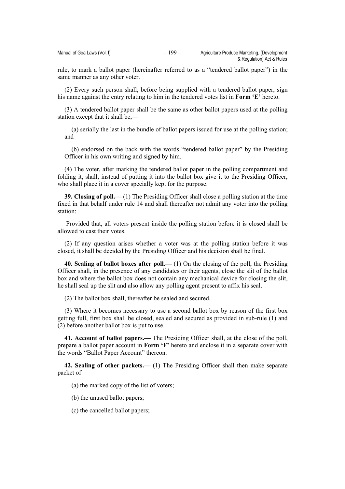rule, to mark a ballot paper (hereinafter referred to as a "tendered ballot paper") in the same manner as any other voter.

(2) Every such person shall, before being supplied with a tendered ballot paper, sign his name against the entry relating to him in the tendered votes list in **Form 'E'** hereto.

(3) A tendered ballot paper shall be the same as other ballot papers used at the polling station except that it shall be,—

(a) serially the last in the bundle of ballot papers issued for use at the polling station; and

(b) endorsed on the back with the words "tendered ballot paper" by the Presiding Officer in his own writing and signed by him.

(4) The voter, after marking the tendered ballot paper in the polling compartment and folding it, shall, instead of putting it into the ballot box give it to the Presiding Officer, who shall place it in a cover specially kept for the purpose.

**39. Closing of poll.—** (1) The Presiding Officer shall close a polling station at the time fixed in that behalf under rule 14 and shall thereafter not admit any voter into the polling station:

 Provided that, all voters present inside the polling station before it is closed shall be allowed to cast their votes.

(2) If any question arises whether a voter was at the polling station before it was closed, it shall be decided by the Presiding Officer and his decision shall be final.

**40. Sealing of ballot boxes after poll.—** (1) On the closing of the poll, the Presiding Officer shall, in the presence of any candidates or their agents, close the slit of the ballot box and where the ballot box does not contain any mechanical device for closing the slit, he shall seal up the slit and also allow any polling agent present to affix his seal.

(2) The ballot box shall, thereafter be sealed and secured.

(3) Where it becomes necessary to use a second ballot box by reason of the first box getting full, first box shall be closed, sealed and secured as provided in sub-rule (1) and (2) before another ballot box is put to use.

**41. Account of ballot papers.—** The Presiding Officer shall, at the close of the poll, prepare a ballot paper account in **Form 'F'** hereto and enclose it in a separate cover with the words "Ballot Paper Account" thereon.

**42. Sealing of other packets.—** (1) The Presiding Officer shall then make separate packet of—

(a) the marked copy of the list of voters;

(b) the unused ballot papers;

(c) the cancelled ballot papers;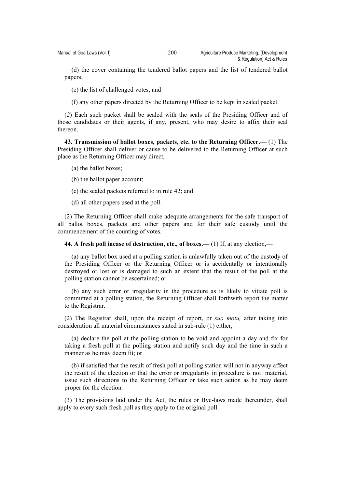(d) the cover containing the tendered ballot papers and the list of tendered ballot papers;

(e) the list of challenged votes; and

(f) any other papers directed by the Returning Officer to be kept in sealed packet.

(*2*) Each such packet shall be sealed with the seals of the Presiding Officer and of those candidates or their agents, if any, present, who may desire to affix their seal thereon.

**43. Transmission of ballot boxes, packets, etc. to the Returning Officer.—** (1) The Presiding Officer shall deliver or cause to be delivered to the Returning Officer at such place as the Returning Officer may direct,—

- (a) the ballot boxes;
- (b) the ballot paper account;
- (c) the sealed packets referred to in rule 42; and

(d) all other papers used at the poll.

(2) The Returning Officer shall make adequate arrangements for the safe transport of all ballot boxes, packets and other papers and for their safe custody until the commencement of the counting of votes.

#### **44. A fresh poll incase of destruction, etc., of boxes.—** (1) If, at any election,—

(a) any ballot box used at a polling station is unlawfully taken out of the custody of the Presiding Officer or the Returning Officer or is accidentally or intentionally destroyed or lost or is damaged to such an extent that the result of the poll at the polling station cannot be ascertained; or

(b) any such error or irregularity in the procedure as is likely to vitiate poll is committed at a polling station, the Returning Officer shall forthwith report the matter to the Registrar.

(2) The Registrar shall, upon the receipt of report, or *suo motu,* after taking into consideration all material circumstances stated in sub-rule (1) either,—

(a) declare the poll at the polling station to be void and appoint a day and fix for taking a fresh poll at the polling station and notify such day and the time in such a manner as he may deem fit; or

(b) if satisfied that the result of fresh poll at polling station will not in anyway affect the result of the election or that the error or irregularity in procedure is not material, issue such directions to the Returning Officer or take such action as he may deem proper for the election.

(3) The provisions laid under the Act, the rules or Bye-laws made thereunder, shall apply to every such fresh poll as they apply to the original poll.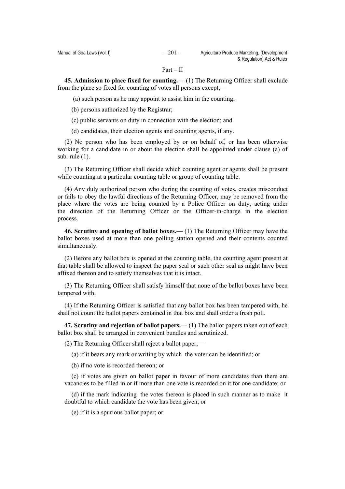#### $Part - II$

**45. Admission to place fixed for counting.—** (1) The Returning Officer shall exclude from the place so fixed for counting of votes all persons except,—

(a) such person as he may appoint to assist him in the counting;

(b) persons authorized by the Registrar;

(c) public servants on duty in connection with the election; and

(d) candidates, their election agents and counting agents, if any.

(2) No person who has been employed by or on behalf of, or has been otherwise working for a candidate in or about the election shall be appointed under clause (a) of sub–rule (1).

(3) The Returning Officer shall decide which counting agent or agents shall be present while counting at a particular counting table or group of counting table.

(4) Any duly authorized person who during the counting of votes, creates misconduct or fails to obey the lawful directions of the Returning Officer, may be removed from the place where the votes are being counted by a Police Officer on duty, acting under the direction of the Returning Officer or the Officer-in-charge in the election process.

**46. Scrutiny and opening of ballot boxes.—** (1) The Returning Officer may have the ballot boxes used at more than one polling station opened and their contents counted simultaneously.

(2) Before any ballot box is opened at the counting table, the counting agent present at that table shall be allowed to inspect the paper seal or such other seal as might have been affixed thereon and to satisfy themselves that it is intact.

(3) The Returning Officer shall satisfy himself that none of the ballot boxes have been tampered with.

(4) If the Returning Officer is satisfied that any ballot box has been tampered with, he shall not count the ballot papers contained in that box and shall order a fresh poll.

**47. Scrutiny and rejection of ballot papers.—** (1) The ballot papers taken out of each ballot box shall be arranged in convenient bundles and scrutinized.

(2) The Returning Officer shall reject a ballot paper,—

(a) if it bears any mark or writing by which the voter can be identified; or

(b) if no vote is recorded thereon; or

(c) if votes are given on ballot paper in favour of more candidates than there are vacancies to be filled in or if more than one vote is recorded on it for one candidate; or

(d) if the mark indicating the votes thereon is placed in such manner as to make it doubtful to which candidate the vote has been given; or

(e) if it is a spurious ballot paper; or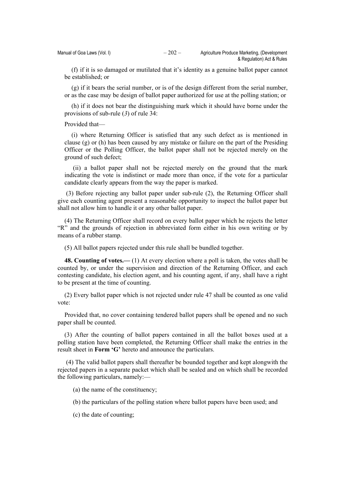(f) if it is so damaged or mutilated that it's identity as a genuine ballot paper cannot be established; or

(g) if it bears the serial number, or is of the design different from the serial number, or as the case may be design of ballot paper authorized for use at the polling station; or

(h) if it does not bear the distinguishing mark which it should have borne under the provisions of sub-rule (*3*) of rule 34:

Provided that—

(i) where Returning Officer is satisfied that any such defect as is mentioned in clause (g) or (h) has been caused by any mistake or failure on the part of the Presiding Officer or the Polling Officer, the ballot paper shall not be rejected merely on the ground of such defect;

 (ii) a ballot paper shall not be rejected merely on the ground that the mark indicating the vote is indistinct or made more than once, if the vote for a particular candidate clearly appears from the way the paper is marked.

 (3) Before rejecting any ballot paper under sub-rule (2), the Returning Officer shall give each counting agent present a reasonable opportunity to inspect the ballot paper but shall not allow him to handle it or any other ballot paper.

(4) The Returning Officer shall record on every ballot paper which he rejects the letter "R" and the grounds of rejection in abbreviated form either in his own writing or by means of a rubber stamp.

(5) All ballot papers rejected under this rule shall be bundled together.

**48. Counting of votes.—** (1) At every election where a poll is taken, the votes shall be counted by, or under the supervision and direction of the Returning Officer, and each contesting candidate, his election agent, and his counting agent, if any, shall have a right to be present at the time of counting.

(2) Every ballot paper which is not rejected under rule 47 shall be counted as one valid vote:

Provided that, no cover containing tendered ballot papers shall be opened and no such paper shall be counted.

(3) After the counting of ballot papers contained in all the ballot boxes used at a polling station have been completed, the Returning Officer shall make the entries in the result sheet in **Form 'G'** hereto and announce the particulars.

 (4) The valid ballot papers shall thereafter be bounded together and kept alongwith the rejected papers in a separate packet which shall be sealed and on which shall be recorded the following particulars, namely:—

(a) the name of the constituency;

(b) the particulars of the polling station where ballot papers have been used; and

(c) the date of counting;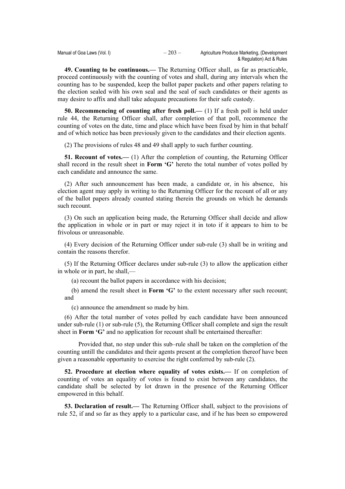**49. Counting to be continuous.—** The Returning Officer shall, as far as practicable, proceed continuously with the counting of votes and shall, during any intervals when the counting has to be suspended, keep the ballot paper packets and other papers relating to the election sealed with his own seal and the seal of such candidates or their agents as may desire to affix and shall take adequate precautions for their safe custody.

**50. Recommencing of counting after fresh poll.—** (1) If a fresh poll is held under rule 44, the Returning Officer shall, after completion of that poll, recommence the counting of votes on the date, time and place which have been fixed by him in that behalf and of which notice has been previously given to the candidates and their election agents.

(2) The provisions of rules 48 and 49 shall apply to such further counting.

**51. Recount of votes.—** (1) After the completion of counting, the Returning Officer shall record in the result sheet in **Form 'G'** hereto the total number of votes polled by each candidate and announce the same.

(2) After such announcement has been made, a candidate or, in his absence, his election agent may apply in writing to the Returning Officer for the recount of all or any of the ballot papers already counted stating therein the grounds on which he demands such recount.

(3) On such an application being made, the Returning Officer shall decide and allow the application in whole or in part or may reject it in toto if it appears to him to be frivolous or unreasonable.

(4) Every decision of the Returning Officer under sub-rule (3) shall be in writing and contain the reasons therefor.

(5) If the Returning Officer declares under sub-rule (3) to allow the application either in whole or in part, he shall,—

(a) recount the ballot papers in accordance with his decision;

(b) amend the result sheet in **Form 'G'** to the extent necessary after such recount; and

(c) announce the amendment so made by him.

(6) After the total number of votes polled by each candidate have been announced under sub-rule (1) or sub-rule (5), the Returning Officer shall complete and sign the result sheet in **Form 'G'** and no application for recount shall be entertained thereafter:

 Provided that, no step under this sub–rule shall be taken on the completion of the counting untill the candidates and their agents present at the completion thereof have been given a reasonable opportunity to exercise the right conferred by sub-rule (2).

**52. Procedure at election where equality of votes exists.—** If on completion of counting of votes an equality of votes is found to exist between any candidates, the candidate shall be selected by lot drawn in the presence of the Returning Officer empowered in this behalf.

**53. Declaration of result.—** The Returning Officer shall, subject to the provisions of rule 52, if and so far as they apply to a particular case, and if he has been so empowered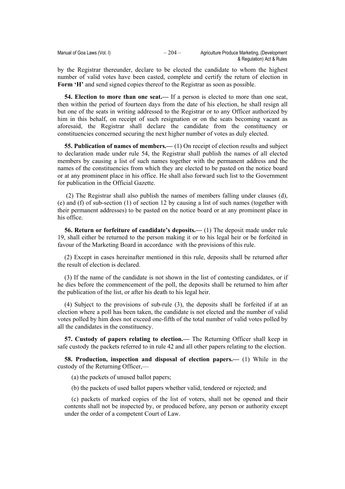by the Registrar thereunder, declare to be elected the candidate to whom the highest number of valid votes have been casted, complete and certify the return of election in **Form 'H'** and send signed copies thereof to the Registrar as soon as possible.

**54. Election to more than one seat.—** If a person is elected to more than one seat, then within the period of fourteen days from the date of his election, he shall resign all but one of the seats in writing addressed to the Registrar or to any Officer authorized by him in this behalf, on receipt of such resignation or on the seats becoming vacant as aforesaid, the Registrar shall declare the candidate from the constituency or constituencies concerned securing the next higher number of votes as duly elected.

**55. Publication of names of members.—** (1) On receipt of election results and subject to declaration made under rule 54, the Registrar shall publish the names of all elected members by causing a list of such names together with the permanent address and the names of the constituencies from which they are elected to be pasted on the notice board or at any prominent place in his office. He shall also forward such list to the Government for publication in the Official Gazette.

 (2) The Registrar shall also publish the names of members falling under clauses (d), (e) and (f) of sub-section (1) of section 12 by causing a list of such names (together with their permanent addresses) to be pasted on the notice board or at any prominent place in his office.

**56. Return or forfeiture of candidate's deposits.—** (1) The deposit made under rule 19, shall either be returned to the person making it or to his legal heir or be forfeited in favour of the Marketing Board in accordance with the provisions of this rule.

(2) Except in cases hereinafter mentioned in this rule, deposits shall be returned after the result of election is declared.

(3) If the name of the candidate is not shown in the list of contesting candidates, or if he dies before the commencement of the poll, the deposits shall be returned to him after the publication of the list, or after his death to his legal heir.

(4) Subject to the provisions of sub-rule (3), the deposits shall be forfeited if at an election where a poll has been taken, the candidate is not elected and the number of valid votes polled by him does not exceed one-fifth of the total number of valid votes polled by all the candidates in the constituency.

**57. Custody of papers relating to election.—** The Returning Officer shall keep in safe custody the packets referred to in rule 42 and all other papers relating to the election.

**58. Production, inspection and disposal of election papers.—** (1) While in the custody of the Returning Officer,—

(a) the packets of unused ballot papers;

(b) the packets of used ballot papers whether valid, tendered or rejected; and

(c) packets of marked copies of the list of voters, shall not be opened and their contents shall not be inspected by, or produced before, any person or authority except under the order of a competent Court of Law.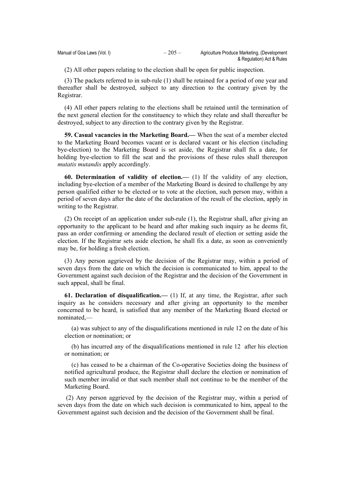(2) All other papers relating to the election shall be open for public inspection.

(3) The packets referred to in sub-rule (1) shall be retained for a period of one year and thereafter shall be destroyed, subject to any direction to the contrary given by the Registrar.

(4) All other papers relating to the elections shall be retained until the termination of the next general election for the constituency to which they relate and shall thereafter be destroyed, subject to any direction to the contrary given by the Registrar.

**59. Casual vacancies in the Marketing Board.—** When the seat of a member elected to the Marketing Board becomes vacant or is declared vacant or his election (including bye-election) to the Marketing Board is set aside, the Registrar shall fix a date, for holding bye-election to fill the seat and the provisions of these rules shall thereupon *mutatis mutandis* apply accordingly.

**60. Determination of validity of election.—** (1) If the validity of any election, including bye-election of a member of the Marketing Board is desired to challenge by any person qualified either to be elected or to vote at the election, such person may, within a period of seven days after the date of the declaration of the result of the election, apply in writing to the Registrar.

(2) On receipt of an application under sub-rule (1), the Registrar shall, after giving an opportunity to the applicant to be heard and after making such inquiry as he deems fit, pass an order confirming or amending the declared result of election or setting aside the election. If the Registrar sets aside election, he shall fix a date, as soon as conveniently may be, for holding a fresh election.

(3) Any person aggrieved by the decision of the Registrar may, within a period of seven days from the date on which the decision is communicated to him, appeal to the Government against such decision of the Registrar and the decision of the Government in such appeal, shall be final.

**61. Declaration of disqualification.—** (1) If, at any time, the Registrar, after such inquiry as he considers necessary and after giving an opportunity to the member concerned to be heard, is satisfied that any member of the Marketing Board elected or nominated,—

(a) was subject to any of the disqualifications mentioned in rule 12 on the date of his election or nomination; or

(b) has incurred any of the disqualifications mentioned in rule 12 after his election or nomination; or

(c) has ceased to be a chairman of the Co-operative Societies doing the business of notified agricultural produce, the Registrar shall declare the election or nomination of such member invalid or that such member shall not continue to be the member of the Marketing Board.

 (2) Any person aggrieved by the decision of the Registrar may, within a period of seven days from the date on which such decision is communicated to him, appeal to the Government against such decision and the decision of the Government shall be final.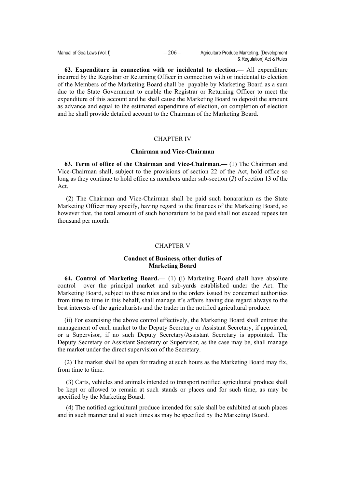**62. Expenditure in connection with or incidental to election.—** All expenditure incurred by the Registrar or Returning Officer in connection with or incidental to election of the Members of the Marketing Board shall be payable by Marketing Board as a sum due to the State Government to enable the Registrar or Returning Officer to meet the expenditure of this account and he shall cause the Marketing Board to deposit the amount as advance and equal to the estimated expenditure of election, on completion of election and he shall provide detailed account to the Chairman of the Marketing Board.

# CHAPTER IV

### **Chairman and Vice-Chairman**

**63. Term of office of the Chairman and Vice-Chairman.—** (1) The Chairman and Vice-Chairman shall, subject to the provisions of section 22 of the Act, hold office so long as they continue to hold office as members under sub-section (*2*) of section 13 of the Act.

 (2) The Chairman and Vice-Chairman shall be paid such honararium as the State Marketing Officer may specify, having regard to the finances of the Marketing Board, so however that, the total amount of such honorarium to be paid shall not exceed rupees ten thousand per month.

### CHAPTER V

## **Conduct of Business, other duties of Marketing Board**

**64. Control of Marketing Board.—** (1) (i) Marketing Board shall have absolute control over the principal market and sub-yards established under the Act. The Marketing Board, subject to these rules and to the orders issued by concerned authorities from time to time in this behalf, shall manage it's affairs having due regard always to the best interests of the agriculturists and the trader in the notified agricultural produce.

(ii) For exercising the above control effectively, the Marketing Board shall entrust the management of each market to the Deputy Secretary or Assistant Secretary, if appointed, or a Supervisor, if no such Deputy Secretary/Assistant Secretary is appointed. The Deputy Secretary or Assistant Secretary or Supervisor, as the case may be, shall manage the market under the direct supervision of the Secretary.

(2) The market shall be open for trading at such hours as the Marketing Board may fix, from time to time.

 (3) Carts, vehicles and animals intended to transport notified agricultural produce shall be kept or allowed to remain at such stands or places and for such time, as may be specified by the Marketing Board.

 (4) The notified agricultural produce intended for sale shall be exhibited at such places and in such manner and at such times as may be specified by the Marketing Board.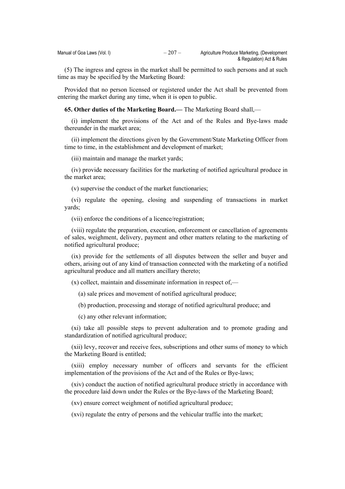(5) The ingress and egress in the market shall be permitted to such persons and at such time as may be specified by the Marketing Board:

Provided that no person licensed or registered under the Act shall be prevented from entering the market during any time, when it is open to public.

**65. Other duties of the Marketing Board.—** The Marketing Board shall,—

(i) implement the provisions of the Act and of the Rules and Bye-laws made thereunder in the market area;

(ii) implement the directions given by the Government/State Marketing Officer from time to time, in the establishment and development of market;

(iii) maintain and manage the market yards;

(iv) provide necessary facilities for the marketing of notified agricultural produce in the market area;

(v) supervise the conduct of the market functionaries;

(vi) regulate the opening, closing and suspending of transactions in market yards;

(vii) enforce the conditions of a licence/registration;

(viii) regulate the preparation, execution, enforcement or cancellation of agreements of sales, weighment, delivery, payment and other matters relating to the marketing of notified agricultural produce;

(ix) provide for the settlements of all disputes between the seller and buyer and others, arising out of any kind of transaction connected with the marketing of a notified agricultural produce and all matters ancillary thereto;

(x) collect, maintain and disseminate information in respect of,—

(a) sale prices and movement of notified agricultural produce;

(b) production, processing and storage of notified agricultural produce; and

(c) any other relevant information;

(xi) take all possible steps to prevent adulteration and to promote grading and standardization of notified agricultural produce;

(xii) levy, recover and receive fees, subscriptions and other sums of money to which the Marketing Board is entitled;

(xiii) employ necessary number of officers and servants for the efficient implementation of the provisions of the Act and of the Rules or Bye-laws;

(xiv) conduct the auction of notified agricultural produce strictly in accordance with the procedure laid down under the Rules or the Bye-laws of the Marketing Board;

(xv) ensure correct weighment of notified agricultural produce;

(xvi) regulate the entry of persons and the vehicular traffic into the market;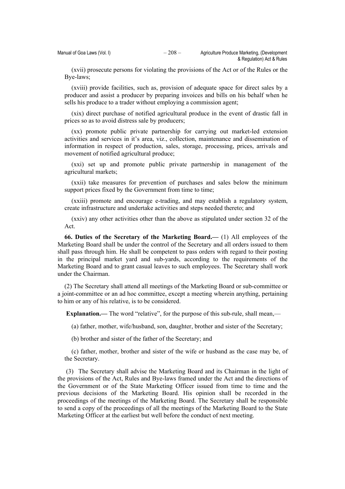(xvii) prosecute persons for violating the provisions of the Act or of the Rules or the Bye-laws;

(xviii) provide facilities, such as, provision of adequate space for direct sales by a producer and assist a producer by preparing invoices and bills on his behalf when he sells his produce to a trader without employing a commission agent;

(xix) direct purchase of notified agricultural produce in the event of drastic fall in prices so as to avoid distress sale by producers;

(xx) promote public private partnership for carrying out market-led extension activities and services in it's area, viz., collection, maintenance and dissemination of information in respect of production, sales, storage, processing, prices, arrivals and movement of notified agricultural produce;

(xxi) set up and promote public private partnership in management of the agricultural markets;

(xxii) take measures for prevention of purchases and sales below the minimum support prices fixed by the Government from time to time;

(xxiii) promote and encourage e-trading, and may establish a regulatory system, create infrastructure and undertake activities and steps needed thereto; and

(xxiv) any other activities other than the above as stipulated under section 32 of the Act.

**66. Duties of the Secretary of the Marketing Board.—** (1) All employees of the Marketing Board shall be under the control of the Secretary and all orders issued to them shall pass through him. He shall be competent to pass orders with regard to their posting in the principal market yard and sub-yards, according to the requirements of the Marketing Board and to grant casual leaves to such employees. The Secretary shall work under the Chairman.

(2) The Secretary shall attend all meetings of the Marketing Board or sub-committee or a joint-committee or an ad hoc committee, except a meeting wherein anything, pertaining to him or any of his relative, is to be considered.

**Explanation.—** The word "relative", for the purpose of this sub-rule, shall mean,—

(a) father, mother, wife/husband, son, daughter, brother and sister of the Secretary;

(b) brother and sister of the father of the Secretary; and

(c) father, mother, brother and sister of the wife or husband as the case may be, of the Secretary.

 (3) The Secretary shall advise the Marketing Board and its Chairman in the light of the provisions of the Act, Rules and Bye-laws framed under the Act and the directions of the Government or of the State Marketing Officer issued from time to time and the previous decisions of the Marketing Board. His opinion shall be recorded in the proceedings of the meetings of the Marketing Board. The Secretary shall be responsible to send a copy of the proceedings of all the meetings of the Marketing Board to the State Marketing Officer at the earliest but well before the conduct of next meeting.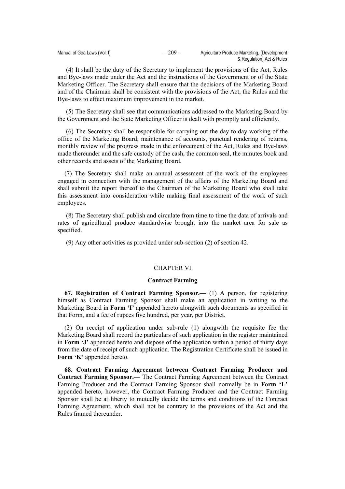(4) It shall be the duty of the Secretary to implement the provisions of the Act, Rules and Bye-laws made under the Act and the instructions of the Government or of the State Marketing Officer. The Secretary shall ensure that the decisions of the Marketing Board and of the Chairman shall be consistent with the provisions of the Act, the Rules and the Bye-laws to effect maximum improvement in the market.

 (5) The Secretary shall see that communications addressed to the Marketing Board by the Government and the State Marketing Officer is dealt with promptly and efficiently.

 (6) The Secretary shall be responsible for carrying out the day to day working of the office of the Marketing Board, maintenance of accounts, punctual rendering of returns, monthly review of the progress made in the enforcement of the Act, Rules and Bye-laws made thereunder and the safe custody of the cash, the common seal, the minutes book and other records and assets of the Marketing Board.

(7) The Secretary shall make an annual assessment of the work of the employees engaged in connection with the management of the affairs of the Marketing Board and shall submit the report thereof to the Chairman of the Marketing Board who shall take this assessment into consideration while making final assessment of the work of such employees.

 (8) The Secretary shall publish and circulate from time to time the data of arrivals and rates of agricultural produce standardwise brought into the market area for sale as specified.

(9) Any other activities as provided under sub-section (2) of section 42.

#### CHAPTER VI

#### **Contract Farming**

**67. Registration of Contract Farming Sponsor.—** (1) A person, for registering himself as Contract Farming Sponsor shall make an application in writing to the Marketing Board in **Form 'I'** appended hereto alongwith such documents as specified in that Form, and a fee of rupees five hundred, per year, per District.

(2) On receipt of application under sub-rule (1) alongwith the requisite fee the Marketing Board shall record the particulars of such application in the register maintained in **Form 'J'** appended hereto and dispose of the application within a period of thirty days from the date of receipt of such application. The Registration Certificate shall be issued in **Form 'K'** appended hereto.

**68. Contract Farming Agreement between Contract Farming Producer and Contract Farming Sponsor.—** The Contract Farming Agreement between the Contract Farming Producer and the Contract Farming Sponsor shall normally be in **Form 'L'** appended hereto, however, the Contract Farming Producer and the Contract Farming Sponsor shall be at liberty to mutually decide the terms and conditions of the Contract Farming Agreement, which shall not be contrary to the provisions of the Act and the Rules framed thereunder.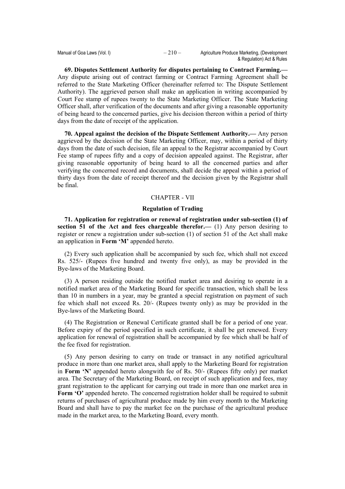**69. Disputes Settlement Authority for disputes pertaining to Contract Farming.—** Any dispute arising out of contract farming or Contract Farming Agreement shall be referred to the State Marketing Officer (hereinafter referred to: The Dispute Settlement Authority). The aggrieved person shall make an application in writing accompanied by Court Fee stamp of rupees twenty to the State Marketing Officer. The State Marketing Officer shall, after verification of the documents and after giving a reasonable opportunity of being heard to the concerned parties, give his decision thereon within a period of thirty days from the date of receipt of the application.

**70. Appeal against the decision of the Dispute Settlement Authority.—** Any person aggrieved by the decision of the State Marketing Officer, may, within a period of thirty days from the date of such decision, file an appeal to the Registrar accompanied by Court Fee stamp of rupees fifty and a copy of decision appealed against. The Registrar, after giving reasonable opportunity of being heard to all the concerned parties and after verifying the concerned record and documents, shall decide the appeal within a period of thirty days from the date of receipt thereof and the decision given by the Registrar shall be final.

## CHAPTER - VII

### **Regulation of Trading**

**71. Application for registration or renewal of registration under sub-section (1) of section 51 of the Act and fees chargeable therefor.—** (1) Any person desiring to register or renew a registration under sub-section (1) of section 51 of the Act shall make an application in **Form 'M'** appended hereto.

(2) Every such application shall be accompanied by such fee, which shall not exceed Rs. 525/- (Rupees five hundred and twenty five only), as may be provided in the Bye-laws of the Marketing Board.

(3) A person residing outside the notified market area and desiring to operate in a notified market area of the Marketing Board for specific transaction, which shall be less than 10 in numbers in a year, may be granted a special registration on payment of such fee which shall not exceed Rs. 20/- (Rupees twenty only) as may be provided in the Bye-laws of the Marketing Board.

(4) The Registration or Renewal Certificate granted shall be for a period of one year. Before expiry of the period specified in such certificate, it shall be get renewed. Every application for renewal of registration shall be accompanied by fee which shall be half of the fee fixed for registration.

(5) Any person desiring to carry on trade or transact in any notified agricultural produce in more than one market area, shall apply to the Marketing Board for registration in **Form 'N'** appended hereto alongwith fee of Rs. 50/- (Rupees fifty only) per market area. The Secretary of the Marketing Board, on receipt of such application and fees, may grant registration to the applicant for carrying out trade in more than one market area in **Form 'O'** appended hereto. The concerned registration holder shall be required to submit returns of purchases of agricultural produce made by him every month to the Marketing Board and shall have to pay the market fee on the purchase of the agricultural produce made in the market area, to the Marketing Board, every month.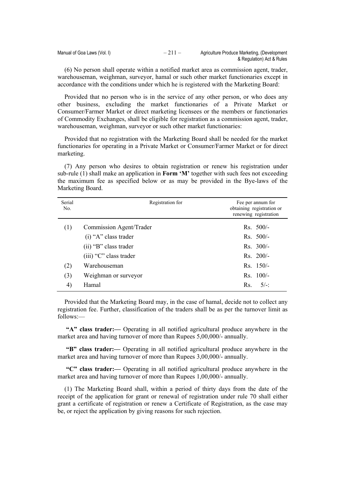| Manual of Goa Laws (Vol. I) |  |  |  |  |  |  |
|-----------------------------|--|--|--|--|--|--|
|-----------------------------|--|--|--|--|--|--|

(6) No person shall operate within a notified market area as commission agent, trader, warehouseman, weighman, surveyor, hamal or such other market functionaries except in accordance with the conditions under which he is registered with the Marketing Board:

Provided that no person who is in the service of any other person, or who does any other business, excluding the market functionaries of a Private Market or Consumer/Farmer Market or direct marketing licensees or the members or functionaries of Commodity Exchanges, shall be eligible for registration as a commission agent, trader, warehouseman, weighman, surveyor or such other market functionaries:

Provided that no registration with the Marketing Board shall be needed for the market functionaries for operating in a Private Market or Consumer/Farmer Market or for direct marketing.

(7) Any person who desires to obtain registration or renew his registration under sub-rule (1) shall make an application in **Form 'M'** together with such fees not exceeding the maximum fee as specified below or as may be provided in the Bye-laws of the Marketing Board.

| Serial<br>No. | Registration for         | Fee per annum for<br>obtaining registration or<br>renewing registration |
|---------------|--------------------------|-------------------------------------------------------------------------|
| (1)           | Commission Agent/Trader  | $Rs. 500/-$                                                             |
|               | $(i)$ "A" class trader   | $Rs. 500/-$                                                             |
|               | $(ii)$ "B" class trader  | $Rs. 300/-$                                                             |
|               | $(iii)$ "C" class trader | $Rs. 200/-$                                                             |
| (2)           | Warehouseman             | $Rs. 150/-$                                                             |
| (3)           | Weighman or surveyor     | $Rs. 100/-$                                                             |
| 4)            | Hamal                    | $5/-$<br>Rs.                                                            |

Provided that the Marketing Board may, in the case of hamal, decide not to collect any registration fee. Further, classification of the traders shall be as per the turnover limit as follows:—

 **"A" class trader:—** Operating in all notified agricultural produce anywhere in the market area and having turnover of more than Rupees 5,00,000/- annually.

**"B" class trader:—** Operating in all notified agricultural produce anywhere in the market area and having turnover of more than Rupees 3,00,000/- annually.

 **"C" class trader:—** Operating in all notified agricultural produce anywhere in the market area and having turnover of more than Rupees 1,00,000/- annually.

(1) The Marketing Board shall, within a period of thirty days from the date of the receipt of the application for grant or renewal of registration under rule 70 shall either grant a certificate of registration or renew a Certificate of Registration, as the case may be, or reject the application by giving reasons for such rejection.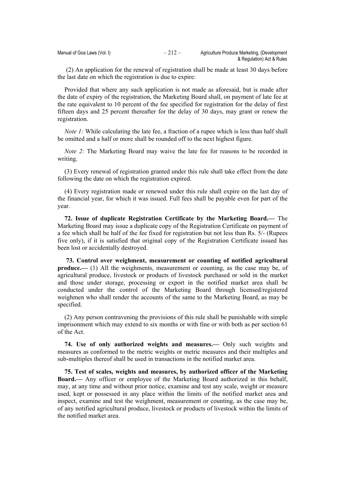(2) An application for the renewal of registration shall be made at least 30 days before the last date on which the registration is due to expire:

Provided that where any such application is not made as aforesaid, but is made after the date of expiry of the registration, the Marketing Board shall, on payment of late fee at the rate equivalent to 10 percent of the fee specified for registration for the delay of first fifteen days and 25 percent thereafter for the delay of 30 days, may grant or renew the registration.

*Note 1:* While calculating the late fee, a fraction of a rupee which is less than half shall be omitted and a half or more shall be rounded off to the next highest figure.

*Note 2:* The Marketing Board may waive the late fee for reasons to be recorded in writing.

(3) Every renewal of registration granted under this rule shall take effect from the date following the date on which the registration expired.

(4) Every registration made or renewed under this rule shall expire on the last day of the financial year, for which it was issued. Full fees shall be payable even for part of the year.

**72. Issue of duplicate Registration Certificate by the Marketing Board.—** The Marketing Board may issue a duplicate copy of the Registration Certificate on payment of a fee which shall be half of the fee fixed for registration but not less than Rs. 5/- (Rupees five only), if it is satisfied that original copy of the Registration Certificate issued has been lost or accidentally destroyed.

 **73. Control over weighment, measurement or counting of notified agricultural produce.**— (1) All the weighments, measurement or counting, as the case may be, of agricultural produce, livestock or products of livestock purchased or sold in the market and those under storage, processing or export in the notified market area shall be conducted under the control of the Marketing Board through licensed/registered weighmen who shall render the accounts of the same to the Marketing Board, as may be specified.

(2) Any person contravening the provisions of this rule shall be punishable with simple imprisonment which may extend to six months or with fine or with both as per section 61 of the Act.

**74. Use of only authorized weights and measures.—** Only such weights and measures as conformed to the metric weights or metric measures and their multiples and sub-multiples thereof shall be used in transactions in the notified market area.

**75. Test of scales, weights and measures, by authorized officer of the Marketing Board.—** Any officer or employee of the Marketing Board authorized in this behalf, may, at any time and without prior notice, examine and test any scale, weight or measure used, kept or possessed in any place within the limits of the notified market area and inspect, examine and test the weighment, measurement or counting, as the case may be, of any notified agricultural produce, livestock or products of livestock within the limits of the notified market area.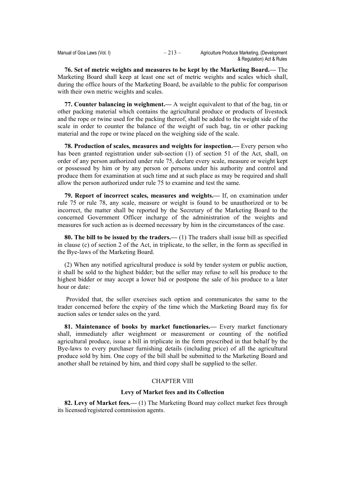**76. Set of metric weights and measures to be kept by the Marketing Board.—** The Marketing Board shall keep at least one set of metric weights and scales which shall, during the office hours of the Marketing Board, be available to the public for comparison with their own metric weights and scales.

**77. Counter balancing in weighment.—** A weight equivalent to that of the bag, tin or other packing material which contains the agricultural produce or products of livestock and the rope or twine used for the packing thereof, shall be added to the weight side of the scale in order to counter the balance of the weight of such bag, tin or other packing material and the rope or twine placed on the weighing side of the scale.

**78. Production of scales, measures and weights for inspection.—** Every person who has been granted registration under sub-section (1) of section 51 of the Act, shall, on order of any person authorized under rule 75, declare every scale, measure or weight kept or possessed by him or by any person or persons under his authority and control and produce them for examination at such time and at such place as may be required and shall allow the person authorized under rule 75 to examine and test the same.

**79. Report of incorrect scales, measures and weights.—** If, on examination under rule 75 or rule 78, any scale, measure or weight is found to be unauthorized or to be incorrect, the matter shall be reported by the Secretary of the Marketing Board to the concerned Government Officer incharge of the administration of the weights and measures for such action as is deemed necessary by him in the circumstances of the case.

**80. The bill to be issued by the traders.—** (1) The traders shall issue bill as specified in clause (c) of section 2 of the Act, in triplicate, to the seller, in the form as specified in the Bye-laws of the Marketing Board.

(2) When any notified agricultural produce is sold by tender system or public auction, it shall be sold to the highest bidder; but the seller may refuse to sell his produce to the highest bidder or may accept a lower bid or postpone the sale of his produce to a later hour or date:

 Provided that, the seller exercises such option and communicates the same to the trader concerned before the expiry of the time which the Marketing Board may fix for auction sales or tender sales on the yard.

**81. Maintenance of books by market functionaries.—** Every market functionary shall, immediately after weighment or measurement or counting of the notified agricultural produce, issue a bill in triplicate in the form prescribed in that behalf by the Bye-laws to every purchaser furnishing details (including price) of all the agricultural produce sold by him. One copy of the bill shall be submitted to the Marketing Board and another shall be retained by him, and third copy shall be supplied to the seller.

## CHAPTER VIII

## **Levy of Market fees and its Collection**

**82. Levy of Market fees.—** (1) The Marketing Board may collect market fees through its licensed/registered commission agents.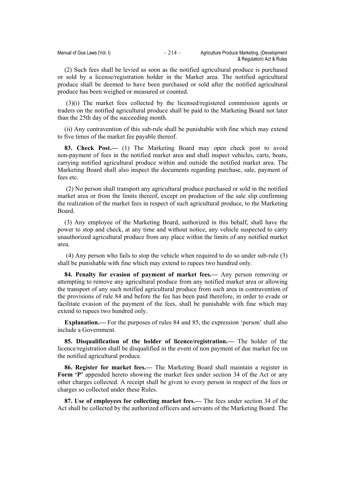(2) Such fees shall be levied as soon as the notified agricultural produce is purchased or sold by a license/registration holder in the Market area. The notified agricultural produce shall be deemed to have been purchased or sold after the notified agricultural produce has been weighed or measured or counted.

 (3)(i) The market fees collected by the licensed/registered commission agents or traders on the notified agricultural produce shall be paid to the Marketing Board not later than the 25th day of the succeeding month.

(ii) Any contravention of this sub-rule shall be punishable with fine which may extend to five times of the market fee payable thereof.

**83. Check Post.—** (1) The Marketing Board may open check post to avoid non-payment of fees in the notified market area and shall inspect vehicles, carts, boats, carrying notified agricultural produce within and outside the notified market area. The Marketing Board shall also inspect the documents regarding purchase, sale, payment of fees etc.

 (2) No person shall transport any agricultural produce purchased or sold in the notified market area or from the limits thereof, except on production of the sale slip confirming the realization of the market fees in respect of such agricultural produce, to the Marketing Board.

(3) Any employee of the Marketing Board, authorized in this behalf, shall have the power to stop and check, at any time and without notice, any vehicle suspected to carry unauthorized agricultural produce from any place within the limits of any notified market area.

 (4) Any person who fails to stop the vehicle when required to do so under sub-rule (3) shall be punishable with fine which may extend to rupees two hundred only.

**84. Penalty for evasion of payment of market fees.—** Any person removing or attempting to remove any agricultural produce from any notified market area or allowing the transport of any such notified agricultural produce from such area in contravention of the provisions of rule 84 and before the fee has been paid therefore, in order to evade or facilitate evasion of the payment of the fees, shall be punishable with fine which may extend to rupees two hundred only.

**Explanation.—** For the purposes of rules 84 and 85, the expression 'person' shall also include a Government.

**85. Disqualification of the holder of licence/registration.—** The holder of the licence/registration shall be disqualified in the event of non payment of due market fee on the notified agricultural produce.

**86. Register for market fees.—** The Marketing Board shall maintain a register in **Form 'P'** appended hereto showing the market fees under section 34 of the Act or any other charges collected. A receipt shall be given to every person in respect of the fees or charges so collected under these Rules.

**87. Use of employees for collecting market fees.—** The fees under section 34 of the Act shall be collected by the authorized officers and servants of the Marketing Board. The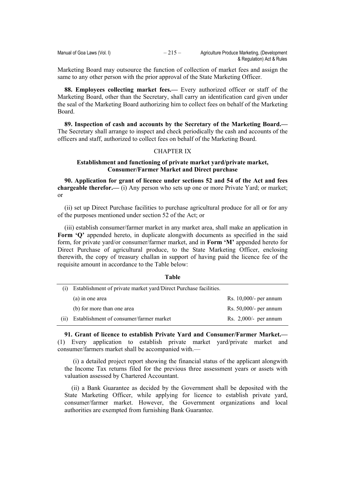| Manual of Goa Laws (Vol. I) |  |  |  |  |  |
|-----------------------------|--|--|--|--|--|
|-----------------------------|--|--|--|--|--|

Marketing Board may outsource the function of collection of market fees and assign the same to any other person with the prior approval of the State Marketing Officer.

**88. Employees collecting market fees.—** Every authorized officer or staff of the Marketing Board, other than the Secretary, shall carry an identification card given under the seal of the Marketing Board authorizing him to collect fees on behalf of the Marketing Board.

**89. Inspection of cash and accounts by the Secretary of the Marketing Board.—** The Secretary shall arrange to inspect and check periodically the cash and accounts of the officers and staff, authorized to collect fees on behalf of the Marketing Board.

#### CHAPTER IX

## **Establishment and functioning of private market yard/private market, Consumer/Farmer Market and Direct purchase**

**90. Application for grant of licence under sections 52 and 54 of the Act and fees chargeable therefor.—** (i) Any person who sets up one or more Private Yard; or market; or

(ii) set up Direct Purchase facilities to purchase agricultural produce for all or for any of the purposes mentioned under section 52 of the Act; or

(iii) establish consumer/farmer market in any market area, shall make an application in **Form 'Q'** appended hereto, in duplicate alongwith documents as specified in the said form, for private yard/or consumer/farmer market, and in **Form 'M'** appended hereto for Direct Purchase of agricultural produce, to the State Marketing Officer, enclosing therewith, the copy of treasury challan in support of having paid the licence fee of the requisite amount in accordance to the Table below:

|                   | Table                                                            |                           |
|-------------------|------------------------------------------------------------------|---------------------------|
| $\left( i\right)$ | Establishment of private market yard/Direct Purchase facilities. |                           |
|                   | (a) in one area                                                  | Rs. $10,000/$ - per annum |
|                   | (b) for more than one area                                       | Rs. $50,000/$ - per annum |
| (11)              | Establishment of consumer/farmer market                          | Rs. $2,000/-$ per annum   |

**91. Grant of licence to establish Private Yard and Consumer/Farmer Market.—** (1) Every application to establish private market yard/private market and consumer/farmers market shall be accompanied with.—

 (i) a detailed project report showing the financial status of the applicant alongwith the Income Tax returns filed for the previous three assessment years or assets with valuation assessed by Chartered Accountant.

(ii) a Bank Guarantee as decided by the Government shall be deposited with the State Marketing Officer, while applying for licence to establish private yard, consumer/farmer market. However, the Government organizations and local authorities are exempted from furnishing Bank Guarantee.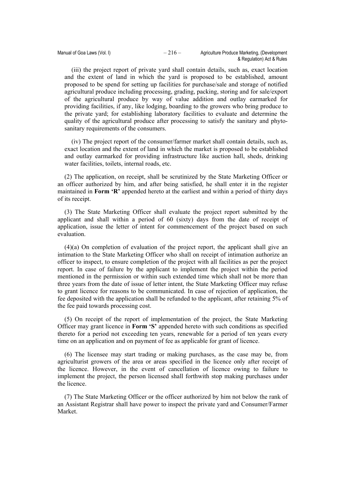(iii) the project report of private yard shall contain details, such as, exact location and the extent of land in which the yard is proposed to be established, amount proposed to be spend for setting up facilities for purchase/sale and storage of notified agricultural produce including processing, grading, packing, storing and for sale/export of the agricultural produce by way of value addition and outlay earmarked for providing facilities, if any, like lodging, boarding to the growers who bring produce to the private yard; for establishing laboratory facilities to evaluate and determine the quality of the agricultural produce after processing to satisfy the sanitary and phytosanitary requirements of the consumers.

(iv) The project report of the consumer/farmer market shall contain details, such as, exact location and the extent of land in which the market is proposed to be established and outlay earmarked for providing infrastructure like auction hall, sheds, drinking water facilities, toilets, internal roads, etc.

(2) The application, on receipt, shall be scrutinized by the State Marketing Officer or an officer authorized by him, and after being satisfied, he shall enter it in the register maintained in **Form 'R'** appended hereto at the earliest and within a period of thirty days of its receipt.

(3) The State Marketing Officer shall evaluate the project report submitted by the applicant and shall within a period of 60 (sixty) days from the date of receipt of application, issue the letter of intent for commencement of the project based on such evaluation.

(4)(a) On completion of evaluation of the project report, the applicant shall give an intimation to the State Marketing Officer who shall on receipt of intimation authorize an officer to inspect, to ensure completion of the project with all facilities as per the project report. In case of failure by the applicant to implement the project within the period mentioned in the permission or within such extended time which shall not be more than three years from the date of issue of letter intent, the State Marketing Officer may refuse to grant licence for reasons to be communicated. In case of rejection of application, the fee deposited with the application shall be refunded to the applicant, after retaining 5% of the fee paid towards processing cost.

(5) On receipt of the report of implementation of the project, the State Marketing Officer may grant licence in **Form 'S'** appended hereto with such conditions as specified thereto for a period not exceeding ten years, renewable for a period of ten years every time on an application and on payment of fee as applicable for grant of licence.

(6) The licensee may start trading or making purchases, as the case may be, from agriculturist growers of the area or areas specified in the licence only after receipt of the licence. However, in the event of cancellation of licence owing to failure to implement the project, the person licensed shall forthwith stop making purchases under the licence.

(7) The State Marketing Officer or the officer authorized by him not below the rank of an Assistant Registrar shall have power to inspect the private yard and Consumer/Farmer Market.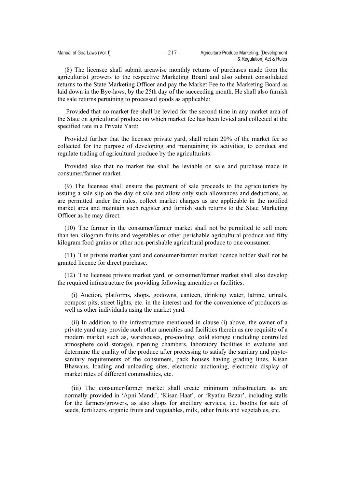(8) The licensee shall submit areawise monthly returns of purchases made from the agriculturist growers to the respective Marketing Board and also submit consolidated returns to the State Marketing Officer and pay the Market Fee to the Marketing Board as laid down in the Bye-laws, by the 25th day of the succeeding month. He shall also furnish the sale returns pertaining to processed goods as applicable:

 Provided that no market fee shall be levied for the second time in any market area of the State on agricultural produce on which market fee has been levied and collected at the specified rate in a Private Yard:

Provided further that the licensee private yard, shall retain 20% of the market fee so collected for the purpose of developing and maintaining its activities, to conduct and regulate trading of agricultural produce by the agriculturists:

Provided also that no market fee shall be leviable on sale and purchase made in consumer/farmer market.

(9) The licensee shall ensure the payment of sale proceeds to the agriculturists by issuing a sale slip on the day of sale and allow only such allowances and deductions, as are permitted under the rules, collect market charges as are applicable in the notified market area and maintain such register and furnish such returns to the State Marketing Officer as he may direct.

(10) The farmer in the consumer/farmer market shall not be permitted to sell more than ten kilogram fruits and vegetables or other perishable agricultural produce and fifty kilogram food grains or other non-perishable agricultural produce to one consumer.

(11) The private market yard and consumer/farmer market licence holder shall not be granted licence for direct purchase.

(12) The licensee private market yard, or consumer/farmer market shall also develop the required infrastructure for providing following amenities or facilities:—

(i) Auction, platforms, shops, godowns, canteen, drinking water, latrine, urinals, compost pits, street lights, etc. in the interest and for the convenience of producers as well as other individuals using the market yard.

(ii) In addition to the infrastructure mentioned in clause (i) above, the owner of a private yard may provide such other amenities and facilities therein as are requisite of a modern market such as, warehouses, pre-cooling, cold storage (including controlled atmosphere cold storage), ripening chambers, laboratory facilities to evaluate and determine the quality of the produce after processing to satisfy the sanitary and phytosanitary requirements of the consumers, pack houses having grading lines, Kisan Bhawans, loading and unloading sites, electronic auctioning, electronic display of market rates of different commodities, etc.

(iii) The consumer/farmer market shall create minimum infrastructure as are normally provided in 'Apni Mandi', 'Kisan Haat', or 'Ryathu Bazar', including stalls for the farmers/growers, as also shops for ancillary services, i.e. booths for sale of seeds, fertilizers, organic fruits and vegetables, milk, other fruits and vegetables, etc.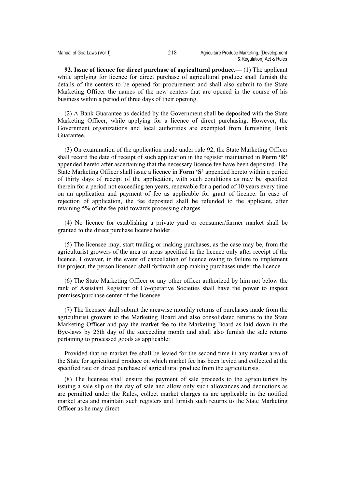**92. Issue of licence for direct purchase of agricultural produce.—** (1) The applicant while applying for licence for direct purchase of agricultural produce shall furnish the details of the centers to be opened for procurement and shall also submit to the State Marketing Officer the names of the new centers that are opened in the course of his business within a period of three days of their opening.

(2) A Bank Guarantee as decided by the Government shall be deposited with the State Marketing Officer, while applying for a licence of direct purchasing. However, the Government organizations and local authorities are exempted from furnishing Bank Guarantee.

(3) On examination of the application made under rule 92, the State Marketing Officer shall record the date of receipt of such application in the register maintained in **Form 'R'** appended hereto after ascertaining that the necessary licence fee have been deposited. The State Marketing Officer shall issue a licence in **Form 'S'** appended hereto within a period of thirty days of receipt of the application, with such conditions as may be specified therein for a period not exceeding ten years, renewable for a period of 10 years every time on an application and payment of fee as applicable for grant of licence. In case of rejection of application, the fee deposited shall be refunded to the applicant, after retaining 5% of the fee paid towards processing charges.

(4) No licence for establishing a private yard or consumer/farmer market shall be granted to the direct purchase license holder.

(5) The licensee may, start trading or making purchases, as the case may be, from the agriculturist growers of the area or areas specified in the licence only after receipt of the licence. However, in the event of cancellation of licence owing to failure to implement the project, the person licensed shall forthwith stop making purchases under the licence.

(6) The State Marketing Officer or any other officer authorized by him not below the rank of Assistant Registrar of Co-operative Societies shall have the power to inspect premises/purchase center of the licensee.

(7) The licensee shall submit the areawise monthly returns of purchases made from the agriculturist growers to the Marketing Board and also consolidated returns to the State Marketing Officer and pay the market fee to the Marketing Board as laid down in the Bye-laws by 25th day of the succeeding month and shall also furnish the sale returns pertaining to processed goods as applicable:

Provided that no market fee shall be levied for the second time in any market area of the State for agricultural produce on which market fee has been levied and collected at the specified rate on direct purchase of agricultural produce from the agriculturists.

(8) The licensee shall ensure the payment of sale proceeds to the agriculturists by issuing a sale slip on the day of sale and allow only such allowances and deductions as are permitted under the Rules, collect market charges as are applicable in the notified market area and maintain such registers and furnish such returns to the State Marketing Officer as he may direct.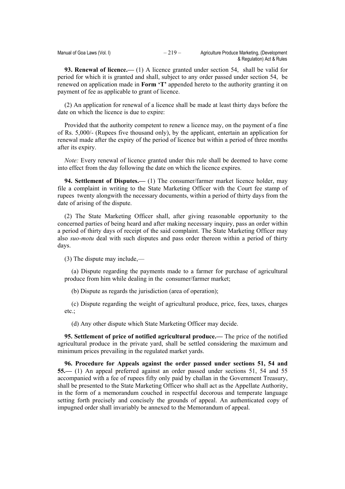**93. Renewal of licence.—** (1) A licence granted under section 54, shall be valid for period for which it is granted and shall, subject to any order passed under section 54, be renewed on application made in **Form 'T'** appended hereto to the authority granting it on payment of fee as applicable to grant of licence.

(2) An application for renewal of a licence shall be made at least thirty days before the date on which the licence is due to expire:

Provided that the authority competent to renew a licence may, on the payment of a fine of Rs. 5,000/- (Rupees five thousand only), by the applicant, entertain an application for renewal made after the expiry of the period of licence but within a period of three months after its expiry.

*Note:* Every renewal of licence granted under this rule shall be deemed to have come into effect from the day following the date on which the licence expires.

**94. Settlement of Disputes.—** (1) The consumer/farmer market licence holder, may file a complaint in writing to the State Marketing Officer with the Court fee stamp of rupees twenty alongwith the necessary documents, within a period of thirty days from the date of arising of the dispute.

(2) The State Marketing Officer shall, after giving reasonable opportunity to the concerned parties of being heard and after making necessary inquiry, pass an order within a period of thirty days of receipt of the said complaint. The State Marketing Officer may also *suo-motu* deal with such disputes and pass order thereon within a period of thirty days.

(3) The dispute may include,—

(a) Dispute regarding the payments made to a farmer for purchase of agricultural produce from him while dealing in the consumer/farmer market;

(b) Dispute as regards the jurisdiction (area of operation);

(c) Dispute regarding the weight of agricultural produce, price, fees, taxes, charges etc.;

(d) Any other dispute which State Marketing Officer may decide.

**95. Settlement of price of notified agricultural produce.—** The price of the notified agricultural produce in the private yard, shall be settled considering the maximum and minimum prices prevailing in the regulated market yards.

**96. Procedure for Appeals against the order passed under sections 51, 54 and 55.—** (1) An appeal preferred against an order passed under sections 51, 54 and 55 accompanied with a fee of rupees fifty only paid by challan in the Government Treasury, shall be presented to the State Marketing Officer who shall act as the Appellate Authority, in the form of a memorandum couched in respectful decorous and temperate language setting forth precisely and concisely the grounds of appeal. An authenticated copy of impugned order shall invariably be annexed to the Memorandum of appeal.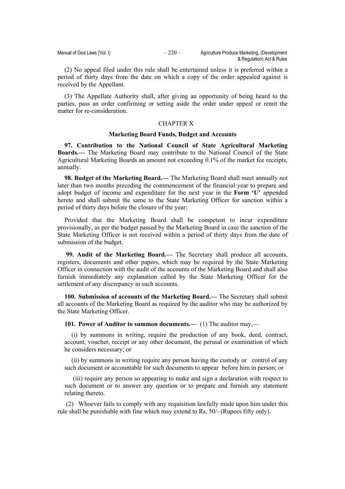(2) No appeal filed under this rule shall be entertained unless it is preferred within a period of thirty days from the date on which a copy of the order appealed against is received by the Appellant.

(3) The Appellate Authority shall, after giving an opportunity of being heard to the parties, pass an order confirming or setting aside the order under appeal or remit the matter for re-consideration.

## CHAPTER X

#### **Marketing Board Funds, Budget and Accounts**

**97. Contribution to the National Council of State Agricultural Marketing Boards.—** The Marketing Board may contribute to the National Council of the State Agricultural Marketing Boards an amount not exceeding 0.1% of the market fee receipts, annually.

**98. Budget of the Marketing Board.—** The Marketing Board shall meet annually not later than two months preceding the commencement of the financial year to prepare and adopt budget of income and expenditure for the next year in the **Form 'U'** appended hereto and shall submit the same to the State Marketing Officer for sanction within a period of thirty days before the closure of the year:

Provided that the Marketing Board shall be competent to incur expenditure provisionally, as per the budget passed by the Marketing Board in case the sanction of the State Marketing Officer is not received within a period of thirty days from the date of submission of the budget.

 **99. Audit of the Marketing Board.—** The Secretary shall produce all accounts, registers, documents and other papers, which may be required by the State Marketing Officer in connection with the audit of the accounts of the Marketing Board and shall also furnish immediately any explanation called by the State Marketing Officer for the settlement of any discrepancy in such accounts.

**100. Submission of accounts of the Marketing Board.—** The Secretary shall submit all accounts of the Marketing Board as required by the auditor who may be authorized by the State Marketing Officer.

**101. Power of Auditor to summon documents.—** (1) The auditor may,—

(i) by summons in writing, require the production of any book, deed, contract, account, voucher, receipt or any other document, the perusal or examination of which he considers necessary; or

(ii) by summons in writing require any person having the custody or control of any such document or accountable for such documents to appear before him in person; or

 (iii) require any person so appearing to make and sign a declaration with respect to such document or to answer any question or to prepare and furnish any statement relating thereto.

 (2) Whoever fails to comply with any requisition lawfully made upon him under this rule shall be punishable with fine which may extend to Rs. 50/- (Rupees fifty only).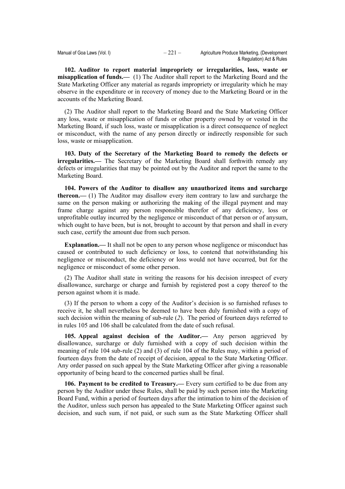**102. Auditor to report material impropriety or irregularities, loss, waste or misapplication of funds.—** (1) The Auditor shall report to the Marketing Board and the State Marketing Officer any material as regards impropriety or irregularity which he may observe in the expenditure or in recovery of money due to the Marketing Board or in the accounts of the Marketing Board.

(2) The Auditor shall report to the Marketing Board and the State Marketing Officer any loss, waste or misapplication of funds or other property owned by or vested in the Marketing Board, if such loss, waste or misapplication is a direct consequence of neglect or misconduct, with the name of any person directly or indirectly responsible for such loss, waste or misapplication.

**103. Duty of the Secretary of the Marketing Board to remedy the defects or irregularities.—** The Secretary of the Marketing Board shall forthwith remedy any defects or irregularities that may be pointed out by the Auditor and report the same to the Marketing Board.

**104. Powers of the Auditor to disallow any unauthorized items and surcharge thereon.—** (1) The Auditor may disallow every item contrary to law and surcharge the same on the person making or authorizing the making of the illegal payment and may frame charge against any person responsible therefor of any deficiency, loss or unprofitable outlay incurred by the negligence or misconduct of that person or of anysum, which ought to have been, but is not, brought to account by that person and shall in every such case, certify the amount due from such person.

**Explanation.—** It shall not be open to any person whose negligence or misconduct has caused or contributed to such deficiency or loss, to contend that notwithstanding his negligence or misconduct, the deficiency or loss would not have occurred, but for the negligence or misconduct of some other person.

(2) The Auditor shall state in writing the reasons for his decision inrespect of every disallowance, surcharge or charge and furnish by registered post a copy thereof to the person against whom it is made.

(3) If the person to whom a copy of the Auditor's decision is so furnished refuses to receive it, he shall nevertheless be deemed to have been duly furnished with a copy of such decision within the meaning of sub-rule (*2*). The period of fourteen days referred to in rules 105 and 106 shall be calculated from the date of such refusal.

**105. Appeal against decision of the Auditor.—** Any person aggrieved by disallowance, surcharge or duly furnished with a copy of such decision within the meaning of rule 104 sub-rule (2) and (3) of rule 104 of the Rules may, within a period of fourteen days from the date of receipt of decision, appeal to the State Marketing Officer. Any order passed on such appeal by the State Marketing Officer after giving a reasonable opportunity of being heard to the concerned parties shall be final.

**106. Payment to be credited to Treasury.—** Every sum certified to be due from any person by the Auditor under these Rules, shall be paid by such person into the Marketing Board Fund, within a period of fourteen days after the intimation to him of the decision of the Auditor, unless such person has appealed to the State Marketing Officer against such decision, and such sum, if not paid, or such sum as the State Marketing Officer shall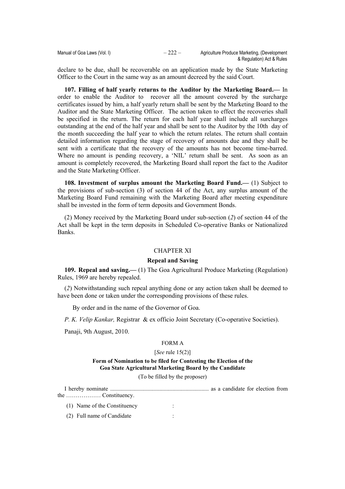declare to be due, shall be recoverable on an application made by the State Marketing Officer to the Court in the same way as an amount decreed by the said Court.

**107. Filling of half yearly returns to the Auditor by the Marketing Board.—** In order to enable the Auditor to recover all the amount covered by the surcharge certificates issued by him, a half yearly return shall be sent by the Marketing Board to the Auditor and the State Marketing Officer. The action taken to effect the recoveries shall be specified in the return. The return for each half year shall include all surcharges outstanding at the end of the half year and shall be sent to the Auditor by the 10th day of the month succeeding the half year to which the return relates. The return shall contain detailed information regarding the stage of recovery of amounts due and they shall be sent with a certificate that the recovery of the amounts has not become time-barred. Where no amount is pending recovery, a 'NIL' return shall be sent. As soon as an amount is completely recovered, the Marketing Board shall report the fact to the Auditor and the State Marketing Officer.

**108. Investment of surplus amount the Marketing Board Fund.—** (1) Subject to the provisions of sub-section (3) of section 44 of the Act, any surplus amount of the Marketing Board Fund remaining with the Marketing Board after meeting expenditure shall be invested in the form of term deposits and Government Bonds.

(2) Money received by the Marketing Board under sub-section (*2*) of section 44 of the Act shall be kept in the term deposits in Scheduled Co-operative Banks or Nationalized Banks.

## CHAPTER XI

#### **Repeal and Saving**

**109. Repeal and saving.—** (1) The Goa Agricultural Produce Marketing (Regulation) Rules, 1969 are hereby repealed.

(*2*) Notwithstanding such repeal anything done or any action taken shall be deemed to have been done or taken under the corresponding provisions of these rules.

By order and in the name of the Governor of Goa.

*P. K. Velip Kankar,* Registrar & ex officio Joint Secretary (Co-operative Societies).

Panaji, 9th August, 2010.

### FORM A

#### [*See* rule 15(2)]

# **Form of Nomination to be filed for Contesting the Election of the Goa State Agricultural Marketing Board by the Candidate**

(To be filled by the proposer)

I hereby nominate .................................................................... as a candidate for election from the ……………… Constituency.

- - (1) Name of the Constituency :
	- (2) Full name of Candidate :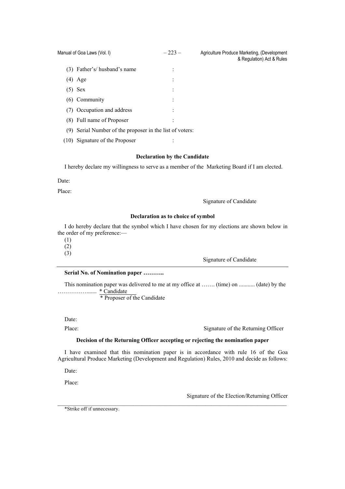| Manual of Goa Laws (Vol. I)                              | $-223-$ | Agriculture Produce Marketing, (Development<br>& Regulation) Act & Rules |
|----------------------------------------------------------|---------|--------------------------------------------------------------------------|
| (3) Father's/husband's name                              |         |                                                                          |
| $(4)$ Age                                                |         |                                                                          |
| $(5)$ Sex                                                |         |                                                                          |
| $(6)$ Community                                          |         |                                                                          |
| (7) Occupation and address                               |         |                                                                          |
| (8) Full name of Proposer                                |         |                                                                          |
| (9) Serial Number of the proposer in the list of voters: |         |                                                                          |
| (10) Signature of the Proposer                           |         |                                                                          |

#### **Declaration by the Candidate**

I hereby declare my willingness to serve as a member of the Marketing Board if I am elected.

Date:

Place:

Signature of Candidate

#### **Declaration as to choice of symbol**

I do hereby declare that the symbol which I have chosen for my elections are shown below in the order of my preference:—

(1)

- $(2)$
- (3)

Signature of Candidate

## **Serial No. of Nomination paper ………..**

This nomination paper was delivered to me at my office at ……. (time) on ........... (date) by the ……………....... \* Candidate

\* Proposer of the Candidate

Date:

Place: Signature of the Returning Officer

## **Decision of the Returning Officer accepting or rejecting the nomination paper**

I have examined that this nomination paper is in accordance with rule 16 of the Goa Agricultural Produce Marketing (Development and Regulation) Rules, 2010 and decide as follows:

 $\_$  , and the set of the set of the set of the set of the set of the set of the set of the set of the set of the set of the set of the set of the set of the set of the set of the set of the set of the set of the set of th

Date:

Place:

Signature of the Election/Returning Officer

\*Strike off if unnecessary.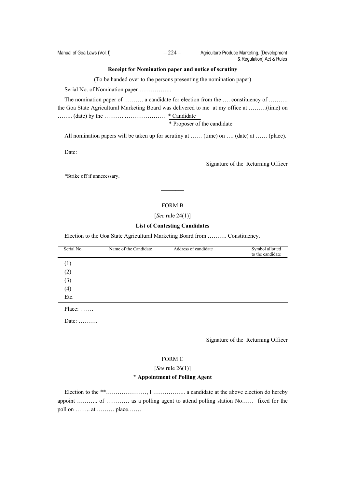| & Regulation) Act & Rules                                                                                                                                               |  |  |  |  |  |  |  |
|-------------------------------------------------------------------------------------------------------------------------------------------------------------------------|--|--|--|--|--|--|--|
| Receipt for Nomination paper and notice of scrutiny                                                                                                                     |  |  |  |  |  |  |  |
| (To be handed over to the persons presenting the nomination paper)                                                                                                      |  |  |  |  |  |  |  |
|                                                                                                                                                                         |  |  |  |  |  |  |  |
| The nomination paper of  a candidate for election from the  constituency of<br>the Goa State Agricultural Marketing Board was delivered to me at my office at (time) on |  |  |  |  |  |  |  |
|                                                                                                                                                                         |  |  |  |  |  |  |  |
| * Proposer of the candidate                                                                                                                                             |  |  |  |  |  |  |  |
| All nomination papers will be taken up for scrutiny at  (time) on  (date) at  (place).                                                                                  |  |  |  |  |  |  |  |

Manual of Goa Laws (Vol. I) – 224 – Agriculture Produce Marketing, (Development

Date:

Signature of the Returning Officer

\*Strike off if unnecessary.

## FORM B

[*See* rule 24(1)]

# **List of Contesting Candidates**

Election to the Goa State Agricultural Marketing Board from ………. Constituency.

| Serial No.       | Name of the Candidate | Address of candidate | Symbol allotted<br>to the candidate |
|------------------|-----------------------|----------------------|-------------------------------------|
| $\left(1\right)$ |                       |                      |                                     |
| (2)              |                       |                      |                                     |
| (3)              |                       |                      |                                     |
| (4)              |                       |                      |                                     |
| Etc.             |                       |                      |                                     |
| Place:           |                       |                      |                                     |
| Date: $\dots$    |                       |                      |                                     |

Signature of the Returning Officer

# FORM C

[*See* rule 26(1)]

# **\* Appointment of Polling Agent**

Election to the \*\*…………………, I …………….. a candidate at the above election do hereby appoint ……….. of ………… as a polling agent to attend polling station No…… fixed for the poll on …….. at ……… place…….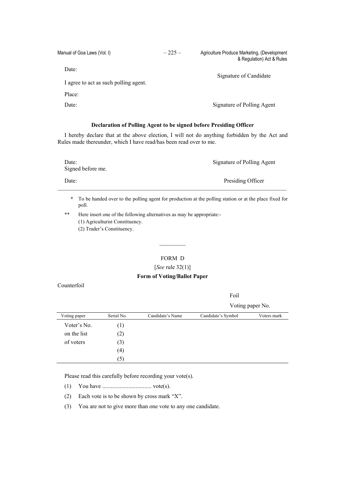Manual of Goa Laws (Vol. I) – 225 – Agriculture Produce Marketing, (Development & Regulation) Act & Rules

Signature of Candidate

Date:

I agree to act as such polling agent.

Place:

Date: Signature of Polling Agent

### **Declaration of Polling Agent to be signed before Presiding Officer**

I hereby declare that at the above election, I will not do anything forbidden by the Act and Rules made thereunder, which I have read/has been read over to me.

| Signed before me. |                   |
|-------------------|-------------------|
| Date:             | Presiding Officer |

\* To be handed over to the polling agent for production at the polling station or at the place fixed for poll.

Here insert one of the following alternatives as may be appropriate:-(1) Agriculturist Constituency.

(2) Trader's Constituency.

# FORM D

[*See* rule 32(1)]

### **Form of Voting/Ballot Paper**

Counterfoil

|              |            |                  | Foil               |                  |  |  |
|--------------|------------|------------------|--------------------|------------------|--|--|
|              |            |                  |                    | Voting paper No. |  |  |
| Voting paper | Serial No. | Candidate's Name | Candidate's Symbol | Voters mark      |  |  |
| Voter's No.  | (1)        |                  |                    |                  |  |  |
| on the list  | (2)        |                  |                    |                  |  |  |
| of voters    | (3)        |                  |                    |                  |  |  |
|              | (4)        |                  |                    |                  |  |  |
|              | (5)        |                  |                    |                  |  |  |

Please read this carefully before recording your vote(s).

- $(1)$  You have  $\ldots$  vote(s).
- (2) Each vote is to be shown by cross mark "X".
- (3) You are not to give more than one vote to any one candidate.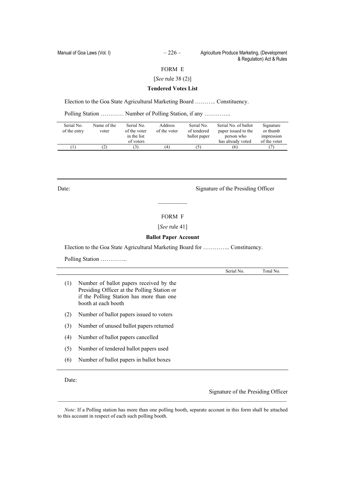### Manual of Goa Laws (Vol. I) – 226 - Agriculture Produce Marketing, (Development & Regulation) Act & Rules

# FORM E

## [*See* rule 38 (2)]

# **Tendered Votes List**

Election to the Goa State Agricultural Marketing Board ……….. Constituency.

Polling Station ………… Number of Polling Station, if any …………..

| Serial No.<br>of the entry | Name of the<br>voter | Serial No.<br>of the voter<br>in the list<br>of voters | Address<br>of the voter | Serial No.<br>of tendered<br>ballot paper | Serial No. of ballot<br>paper issued to the<br>person who<br>has already voted | Signature<br>or thumb<br>impression<br>of the voter |
|----------------------------|----------------------|--------------------------------------------------------|-------------------------|-------------------------------------------|--------------------------------------------------------------------------------|-----------------------------------------------------|
|                            | (2)                  | (3)                                                    | (4)                     | (5)                                       | (6)                                                                            |                                                     |

Date: Signature of the Presiding Officer

#### FORM F

 $\frac{1}{2}$ 

## [*See* rule 41]

### **Ballot Paper Account**

Election to the Goa State Agricultural Marketing Board for ………….. Constituency.

Polling Station …………..

|     |                                                                                                                                                           | Serial No. | Total No. |
|-----|-----------------------------------------------------------------------------------------------------------------------------------------------------------|------------|-----------|
| (1) | Number of ballot papers received by the<br>Presiding Officer at the Polling Station or<br>if the Polling Station has more than one<br>booth at each booth |            |           |
| (2) | Number of ballot papers issued to voters                                                                                                                  |            |           |
| (3) | Number of unused ballot papers returned                                                                                                                   |            |           |
| (4) | Number of ballot papers cancelled                                                                                                                         |            |           |
| (5) | Number of tendered ballot papers used                                                                                                                     |            |           |
| (6) | Number of ballot papers in ballot boxes                                                                                                                   |            |           |

Date:

# Signature of the Presiding Officer

 $\mathcal{L}_\text{max}$ 

*Note*: If a Polling station has more than one polling booth, separate account in this form shall be attached to this account in respect of each such polling booth.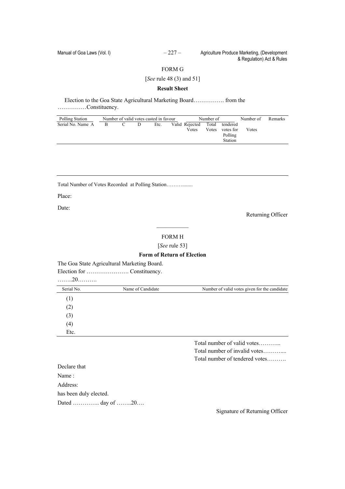## Manual of Goa Laws (Vol. I) – 227 - Agriculture Produce Marketing, (Development & Regulation) Act & Rules

### FORM G

### [*See* rule 48 (3) and 51]

### **Result Sheet**

Election to the Goa State Agricultural Marketing Board……………. from the ……………Constituency.

| Polling Station   |   |  | Number of valid votes casted in favour |                |       | Number of |           | Number of | <b>Remarks</b> |
|-------------------|---|--|----------------------------------------|----------------|-------|-----------|-----------|-----------|----------------|
| Serial No. Name A | B |  | Etc.                                   | Valid Rejected |       | Total     | tendered  |           |                |
|                   |   |  |                                        |                | Votes | Votes     | votes for | Votes     |                |
|                   |   |  |                                        |                |       |           | Polling   |           |                |
|                   |   |  |                                        |                |       |           | Station   |           |                |

Total Number of Votes Recorded at Polling Station………........

Place:

Date:

Returning Officer

#### FORM H

[*See* rule 53]

### **Form of Return of Election**

The Goa State Agricultural Marketing Board. Election for …………………. Constituency.

| Serial No. | Name of Candidate | Number of valid votes given for the candidate |
|------------|-------------------|-----------------------------------------------|
| (1)        |                   |                                               |
| (2)        |                   |                                               |
| (3)        |                   |                                               |
| (4)        |                   |                                               |
| Etc.       |                   |                                               |

 Total number of valid votes………... Total number of invalid votes……….... Total number of tendered votes……….

Declare that Name : Address: has been duly elected. Dated ………….. day of ……..20….

Signature of Returning Officer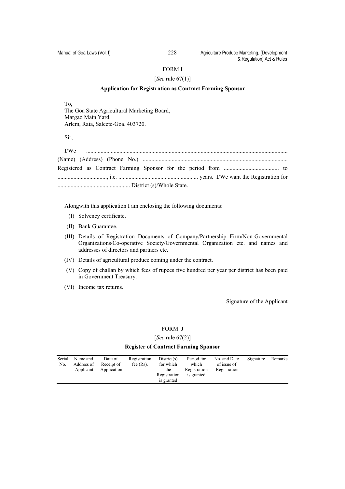### Manual of Goa Laws (Vol. I) – 228 - Agriculture Produce Marketing, (Development & Regulation) Act & Rules

# FORM I

### [*See* rule 67(1)]

### **Application for Registration as Contract Farming Sponsor**

To,

The Goa State Agricultural Marketing Board, Margao Main Yard, Arlem, Raia, Salcete-Goa. 403720.

Sir,

| I/We |  |  |  |  |  |  |  |  |  |
|------|--|--|--|--|--|--|--|--|--|
|      |  |  |  |  |  |  |  |  |  |
|      |  |  |  |  |  |  |  |  |  |
|      |  |  |  |  |  |  |  |  |  |
|      |  |  |  |  |  |  |  |  |  |

Alongwith this application I am enclosing the following documents:

- (I) Solvency certificate.
- (II) Bank Guarantee.
- (III) Details of Registration Documents of Company/Partnership Firm/Non-Governmental Organizations/Co-operative Society/Governmental Organization etc. and names and addresses of directors and partners etc.
- (IV) Details of agricultural produce coming under the contract.
- (V) Copy of challan by which fees of rupees five hundred per year per district has been paid in Government Treasury.
- (VI) Income tax returns.

Signature of the Applicant

## FORM J

[*See* rule 67(2)]

#### **Register of Contract Farming Sponsor**

| for which<br>No.<br>fee $(Rs)$ .<br>of issue of<br>which<br>Address of<br>Receipt of<br>Registration<br>Application<br>Registration<br>Applicant<br>the<br>Registration<br>is granted<br>is granted | Serial | Name and | Date of | Registration | Distribt(s) | Period for | No. and Date | Signature | Remarks |
|-----------------------------------------------------------------------------------------------------------------------------------------------------------------------------------------------------|--------|----------|---------|--------------|-------------|------------|--------------|-----------|---------|
|-----------------------------------------------------------------------------------------------------------------------------------------------------------------------------------------------------|--------|----------|---------|--------------|-------------|------------|--------------|-----------|---------|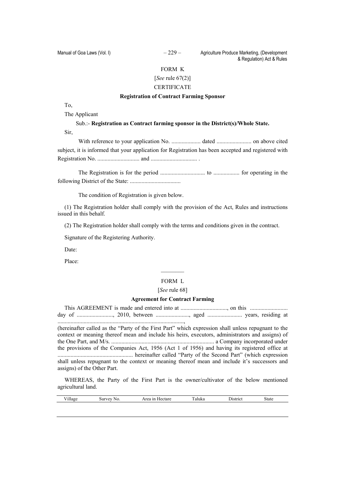#### FORM K

#### [*See* rule 67(2)]

#### **CERTIFICATE**

#### **Registration of Contract Farming Sponsor**

To,

The Applicant

Sub.:- **Registration as Contract farming sponsor in the District(s)/Whole State.**  Sir,

 With reference to your application No. .................... dated ........................ on above cited subject, it is informed that your application for Registration has been accepted and registered with Registration No. ............................. and ................................ .

 The Registration is for the period ............................... to .................. for operating in the following District of the State: ...................................

The condition of Registration is given below.

(1) The Registration holder shall comply with the provision of the Act, Rules and instructions issued in this behalf.

(2) The Registration holder shall comply with the terms and conditions given in the contract.

Signature of the Registering Authority.

Date:

Place:

#### FORM L

#### [*See* rule 68]

### **Agreement for Contract Farming**

This AGREEMENT is made and entered into at ................................, on this .......................... day of ........................., 2010, between ......................., aged ........................ years, residing at .......................................................................................,

(hereinafter called as the "Party of the First Part" which expression shall unless repugnant to the context or meaning thereof mean and include his heirs, executors, administrators and assigns) of the One Part, and M/s. ....................................................................... a Company incorporated under the provisions of the Companies Act, 1956 (Act 1 of 1956) and having its registered office at .................................................... hereinafter called "Party of the Second Part" (which expression shall unless repugnant to the context or meaning thereof mean and include it's successors and assigns) of the Other Part.

WHEREAS, the Party of the First Part is the owner/cultivator of the below mentioned agricultural land.

| $   -$<br>.1189e | <b>WAV</b><br>N <sub>0</sub><br>3.3.95<br>sw | <br>antar/<br>-пестан<br>чтеа<br>. | --<br>∍յսкշ<br>. | strici | State |  |
|------------------|----------------------------------------------|------------------------------------|------------------|--------|-------|--|
|                  |                                              |                                    |                  |        |       |  |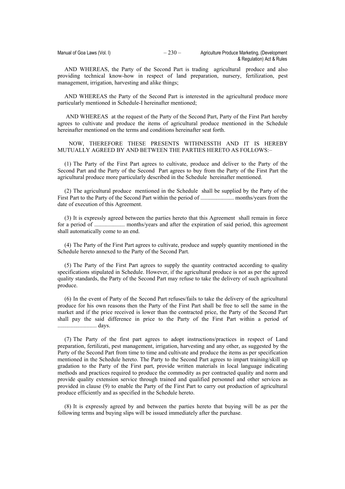AND WHEREAS, the Party of the Second Part is trading agricultural produce and also providing technical know-how in respect of land preparation, nursery, fertilization, pest management, irrigation, harvesting and alike things;

AND WHEREAS the Party of the Second Part is interested in the agricultural produce more particularly mentioned in Schedule-I hereinafter mentioned;

 AND WHEREAS at the request of the Party of the Second Part, Party of the First Part hereby agrees to cultivate and produce the items of agricultural produce mentioned in the Schedule hereinafter mentioned on the terms and conditions hereinafter seat forth.

 NOW, THEREFORE THESE PRESENTS WITHNESSTH AND IT IS HEREBY MUTUALLY AGREED BY AND BETWEEN THE PARTIES HERETO AS FOLLOWS:–

(1) The Party of the First Part agrees to cultivate, produce and deliver to the Party of the Second Part and the Party of the Second Part agrees to buy from the Party of the First Part the agricultural produce more particularly described in the Schedule hereinafter mentioned.

(2) The agricultural produce mentioned in the Schedule shall be supplied by the Party of the First Part to the Party of the Second Part within the period of ....................... months/years from the date of execution of this Agreement.

(3) It is expressly agreed between the parties hereto that this Agreement shall remain in force for a period of ..................... months/years and after the expiration of said period, this agreement shall automatically come to an end.

(4) The Party of the First Part agrees to cultivate, produce and supply quantity mentioned in the Schedule hereto annexed to the Party of the Second Part.

(5) The Party of the First Part agrees to supply the quantity contracted according to quality specifications stipulated in Schedule. However, if the agricultural produce is not as per the agreed quality standards, the Party of the Second Part may refuse to take the delivery of such agricultural produce.

(6) In the event of Party of the Second Part refuses/fails to take the delivery of the agricultural produce for his own reasons then the Party of the First Part shall be free to sell the same in the market and if the price received is lower than the contracted price, the Party of the Second Part shall pay the said difference in price to the Party of the First Part within a period of ........................... days.

(7) The Party of the first part agrees to adopt instructions/practices in respect of Land preparation, fertilizati, pest management, irrigation, harvesting and any other, as suggested by the Party of the Second Part from time to time and cultivate and produce the items as per specification mentioned in the Schedule hereto. The Party to the Second Part agrees to impart training/skill up gradation to the Party of the First part, provide written materials in local language indicating methods and practices required to produce the commodity as per contracted quality and norm and provide quality extension service through trained and qualified personnel and other services as provided in clause (9) to enable the Party of the First Part to carry out production of agricultural produce efficiently and as specified in the Schedule hereto.

(8) It is expressly agreed by and between the parties hereto that buying will be as per the following terms and buying slips will be issued immediately after the purchase.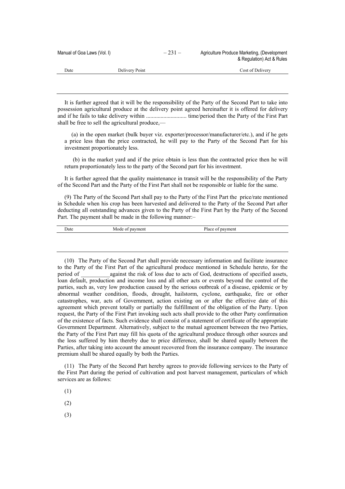| Manual of Goa Laws (Vol. I) |                | $-231-$ | Agriculture Produce Marketing, (Development<br>& Regulation) Act & Rules |
|-----------------------------|----------------|---------|--------------------------------------------------------------------------|
| Date                        | Delivery Point |         | Cost of Delivery                                                         |

It is further agreed that it will be the responsibility of the Party of the Second Part to take into possession agricultural produce at the delivery point agreed hereinafter it is offered for delivery and if he fails to take delivery within ............................ time/period then the Party of the First Part shall be free to sell the agricultural produce,—

(a) in the open market (bulk buyer viz. exporter/processor/manufacturer/etc.), and if he gets a price less than the price contracted, he will pay to the Party of the Second Part for his investment proportionately less.

 (b) in the market yard and if the price obtain is less than the contracted price then he will return proportionately less to the party of the Second part for his investment.

It is further agreed that the quality maintenance in transit will be the responsibility of the Party of the Second Part and the Party of the First Part shall not be responsible or liable for the same.

(9) The Party of the Second Part shall pay to the Party of the First Part the price/rate mentioned in Schedule when his crop has been harvested and delivered to the Party of the Second Part after deducting all outstanding advances given to the Party of the First Part by the Party of the Second Part. The payment shall be made in the following manner:–

| Date | Mode of payment | Place of payment |  |
|------|-----------------|------------------|--|
|------|-----------------|------------------|--|

(10) The Party of the Second Part shall provide necessary information and facilitate insurance to the Party of the First Part of the agricultural produce mentioned in Schedule hereto, for the period of against the risk of loss due to acts of God, destructions of specified assets, loan default, production and income loss and all other acts or events beyond the control of the parties, such as, very low production caused by the serious outbreak of a disease, epidemic or by abnormal weather condition, floods, drought, hailstorm, cyclone, earthquake, fire or other catastrophes, war, acts of Government, action existing on or after the effective date of this agreement which prevent totally or partially the fulfillment of the obligation of the Party. Upon request, the Party of the First Part invoking such acts shall provide to the other Party confirmation of the existence of facts. Such evidence shall consist of a statement of certificate of the appropriate Government Department. Alternatively, subject to the mutual agreement between the two Parties, the Party of the First Part may fill his quota of the agricultural produce through other sources and the loss suffered by him thereby due to price difference, shall be shared equally between the Parties, after taking into account the amount recovered from the insurance company. The insurance premium shall be shared equally by both the Parties.

(11) The Party of the Second Part hereby agrees to provide following services to the Party of the First Part during the period of cultivation and post harvest management, particulars of which services are as follows:

- (1)
- (2)
- (3)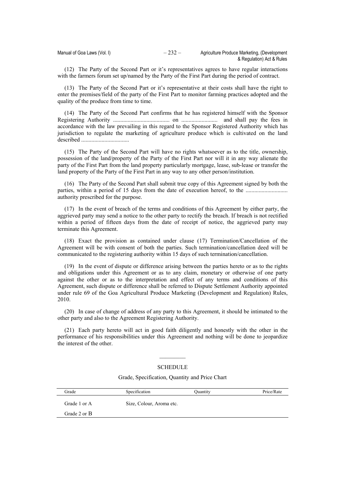(12) The Party of the Second Part or it's representatives agrees to have regular interactions with the farmers forum set up/named by the Party of the First Part during the period of contract.

(13) The Party of the Second Part or it's representative at their costs shall have the right to enter the premises/field of the party of the First Part to monitor farming practices adopted and the quality of the produce from time to time.

(14) The Party of the Second Part confirms that he has registered himself with the Sponsor Registering Authority ....................................... on ......................... and shall pay the fees in accordance with the law prevailing in this regard to the Sponsor Registered Authority which has jurisdiction to regulate the marketing of agriculture produce which is cultivated on the land described .................................

(15) The Party of the Second Part will have no rights whatsoever as to the title, ownership, possession of the land/property of the Party of the First Part nor will it in any way alienate the party of the First Part from the land property particularly mortgage, lease, sub-lease or transfer the land property of the Party of the First Part in any way to any other person/institution.

(16) The Party of the Second Part shall submit true copy of this Agreement signed by both the parties, within a period of 15 days from the date of execution hereof, to the ................................ authority prescribed for the purpose.

(17) In the event of breach of the terms and conditions of this Agreement by either party, the aggrieved party may send a notice to the other party to rectify the breach. If breach is not rectified within a period of fifteen days from the date of receipt of notice, the aggrieved party may terminate this Agreement.

(18) Exact the provision as contained under clause (17) Termination/Cancellation of the Agreement will be with consent of both the parties. Such termination/cancellation deed will be communicated to the registering authority within 15 days of such termination/cancellation.

(19) In the event of dispute or difference arising between the parties hereto or as to the rights and obligations under this Agreement or as to any claim, monetary or otherwise of one party against the other or as to the interpretation and effect of any terms and conditions of this Agreement, such dispute or difference shall be referred to Dispute Settlement Authority appointed under rule 69 of the Goa Agricultural Produce Marketing (Development and Regulation) Rules, 2010.

(20) In case of change of address of any party to this Agreement, it should be intimated to the other party and also to the Agreement Registering Authority.

(21) Each party hereto will act in good faith diligently and honestly with the other in the performance of his responsibilities under this Agreement and nothing will be done to jeopardize the interest of the other.

#### **SCHEDULE**

 $\mathcal{L}_\text{max}$ 

Grade, Specification, Quantity and Price Chart

| Grade        | Specification            | Ouantity | Price/Rate |
|--------------|--------------------------|----------|------------|
| Grade 1 or A | Size, Colour, Aroma etc. |          |            |
| Grade 2 or B |                          |          |            |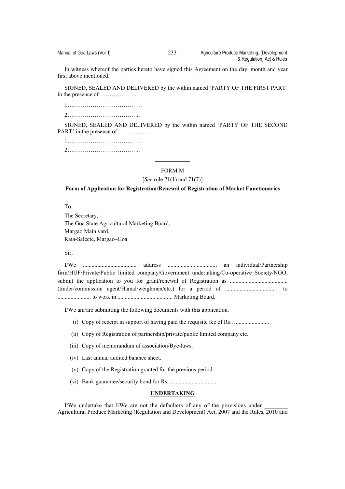In witness whereof the parties hereto have signed this Agreement on the day, month and year first above mentioned.

SIGNED, SEALED AND DELIVERED by the within named 'PARTY OF THE FIRST PART' in the presence of ………………..

1…………………………………

2………………………………..

SIGNED, SEALED AND DELIVERED by the within named 'PARTY OF THE SECOND PART' in the presence of ………………..

1………………………………… 2………………………………..

# $\frac{1}{2}$ FORM M

#### [*See* rule 71(1) and 71(7)]

#### **Form of Application for Registration/Renewal of Registration of Market Functionaries**

To,

The Secretary, The Goa State Agricultural Marketing Board, Margao Main yard, Raia-Salcete, Margao–Goa.

Sir,

| firm/HUF/Private/Public limited company/Government undertaking/Co-operative Society/NGO, |  |  |  |  |  |
|------------------------------------------------------------------------------------------|--|--|--|--|--|
|                                                                                          |  |  |  |  |  |
|                                                                                          |  |  |  |  |  |
|                                                                                          |  |  |  |  |  |

I/We am/are submitting the following documents with this application.

- (i) Copy of receipt in support of having paid the requisite fee of Rs….......................
- (ii) Copy of Registration of partnership/private/public limited company etc.
- (iii) Copy of memorandum of association/Bye-laws.
- (iv) Last annual audited balance sheet.
- (v) Copy of the Registration granted for the previous period.
- (vi) Bank guarantee/security bond for Rs. .................................

# **UNDERTAKING**

I/We undertake that I/We are not the defaulters of any of the provisions under Agricultural Produce Marketing (Regulation and Development) Act, 2007 and the Rules, 2010 and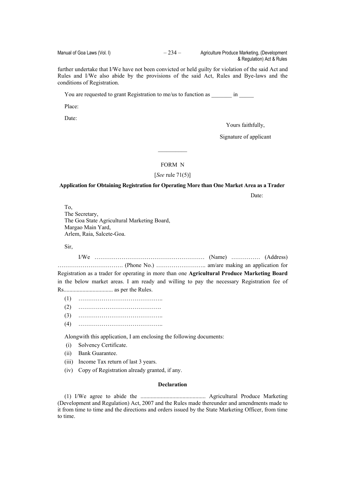further undertake that I/We have not been convicted or held guilty for violation of the said Act and Rules and I/We also abide by the provisions of the said Act, Rules and Bye-laws and the conditions of Registration.

You are requested to grant Registration to me/us to function as \_\_\_\_\_\_\_\_ in \_\_\_\_\_

Place:

Date:

Yours faithfully,

Signature of applicant

## FORM N

 $\frac{1}{2}$ 

[*See* rule 71(5)]

#### **Application for Obtaining Registration for Operating More than One Market Area as a Trader**

Date:

To, The Secretary, The Goa State Agricultural Marketing Board, Margao Main Yard, Arlem, Raia, Salcete-Goa.

Sir,

 I/We ………………………………………………… (Name) …………… (Address) ……………………………. (Phone No.) …………………….. am/are making an application for Registration as a trader for operating in more than one **Agricultural Produce Marketing Board** in the below market areas. I am ready and willing to pay the necessary Registration fee of

Rs.................................. as per the Rules.

- (1) ……………………………………..
- (2) …………………………………….
- (3) ……………………………………..
- (4) ……………………………………..

Alongwith this application, I am enclosing the following documents:

- (i) Solvency Certificate.
- (ii) Bank Guarantee.
- (iii) Income Tax return of last 3 years.
- (iv) Copy of Registration already granted, if any.

#### **Declaration**

(1) I/We agree to abide the ............................................. Agricultural Produce Marketing (Development and Regulation) Act, 2007 and the Rules made thereunder and amendments made to it from time to time and the directions and orders issued by the State Marketing Officer, from time to time.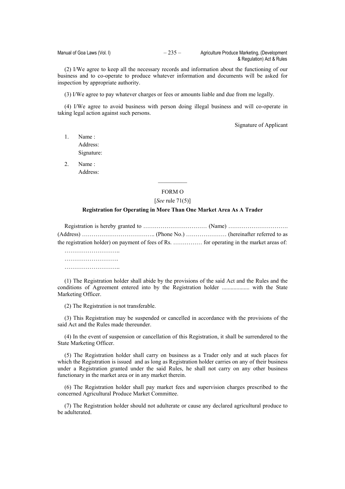(2) I/We agree to keep all the necessary records and information about the functioning of our business and to co-operate to produce whatever information and documents will be asked for inspection by appropriate authority.

(3) I/We agree to pay whatever charges or fees or amounts liable and due from me legally.

(4) I/We agree to avoid business with person doing illegal business and will co-operate in taking legal action against such persons.

Signature of Applicant

1. Name : Address: Signature:

2. Name : Address:

## FORM O

#### [*See* rule 71(5)]

#### **Registration for Operating in More Than One Market Area As A Trader**

Registration is hereby granted to …………………………… (Name) …………………………. (Address) ……………………………….. (Phone No.) ………………… (hereinafter referred to as the registration holder) on payment of fees of Rs. …………… for operating in the market areas of:

…………………………… ………………………. ………………………..

(1) The Registration holder shall abide by the provisions of the said Act and the Rules and the conditions of Agreement entered into by the Registration holder ................... with the State Marketing Officer.

(2) The Registration is not transferable.

(3) This Registration may be suspended or cancelled in accordance with the provisions of the said Act and the Rules made thereunder.

(4) In the event of suspension or cancellation of this Registration, it shall be surrendered to the State Marketing Officer.

(5) The Registration holder shall carry on business as a Trader only and at such places for which the Registration is issued and as long as Registration holder carries on any of their business under a Registration granted under the said Rules, he shall not carry on any other business functionary in the market area or in any market therein.

(6) The Registration holder shall pay market fees and supervision charges prescribed to the concerned Agricultural Produce Market Committee.

(7) The Registration holder should not adulterate or cause any declared agricultural produce to be adulterated.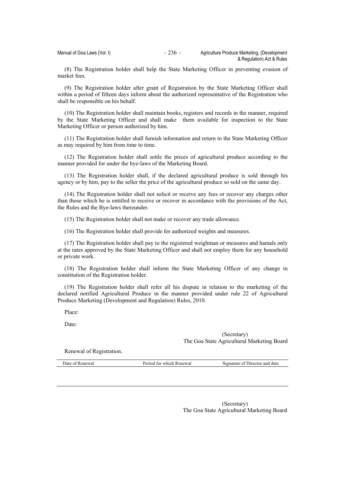(8) The Registration holder shall help the State Marketing Officer in preventing evasion of market fees.

(9) The Registration holder after grant of Registration by the State Marketing Officer shall within a period of fifteen days inform about the authorized representative of the Registration who shall be responsible on his behalf.

(10) The Registration holder shall maintain books, registers and records in the manner, required by the State Marketing Officer and shall make them available for inspection to the State Marketing Officer or person authorized by him.

(11) The Registration holder shall furnish information and return to the State Marketing Officer as may required by him from time to time.

(12) The Registration holder shall settle the prices of agricultural produce according to the manner provided for under the bye-laws of the Marketing Board.

(13) The Registration holder shall, if the declared agricultural produce is sold through his agency or by him, pay to the seller the price of the agricultural produce so sold on the same day.

(14) The Registration holder shall not solicit or receive any fees or recover any charges other than those which he is entitled to receive or recover in accordance with the provisions of the Act, the Rules and the Bye-laws thereunder.

(15) The Registration holder shall not make or recover any trade allowance.

(16) The Registration holder shall provide for authorized weights and measures.

(17) The Registration holder shall pay to the registered weighman or measures and hamals only at the rates approved by the State Marketing Officer and shall not employ them for any household or private work.

(18) The Registration holder shall inform the State Marketing Officer of any change in constitution of the Registration holder.

(19) The Registration holder shall refer all his dispute in relation to the marketing of the declared notified Agricultural Produce in the manner provided under rule 22 of Agricultural Produce Marketing (Development and Regulation) Rules, 2010.

Place:

Date:

 (Secretary) The Goa State Agricultural Marketing Board

Renewal of Registration.

Date of Renewal Period for which Renewal Signature of Director and date

 (Secretary) The Goa State Agricultural Marketing Board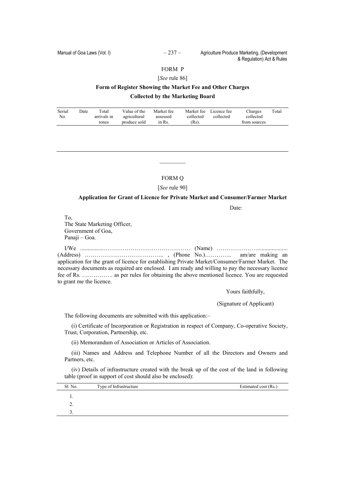Manual of Goa Laws (Vol. I)  $-237 -$  Agriculture Produce Marketing, (Development & Regulation) Act & Rules

# FORM P

#### [*See* rule 86]

# **Form of Register Showing the Market Fee and Other Charges**

# **Collected by the Marketing Board**

| Serial | Date | Total       | Value of the | Market fee |           | Market fee Licence fee | Charges      | Total |
|--------|------|-------------|--------------|------------|-----------|------------------------|--------------|-------|
| No.    |      | arrivals in | agricultural | assessed   | collected | collected              | collected    |       |
|        |      | tones       | produce sold | in Rs.     | (Rs).     |                        | from sources |       |

#### FORM Q

## [*See* rule 90]

### **Application for Grant of Licence for Private Market and Consumer/Farmer Market**

Date:

To, The State Marketing Officer, Government of Goa, Panaji – Goa.

| application for the grant of licence for establishing Private Market/Consumer/Farmer Market. The  |  |  |  |
|---------------------------------------------------------------------------------------------------|--|--|--|
| necessary documents as required are enclosed. I am ready and willing to pay the necessary licence |  |  |  |
| fee of Rs.  as per rules for obtaining the above mentioned licence. You are requested             |  |  |  |
| to grant me the licence.                                                                          |  |  |  |

Yours faithfully,

(Signature of Applicant)

The following documents are submitted with this application:–

(i) Certificate of Incorporation or Registration in respect of Company, Co-operative Society, Trust, Corporation, Partnership, etc.

(ii) Memorandum of Association or Articles of Association.

(iii) Names and Address and Telephone Number of all the Directors and Owners and Partners, etc.

(iv) Details of infrastructure created with the break up of the cost of the land in following table (proof in support of cost should also be enclosed):

| Sl. No. | Type of Infrastructure | Estimated cost (Rs.) |
|---------|------------------------|----------------------|
| . .     |                        |                      |
| ـ ت     |                        |                      |
|         |                        |                      |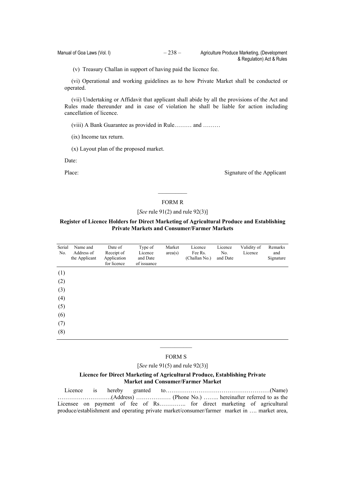Manual of Goa Laws (Vol. I) – 238 – Agriculture Produce Marketing, (Development & Regulation) Act & Rules

(v) Treasury Challan in support of having paid the licence fee.

(vi) Operational and working guidelines as to how Private Market shall be conducted or operated.

(vii) Undertaking or Affidavit that applicant shall abide by all the provisions of the Act and Rules made thereunder and in case of violation he shall be liable for action including cancellation of licence.

(viii) A Bank Guarantee as provided in Rule……… and ………

(ix) Income tax return.

(x) Layout plan of the proposed market.

Date:

Place: Signature of the Applicant

#### FORM R

#### [*See* rule 91(2) and rule 92(3)]

# **Register of Licence Holders for Direct Marketing of Agricultural Produce and Establishing Private Markets and Consumer/Farmer Markets**

| Serial<br>No. | Name and<br>Address of<br>the Applicant | Date of<br>Receipt of<br>Application<br>for licence | Type of<br>Licence<br>and Date<br>of issuance | Market<br>area(s) | Licence<br>Fee Rs.<br>(Challan No.) | Licence<br>No.<br>and Date | Validity of<br>Licence | Remarks<br>and<br>Signature |
|---------------|-----------------------------------------|-----------------------------------------------------|-----------------------------------------------|-------------------|-------------------------------------|----------------------------|------------------------|-----------------------------|
| (1)           |                                         |                                                     |                                               |                   |                                     |                            |                        |                             |
| (2)           |                                         |                                                     |                                               |                   |                                     |                            |                        |                             |
| (3)           |                                         |                                                     |                                               |                   |                                     |                            |                        |                             |
| (4)           |                                         |                                                     |                                               |                   |                                     |                            |                        |                             |
| (5)           |                                         |                                                     |                                               |                   |                                     |                            |                        |                             |
| (6)           |                                         |                                                     |                                               |                   |                                     |                            |                        |                             |
| (7)           |                                         |                                                     |                                               |                   |                                     |                            |                        |                             |
| (8)           |                                         |                                                     |                                               |                   |                                     |                            |                        |                             |

# $\frac{1}{2}$ FORM S

### [*See* rule 91(5) and rule 92(3)]

#### **Licence for Direct Marketing of Agricultural Produce, Establishing Private Market and Consumer/Farmer Market**

Licence is hereby granted to………………………………………………(Name) ……………………….(Address) ……………… (Phone No.) …….. hereinafter referred to as the Licensee on payment of fee of Rs…………... for direct marketing of agricultural produce/establishment and operating private market/consumer/farmer market in …. market area,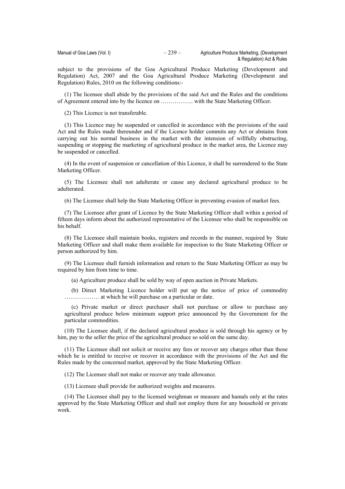subject to the provisions of the Goa Agricultural Produce Marketing (Development and Regulation) Act, 2007 and the Goa Agricultural Produce Marketing (Development and Regulation) Rules, 2010 on the following conditions:-

(1) The licensee shall abide by the provisions of the said Act and the Rules and the conditions of Agreement entered into by the licence on …………….. with the State Marketing Officer.

(2) This Licence is not transferable.

(3) This Licence may be suspended or cancelled in accordance with the provisions of the said Act and the Rules made thereunder and if the Licence holder commits any Act or abstains from carrying out his normal business in the market with the intension of willfully obstructing, suspending or stopping the marketing of agricultural produce in the market area, the Licence may be suspended or cancelled.

(4) In the event of suspension or cancellation of this Licence, it shall be surrendered to the State Marketing Officer.

(5) The Licensee shall not adulterate or cause any declared agricultural produce to be adulterated.

(6) The Licensee shall help the State Marketing Officer in preventing evasion of market fees.

(7) The Licensee after grant of Licence by the State Marketing Officer shall within a period of fifteen days inform about the authorized representative of the Licensee who shall be responsible on his behalf.

(8) The Licensee shall maintain books, registers and records in the manner, required by State Marketing Officer and shall make them available for inspection to the State Marketing Officer or person authorized by him.

(9) The Licensee shall furnish information and return to the State Marketing Officer as may be required by him from time to time.

(a) Agriculture produce shall be sold by way of open auction in Private Markets.

(b) Direct Marketing Licence holder will put up the notice of price of commodity ……………… at which he will purchase on a particular or date.

(c) Private market or direct purchaser shall not purchase or allow to purchase any agricultural produce below minimum support price announced by the Government for the particular commodities.

(10) The Licensee shall, if the declared agricultural produce is sold through his agency or by him, pay to the seller the price of the agricultural produce so sold on the same day.

(11) The Licensee shall not solicit or receive any fees or recover any charges other than those which he is entitled to receive or recover in accordance with the provisions of the Act and the Rules made by the concerned market, approved by the State Marketing Officer.

(12) The Licensee shall not make or recover any trade allowance.

(13) Licensee shall provide for authorized weights and measures.

(14) The Licensee shall pay to the licensed weighman or measure and hamals only at the rates approved by the State Marketing Officer and shall not employ them for any household or private work.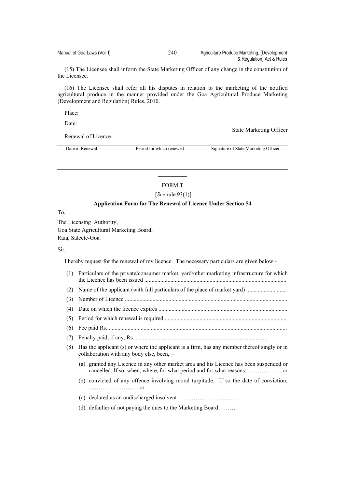(15) The Licensee shall inform the State Marketing Officer of any change in the constitution of the Licensee.

(16) The Licensee shall refer all his disputes in relation to the marketing of the notified agricultural produce in the manner provided under the Goa Agricultural Produce Marketing (Development and Regulation) Rules, 2010.

Place:

Date:

Renewal of Licence

State Marketing Officer

Date of Renewal Period for which renewed Signature of State Marketing Officer

# $\frac{1}{2}$ FORM T

[*See* rule 93(1)]

#### **Application Form for The Renewal of Licence Under Section 54**

To,

The Licensing Authority, Goa State Agricultural Marketing Board, Raia, Salcete-Goa.

#### Sir,

I hereby request for the renewal of my licence. The necessary particulars are given below:-

 (1) Particulars of the private/consumer market, yard/other marketing infrastructure for which the Licence has been issued ..................................................................................................

(2) Name of the applicant (with full particulars of the place of market yard) ............................

(3) Number of Licence ................................................................................................................

- (4) Date on which the licence expires .........................................................................................
- (5) Period for which renewal is required ....................................................................................

(6) Fee paid Rs. ...........................................................................................................................

- (7) Penalty paid, if any, Rs. ...........................................................................................
- (8) Has the applicant (s) or where the applicant is a firm, has any member thereof singly or in collaboration with any body else, been,—
	- (a) granted any Licence in any other market area and his Licence has been suspended or cancelled. If so, when, where, for what period and for what reasons; ……………... or
	- (b) convicted of any offence involving moral turpitude. If so the date of conviction; …………………….. or
	- (c) declared as an undischarged insolvent ………………………….
	- (d) defaulter of not paying the dues to the Marketing Board………